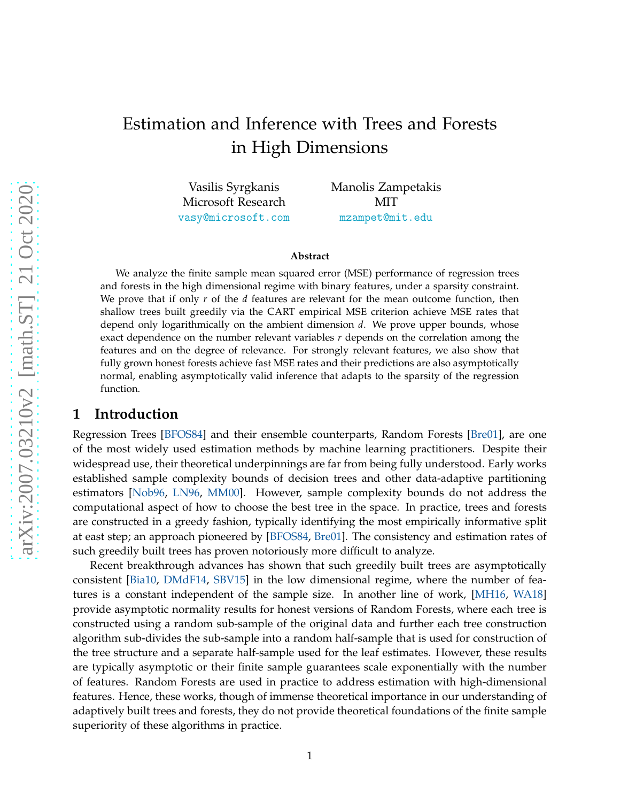# Estimation and Inference with Trees and Forests in High Dimensions

Vasilis Syrgkanis Microsoft Research <vasy@microsoft.com> Manolis Zampetakis MIT <mzampet@mit.edu>

#### **Abstract**

We analyze the finite sample mean squared error (MSE) performance of regression trees and forests in the high dimensional regime with binary features, under a sparsity constraint. We prove that if only *r* of the *d* features are relevant for the mean outcome function, then shallow trees built greedily via the CART empirical MSE criterion achieve MSE rates that depend only logarithmically on the ambient dimension *d*. We prove upper bounds, whose exact dependence on the number relevant variables *r* depends on the correlation among the features and on the degree of relevance. For strongly relevant features, we also show that fully grown honest forests achieve fast MSE rates and their predictions are also asymptotically normal, enabling asymptotically valid inference that adapts to the sparsity of the regression function.

### **1 Introduction**

Regression Trees [\[BFOS84\]](#page-17-0) and their ensemble counterparts, Random Forests [\[Bre01\]](#page-17-1), are one of the most widely used estimation methods by machine learning practitioners. Despite their widespread use, their theoretical underpinnings are far from being fully understood. Early works established sample complexity bounds of decision trees and other data-adaptive partitioning estimators [\[Nob96,](#page-18-0) [LN96,](#page-18-1) [MM00\]](#page-18-2). However, sample complexity bounds do not address the computational aspect of how to choose the best tree in the space. In practice, trees and forests are constructed in a greedy fashion, typically identifying the most empirically informative split at east step; an approach pioneered by [\[BFOS84,](#page-17-0) [Bre01\]](#page-17-1). The consistency and estimation rates of such greedily built trees has proven notoriously more difficult to analyze.

Recent breakthrough advances has shown that such greedily built trees are asymptotically consistent [\[Bia10,](#page-17-2) [DMdF14,](#page-17-3) [SBV15\]](#page-19-0) in the low dimensional regime, where the number of features is a constant independent of the sample size. In another line of work, [\[MH16,](#page-18-3) [WA18\]](#page-19-1) provide asymptotic normality results for honest versions of Random Forests, where each tree is constructed using a random sub-sample of the original data and further each tree construction algorithm sub-divides the sub-sample into a random half-sample that is used for construction of the tree structure and a separate half-sample used for the leaf estimates. However, these results are typically asymptotic or their finite sample guarantees scale exponentially with the number of features. Random Forests are used in practice to address estimation with high-dimensional features. Hence, these works, though of immense theoretical importance in our understanding of adaptively built trees and forests, they do not provide theoretical foundations of the finite sample superiority of these algorithms in practice.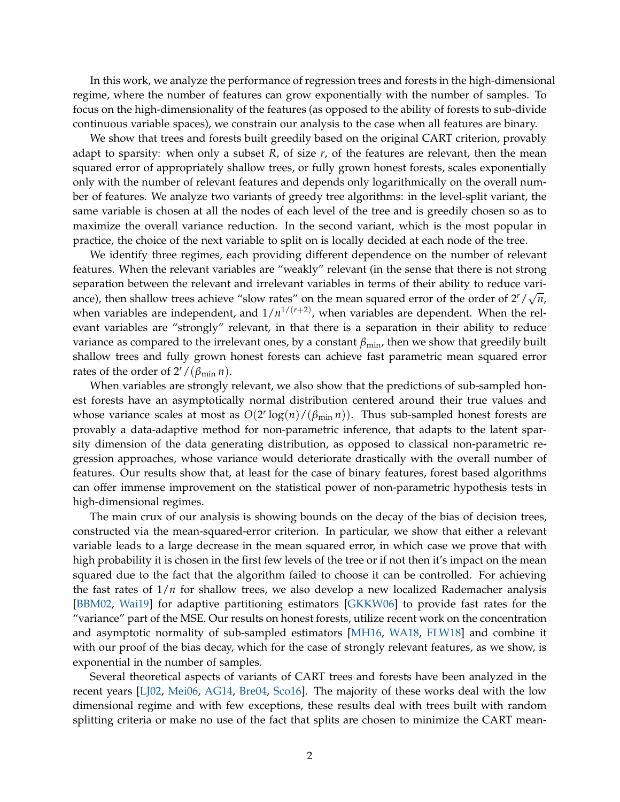In this work, we analyze the performance of regression trees and forests in the high-dimensional regime, where the number of features can grow exponentially with the number of samples. To focus on the high-dimensionality of the features (as opposed to the ability of forests to sub-divide continuous variable spaces), we constrain our analysis to the case when all features are binary.

We show that trees and forests built greedily based on the original CART criterion, provably adapt to sparsity: when only a subset *R*, of size *r*, of the features are relevant, then the mean squared error of appropriately shallow trees, or fully grown honest forests, scales exponentially only with the number of relevant features and depends only logarithmically on the overall number of features. We analyze two variants of greedy tree algorithms: in the level-split variant, the same variable is chosen at all the nodes of each level of the tree and is greedily chosen so as to maximize the overall variance reduction. In the second variant, which is the most popular in practice, the choice of the next variable to split on is locally decided at each node of the tree.

We identify three regimes, each providing different dependence on the number of relevant features. When the relevant variables are "weakly" relevant (in the sense that there is not strong separation between the relevant and irrelevant variables in terms of their ability to reduce variance), then shallow trees achieve "slow rates" on the mean squared error of the order of  $2^r / \sqrt{n}$ , when variables are independent, and  $1/n^{1/(r+2)}$ , when variables are dependent. When the relevant variables are "strongly" relevant, in that there is a separation in their ability to reduce variance as compared to the irrelevant ones, by a constant *β*min, then we show that greedily built shallow trees and fully grown honest forests can achieve fast parametric mean squared error rates of the order of  $2^r/(\beta_{\min} n)$ .

When variables are strongly relevant, we also show that the predictions of sub-sampled honest forests have an asymptotically normal distribution centered around their true values and whose variance scales at most as  $O(2^r \log(n) / (\beta_{\min} n))$ . Thus sub-sampled honest forests are provably a data-adaptive method for non-parametric inference, that adapts to the latent sparsity dimension of the data generating distribution, as opposed to classical non-parametric regression approaches, whose variance would deteriorate drastically with the overall number of features. Our results show that, at least for the case of binary features, forest based algorithms can offer immense improvement on the statistical power of non-parametric hypothesis tests in high-dimensional regimes.

The main crux of our analysis is showing bounds on the decay of the bias of decision trees, constructed via the mean-squared-error criterion. In particular, we show that either a relevant variable leads to a large decrease in the mean squared error, in which case we prove that with high probability it is chosen in the first few levels of the tree or if not then it's impact on the mean squared due to the fact that the algorithm failed to choose it can be controlled. For achieving the fast rates of 1/*n* for shallow trees, we also develop a new localized Rademacher analysis [\[BBM02,](#page-17-4) [Wai19\]](#page-19-2) for adaptive partitioning estimators [\[GKKW06\]](#page-18-4) to provide fast rates for the "variance" part of the MSE. Our results on honest forests, utilize recent work on the concentration and asymptotic normality of sub-sampled estimators [\[MH16,](#page-18-3) [WA18,](#page-19-1) [FLW18\]](#page-18-5) and combine it with our proof of the bias decay, which for the case of strongly relevant features, as we show, is exponential in the number of samples.

Several theoretical aspects of variants of CART trees and forests have been analyzed in the recent years [\[LJ02,](#page-18-6) [Mei06,](#page-18-7) [AG14,](#page-17-5) [Bre04,](#page-17-6) [Sco16\]](#page-19-3). The majority of these works deal with the low dimensional regime and with few exceptions, these results deal with trees built with random splitting criteria or make no use of the fact that splits are chosen to minimize the CART mean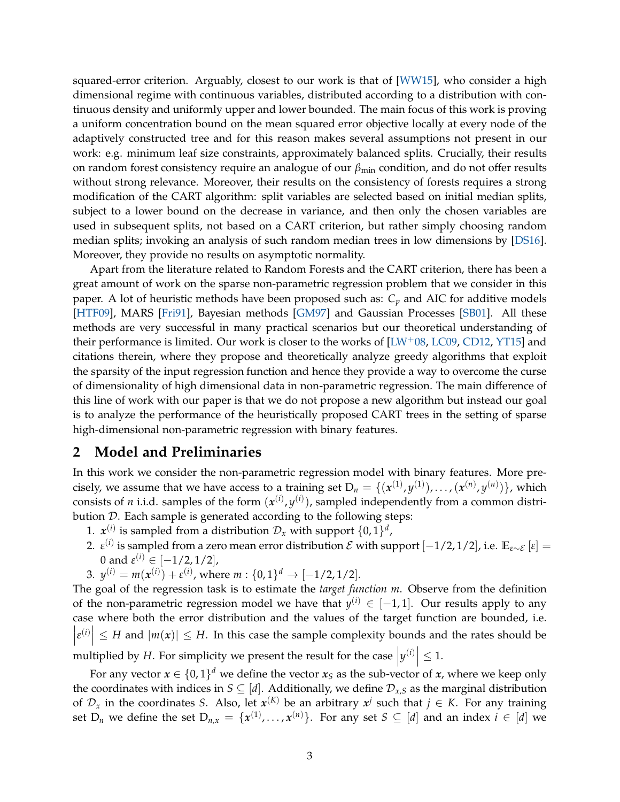squared-error criterion. Arguably, closest to our work is that of [\[WW15\]](#page-19-4), who consider a high dimensional regime with continuous variables, distributed according to a distribution with continuous density and uniformly upper and lower bounded. The main focus of this work is proving a uniform concentration bound on the mean squared error objective locally at every node of the adaptively constructed tree and for this reason makes several assumptions not present in our work: e.g. minimum leaf size constraints, approximately balanced splits. Crucially, their results on random forest consistency require an analogue of our *β*<sub>min</sub> condition, and do not offer results without strong relevance. Moreover, their results on the consistency of forests requires a strong modification of the CART algorithm: split variables are selected based on initial median splits, subject to a lower bound on the decrease in variance, and then only the chosen variables are used in subsequent splits, not based on a CART criterion, but rather simply choosing random median splits; invoking an analysis of such random median trees in low dimensions by [\[DS16\]](#page-17-7). Moreover, they provide no results on asymptotic normality.

Apart from the literature related to Random Forests and the CART criterion, there has been a great amount of work on the sparse non-parametric regression problem that we consider in this paper. A lot of heuristic methods have been proposed such as: *C<sup>p</sup>* and AIC for additive models [\[HTF09\]](#page-18-8), MARS [\[Fri91\]](#page-18-9), Bayesian methods [\[GM97\]](#page-18-10) and Gaussian Processes [\[SB01\]](#page-19-5). All these methods are very successful in many practical scenarios but our theoretical understanding of their performance is limited. Our work is closer to the works of  $[LU^+0.8, LC0.9, CD12, YT15]$  $[LU^+0.8, LC0.9, CD12, YT15]$  $[LU^+0.8, LC0.9, CD12, YT15]$  $[LU^+0.8, LC0.9, CD12, YT15]$  and citations therein, where they propose and theoretically analyze greedy algorithms that exploit the sparsity of the input regression function and hence they provide a way to overcome the curse of dimensionality of high dimensional data in non-parametric regression. The main difference of this line of work with our paper is that we do not propose a new algorithm but instead our goal is to analyze the performance of the heuristically proposed CART trees in the setting of sparse high-dimensional non-parametric regression with binary features.

# **2 Model and Preliminaries**

In this work we consider the non-parametric regression model with binary features. More precisely, we assume that we have access to a training set  $D_n = \{ (x^{(1)}, y^{(1)}), \ldots, (x^{(n)}, y^{(n)}) \}$ , which consists of *n* i.i.d. samples of the form  $(x^{(i)}, y^{(i)})$ , sampled independently from a common distribution D. Each sample is generated according to the following steps:

- 1.  $x_i^{(i)}$  is sampled from a distribution  $\mathcal{D}_x$  with support  $\{0, 1\}^d$ ,
- 2.  $\varepsilon^{(i)}$  is sampled from a zero mean error distribution  $\mathcal E$  with support  $[-1/2, 1/2]$ , i.e.  $\mathbb E_{\varepsilon \sim \mathcal E} [ \varepsilon ] =$ 0 and  $\varepsilon^{(i)} \in [-1/2, 1/2]$ ,
- 3.  $y^{(i)} = m(x^{(i)}) + \varepsilon^{(i)}$ , where  $m : \{0, 1\}^d \to [-1/2, 1/2]$ .

The goal of the regression task is to estimate the *target function m*. Observe from the definition of the non-parametric regression model we have that  $y^{(i)} \in [-1,1]$ . Our results apply to any case where both the error distribution and the values of the target function are bounded, i.e.  $\left| \varepsilon^{(i)} \right| \leq H$  and  $|m(x)| \leq H$ . In this case the sample complexity bounds and the rates should be  $\begin{array}{c} \hline \end{array}$ multiplied by *H*. For simplicity we present the result for the case  $|y^{(i)}| \leq 1$ .

For any vector  $x \in \{0,1\}^d$  we define the vector  $x_S$  as the sub-vector of *x*, where we keep only the coordinates with indices in  $S \subseteq [d]$ . Additionally, we define  $\mathcal{D}_{x,S}$  as the marginal distribution of  $\mathcal{D}_x$  in the coordinates *S*. Also, let  $x^{(K)}$  be an arbitrary  $x^j$  such that  $j \in K$ . For any training set  $D_n$  we define the set  $D_{n,x} = \{x^{(1)},...,x^{(n)}\}$ . For any set  $S \subseteq [d]$  and an index  $i \in [d]$  we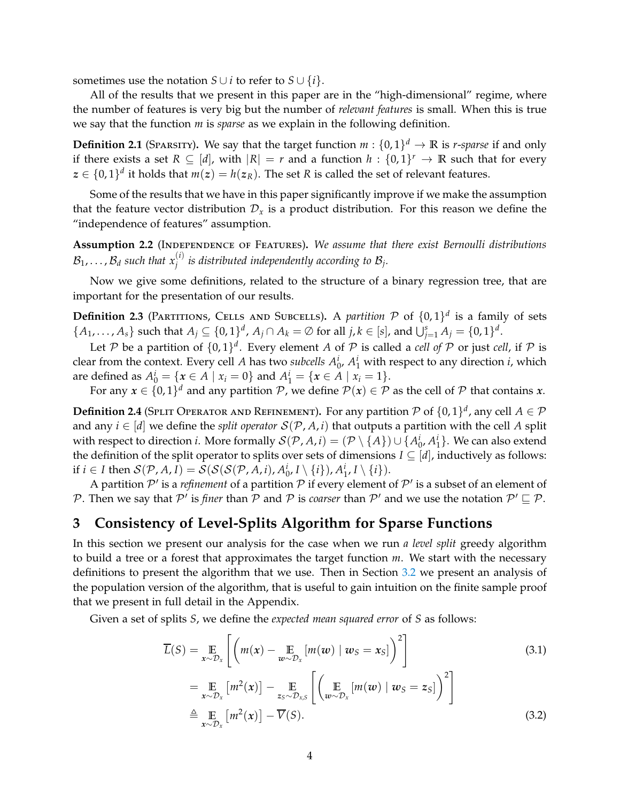sometimes use the notation *S* ∪ *i* to refer to *S* ∪  $\{i\}$ .

All of the results that we present in this paper are in the "high-dimensional" regime, where the number of features is very big but the number of *relevant features* is small. When this is true we say that the function *m* is *sparse* as we explain in the following definition.

**Definition 2.1** (SPARSITY). We say that the target function  $m: \{0,1\}^d \to \mathbb{R}$  is *r*-*sparse* if and only if there exists a set  $R \subseteq [d]$ , with  $|R| = r$  and a function  $h : \{0,1\}^r \to \mathbb{R}$  such that for every  $z \in \{0,1\}^d$  it holds that  $m(z) = h(z_R)$ . The set *R* is called the set of relevant features.

Some of the results that we have in this paper significantly improve if we make the assumption that the feature vector distribution  $\mathcal{D}_x$  is a product distribution. For this reason we define the "independence of features" assumption.

<span id="page-3-1"></span>**Assumption 2.2** (Independence of Features)**.** *We assume that there exist Bernoulli distributions*  $\mathcal{B}_1, \ldots, \mathcal{B}_d$  such that  $x_j^{(i)}$  is distributed independently according to  $\mathcal{B}_j$ .

Now we give some definitions, related to the structure of a binary regression tree, that are important for the presentation of our results.

**Definition 2.3** (PARTITIONS, CELLS AND SUBCELLS). A *partition*  $P$  of  $\{0, 1\}^d$  is a family of sets  $\{A_1, ..., A_s\}$  such that  $A_j \subseteq \{0,1\}^d$ ,  $A_j \cap A_k = \emptyset$  for all  $j, k \in [s]$ , and  $\bigcup_{j=1}^s A_j = \{0,1\}^d$ .

Let P be a partition of  $\{0,1\}^d$ . Every element A of P is called a *cell of* P or just *cell*, if P is clear from the context. Every cell *A* has two *subcells*  $A_0^i$ ,  $A_1^i$  with respect to any direction *i*, which are defined as  $A_0^i = \{x \in A \mid x_i = 0\}$  and  $A_1^i = \{x \in A \mid x_i = 1\}.$ 

For any  $x \in \{0,1\}^d$  and any partition  $\mathcal{P}$ , we define  $\mathcal{P}(x) \in \mathcal{P}$  as the cell of  $\mathcal P$  that contains  $x$ .

**Definition 2.4** (SPLIT OPERATOR AND REFINEMENT). For any partition  $P$  of  $\{0,1\}^d$ , any cell  $A \in \mathcal{P}$ and any  $i \in [d]$  we define the *split operator*  $S(\mathcal{P}, A, i)$  that outputs a partition with the cell A split with respect to direction *i*. More formally  $\mathcal{S}(\mathcal{P},A,\iota)=(\mathcal{P}\setminus\{A\})\cup\{A_0^i,A_1^i\}.$  We can also extend the definition of the split operator to splits over sets of dimensions  $I \subseteq [d]$ , inductively as follows: if  $i \in I$  then  $\mathcal{S}(\mathcal{P}, A, I) = \mathcal{S}(\mathcal{S}(\mathcal{S}(\mathcal{P}, A, i), A_0^i, I \setminus \{i\}), A_1^i, I \setminus \{i\}).$ 

A partition  $\mathcal{P}'$  is a *refinement* of a partition  $\mathcal P$  if every element of  $\mathcal{P}'$  is a subset of an element of P. Then we say that  $\mathcal{P}'$  is *finer* than  $\mathcal P$  and  $\mathcal P$  is *coarser* than  $\mathcal{P}'$  and we use the notation  $\mathcal{P}' \sqsubseteq \mathcal{P}$ .

# **3 Consistency of Level-Splits Algorithm for Sparse Functions**

In this section we present our analysis for the case when we run *a level split* greedy algorithm to build a tree or a forest that approximates the target function *m*. We start with the necessary definitions to present the algorithm that we use. Then in Section [3.2](#page-7-0) we present an analysis of the population version of the algorithm, that is useful to gain intuition on the finite sample proof that we present in full detail in the Appendix.

Given a set of splits *S*, we define the *expected mean squared error* of *S* as follows:

<span id="page-3-2"></span><span id="page-3-0"></span>
$$
\overline{L}(S) = \underset{x \sim \mathcal{D}_x}{\mathbb{E}} \left[ \left( m(x) - \underset{w \sim \mathcal{D}_x}{\mathbb{E}} \left[ m(w) \mid w_S = x_S \right] \right)^2 \right]
$$
\n
$$
= \underset{x \sim \mathcal{D}_x}{\mathbb{E}} \left[ m^2(x) \right] - \underset{z_S \sim \mathcal{D}_{x,S}}{\mathbb{E}} \left[ \left( \underset{w \sim \mathcal{D}_x}{\mathbb{E}} \left[ m(w) \mid w_S = z_S \right] \right)^2 \right]
$$
\n
$$
\stackrel{\triangle}{=} \underset{x \sim \mathcal{D}_x}{\mathbb{E}} \left[ m^2(x) \right] - \overline{V}(S). \tag{3.2}
$$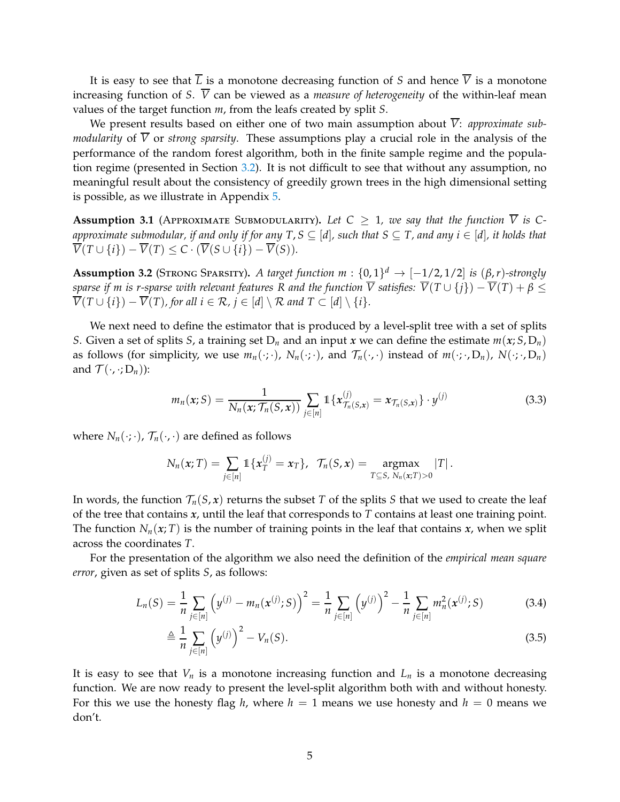It is easy to see that  $\overline{L}$  is a monotone decreasing function of *S* and hence  $\overline{V}$  is a monotone increasing function of *S*.  $\overline{V}$  can be viewed as a *measure of heterogeneity* of the within-leaf mean values of the target function *m*, from the leafs created by split *S*.

We present results based on either one of two main assumption about  $\overline{V}$ : *approximate submodularity* of  $\overline{V}$  or *strong sparsity*. These assumptions play a crucial role in the analysis of the performance of the random forest algorithm, both in the finite sample regime and the population regime (presented in Section [3.2\)](#page-7-0). It is not difficult to see that without any assumption, no meaningful result about the consistency of greedily grown trees in the high dimensional setting is possible, as we illustrate in Appendix [5.](#page-16-0)

<span id="page-4-1"></span>**Assumption 3.1** (APPROXIMATE SUBMODULARITY). Let  $C \geq 1$ , we say that the function  $\overline{V}$  is C*approximate submodular, if and only if for any T, S*  $\subseteq$  [*d*], such that *S*  $\subseteq$  *T, and any i*  $\in$  [*d*], *it holds that*  $\overline{V}(T \cup \{i\}) - \overline{V}(T) \leq C \cdot (\overline{V}(S \cup \{i\}) - \overline{V}(S)).$ 

<span id="page-4-2"></span>**Assumption 3.2** (STRONG SPARSITY). *A target function m* :  $\{0,1\}^d \rightarrow [-1/2, 1/2]$  *is*  $(\beta, r)$ *-strongly sparse if m is r-sparse with relevant features R and the function*  $\overline{V}$  satisfies:  $\overline{V}(T \cup \{j\}) - \overline{V}(T) + \beta \leq$  $\overline{V}(T \cup \{i\}) - \overline{V}(T)$ , for all  $i \in \mathcal{R}$ ,  $j \in [d] \setminus \mathcal{R}$  and  $T \subset [d] \setminus \{i\}$ .

We next need to define the estimator that is produced by a level-split tree with a set of splits *S*. Given a set of splits *S*, a training set  $D_n$  and an input *x* we can define the estimate  $m(x; S, D_n)$ as follows (for simplicity, we use  $m_n(\cdot;\cdot)$ ,  $N_n(\cdot;\cdot)$ , and  $\mathcal{T}_n(\cdot,\cdot)$  instead of  $m(\cdot;\cdot,D_n)$ ,  $N(\cdot;\cdot,D_n)$ and  $\mathcal{T}(\cdot, \cdot; D_n)$ :

<span id="page-4-0"></span>
$$
m_n(x;S) = \frac{1}{N_n(x; \mathcal{T}_n(S,x))} \sum_{j \in [n]} \mathbb{1} \{x_{\mathcal{T}_n(S,x)}^{(j)} = x_{\mathcal{T}_n(S,x)}\} \cdot y^{(j)}
$$
(3.3)

where  $N_n(\cdot;\cdot)$ ,  $\mathcal{T}_n(\cdot;\cdot)$  are defined as follows

$$
N_n(x;T) = \sum_{j \in [n]} \mathbb{1}\{x_T^{(j)} = x_T\}, \ \ \mathcal{T}_n(S,x) = \underset{T \subseteq S, N_n(x;T) > 0}{\text{argmax}} |T|.
$$

In words, the function  $\mathcal{T}_n(S, x)$  returns the subset *T* of the splits *S* that we used to create the leaf of the tree that contains *x*, until the leaf that corresponds to *T* contains at least one training point. The function  $N_n(x; T)$  is the number of training points in the leaf that contains  $x$ , when we split across the coordinates *T*.

For the presentation of the algorithm we also need the definition of the *empirical mean square error*, given as set of splits *S*, as follows:

$$
L_n(S) = \frac{1}{n} \sum_{j \in [n]} \left( y^{(j)} - m_n(x^{(j)}; S) \right)^2 = \frac{1}{n} \sum_{j \in [n]} \left( y^{(j)} \right)^2 - \frac{1}{n} \sum_{j \in [n]} m_n^2(x^{(j)}; S) \tag{3.4}
$$

$$
\triangleq \frac{1}{n} \sum_{j \in [n]} \left( y^{(j)} \right)^2 - V_n(S). \tag{3.5}
$$

It is easy to see that  $V_n$  is a monotone increasing function and  $L_n$  is a monotone decreasing function. We are now ready to present the level-split algorithm both with and without honesty. For this we use the honesty flag *h*, where  $h = 1$  means we use honesty and  $h = 0$  means we don't.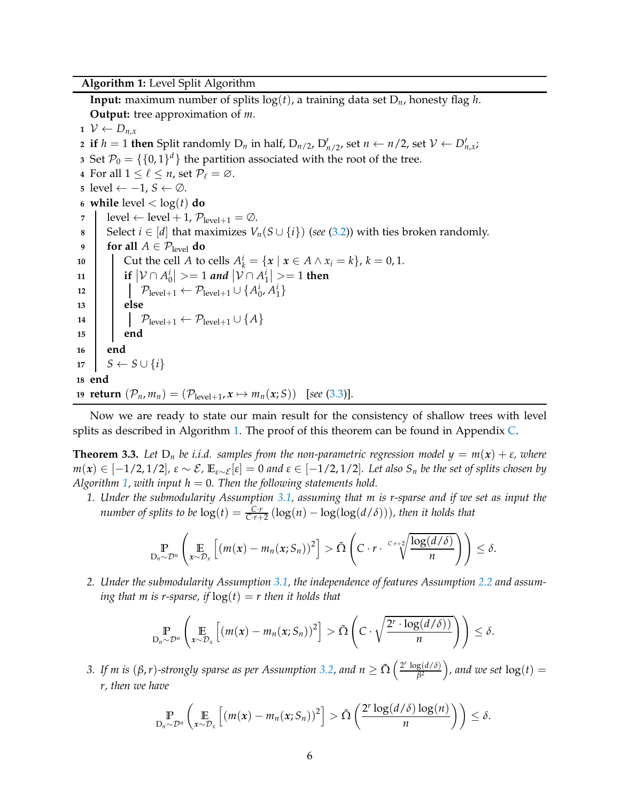<span id="page-5-0"></span>**Algorithm 1:** Level Split Algorithm

**Input:** maximum number of splits  $log(t)$ , a training data set  $D_n$ , honesty flag *h*. **Output:** tree approximation of *m*.

 $1 \mathcal{V} \leftarrow D_{n,x}$  if  $h = 1$  then Split randomly  $D_n$  in half,  $D_{n/2}$ ,  $D'_{n/2}$ , set  $n \leftarrow n/2$ , set  $\mathcal{V} \leftarrow D'_{n,x}$ ; Set  $\mathcal{P}_0 = \{\{0,1\}^d\}$  the partition associated with the root of the tree. For all  $1 \leq \ell \leq n$ , set  $\mathcal{P}_{\ell} = \emptyset$ . level ←  $-1$ ,  $S$  ← ∅. **while** level  $\langle \log(t) \rangle$  **do**  level  $\leftarrow$  level + 1,  $\mathcal{P}_{\text{level+1}} = \emptyset$ . Select *i* ∈ [*d*] that maximizes  $V_n(S \cup \{i\})$  (*see* [\(3.2\)](#page-3-0)) with ties broken randomly. **for all**  $A \in \mathcal{P}_{\text{level}}$  **do**  Cut the cell *A* to cells  $A_k^i = \{x \mid x \in A \land x_i = k\}, k = 0, 1$ . **i**  $|\mathcal{V} \cap A_0^i|$  > = 1 *and*  $|\mathcal{V} \cap A_1^i|$  > = 1 then  $\left[ \begin{array}{c} \mathcal{P}_{\text{level}+1} \leftarrow \mathcal{P}_{\text{level}+1} \cup \{A_0^i, A_1^i\} \end{array} \right]$ **13 else**  $\bigcap_{\text{level}+1} \leftarrow \mathcal{P}_{\text{level}+1} \cup \{A\}$ **15 end 16 end**  $17 \mid S \leftarrow S \cup \{i\}$ **18 end return**  $(\mathcal{P}_n, m_n) = (\mathcal{P}_{level+1}, x \mapsto m_n(x; S))$  [see [\(3.3\)](#page-4-0)].

Now we are ready to state our main result for the consistency of shallow trees with level splits as described in Algorithm [1.](#page-5-0) The proof of this theorem can be found in Appendix [C.](#page-27-0)

<span id="page-5-1"></span>**Theorem 3.3.** Let  $D_n$  be i.i.d. samples from the non-parametric regression model  $y = m(x) + \varepsilon$ , where  $m(x)$  ∈ [−1/2,1/2],  $\varepsilon \sim \mathcal{E}$ ,  $\mathbb{E}_{\varepsilon \sim \mathcal{E}}[\varepsilon] = 0$  and  $\varepsilon \in [-1/2, 1/2]$ . Let also  $S_n$  be the set of splits chosen by *Algorithm* [1,](#page-5-0) *with input*  $h = 0$ . *Then the following statements hold.* 

*1. Under the submodularity Assumption [3.1,](#page-4-1) assuming that m is r-sparse and if we set as input the number of splits to be*  $log(t) = \frac{C \cdot r}{C \cdot r + 2} (log(n) - log(log(d/\delta)))$ *, then it holds that* 

$$
\mathbb{P}_{D_n \sim \mathcal{D}^n}\left(\mathbb{E}_{x \sim \mathcal{D}_x}\left[(m(x) - m_n(x; S_n))^2\right] > \tilde{\Omega}\left(C \cdot r \cdot \frac{c \cdot r + 2}{\sqrt[n]{\frac{\log(d/\delta)}{n}}}\right)\right) \leq \delta.
$$

*2. Under the submodularity Assumption [3.1,](#page-4-1) the independence of features Assumption [2.2](#page-3-1) and assuming that m is r-sparse, if*  $log(t) = r$  *then it holds that* 

$$
\mathbb{P}_{D_n \sim \mathcal{D}^n}\left(\mathbb{E}_{x \sim \mathcal{D}_x}\left[(m(x) - m_n(x; S_n))^2\right] > \tilde{\Omega}\left(C \cdot \sqrt{\frac{2^r \cdot \log(d/\delta))}{n}}\right)\right) \leq \delta.
$$

*3.* If m is  $(\beta, r)$ -strongly sparse as per Assumption [3.2,](#page-4-2) and  $n \ge \tilde{\Omega} \left( \frac{2^r \log(d/\delta)}{\beta^2} \right)$  $\binom{g(d/\delta)}{\beta^2}$ , and we set  $\log(t) =$ *r, then we have*

$$
\Pr_{D_n \sim \mathcal{D}^n} \left( \mathop{\mathbb{E}}_{x \sim \mathcal{D}_x} \left[ \left( m(x) - m_n(x; S_n) \right)^2 \right] > \tilde{\Omega} \left( \frac{2^r \log(d/\delta) \log(n)}{n} \right) \right) \leq \delta.
$$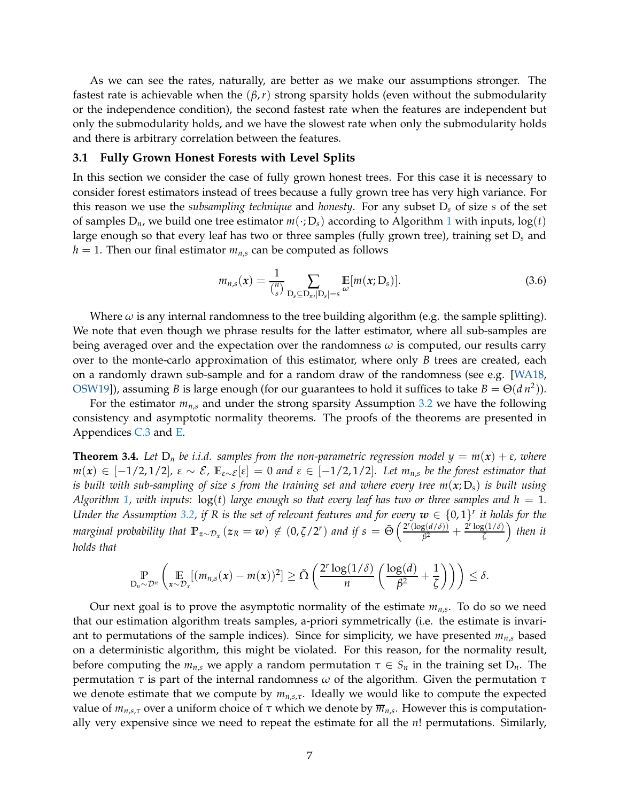As we can see the rates, naturally, are better as we make our assumptions stronger. The fastest rate is achievable when the  $(\beta, r)$  strong sparsity holds (even without the submodularity or the independence condition), the second fastest rate when the features are independent but only the submodularity holds, and we have the slowest rate when only the submodularity holds and there is arbitrary correlation between the features.

#### **3.1 Fully Grown Honest Forests with Level Splits**

In this section we consider the case of fully grown honest trees. For this case it is necessary to consider forest estimators instead of trees because a fully grown tree has very high variance. For this reason we use the *subsampling technique* and *honesty*. For any subset D*<sup>s</sup>* of size *s* of the set of samples  $D_n$ , we build one tree estimator  $m(\cdot; D_s)$  according to Algorithm [1](#page-5-0) with inputs,  $log(t)$ large enough so that every leaf has two or three samples (fully grown tree), training set D*<sup>s</sup>* and  $h = 1$ . Then our final estimator  $m_{n,s}$  can be computed as follows

$$
m_{n,s}(x) = \frac{1}{\binom{n}{s}} \sum_{\substack{\mathbf{D}_s \subseteq \mathbf{D}_{n,r}|\mathbf{D}_s| = s}} \mathbb{E}[m(x; \mathbf{D}_s)]. \tag{3.6}
$$

Where  $\omega$  is any internal randomness to the tree building algorithm (e.g. the sample splitting). We note that even though we phrase results for the latter estimator, where all sub-samples are being averaged over and the expectation over the randomness  $\omega$  is computed, our results carry over to the monte-carlo approximation of this estimator, where only *B* trees are created, each on a randomly drawn sub-sample and for a random draw of the randomness (see e.g. [\[WA18,](#page-19-1) [OSW19\]](#page-19-7)), assuming *B* is large enough (for our guarantees to hold it suffices to take  $B = \Theta(d n^2)$ ).

For the estimator  $m_{n,s}$  and under the strong sparsity Assumption [3.2](#page-4-2) we have the following consistency and asymptotic normality theorems. The proofs of the theorems are presented in Appendices [C.3](#page-37-0) and [E.](#page-48-0)

<span id="page-6-0"></span>**Theorem 3.4.** Let  $D_n$  be i.i.d. samples from the non-parametric regression model  $y = m(x) + \varepsilon$ , where  $m(x) \in [-1/2, 1/2]$ ,  $\varepsilon \sim \mathcal{E}$ ,  $\mathbb{E}_{\varepsilon \sim \mathcal{E}}[\varepsilon] = 0$  and  $\varepsilon \in [-1/2, 1/2]$ . Let  $m_{n,s}$  be the forest estimator that *is built with sub-sampling of size s from the training set and where every tree m*(*x*; D*s*) *is built using Algorithm* [1,](#page-5-0) with inputs:  $log(t)$  *large enough so that every leaf has two or three samples and h* = 1. *Under the Assumption [3.2,](#page-4-2) if R is the set of relevant features and for every*  $w \in \{0,1\}^r$  *it holds for the marginal probability that*  $\mathbb{P}_{z \sim \mathcal{D}_x}(z_R = w) \notin (0, \zeta/2^r)$  *and if*  $s = \tilde{\Theta}\left(\frac{2^r(\log(d/\delta))}{\beta^2}\right)$  $\frac{g(d/\delta)}{\beta^2} + \frac{2^r \log(1/\delta)}{\zeta}$ *ζ then it holds that*

$$
\mathop{\mathbb{P}}_{\mathrm{D}_n \sim \mathcal{D}^n} \left( \mathop{\mathbb{E}}_{x \sim \mathcal{D}_x} [(m_{n,s}(x) - m(x))^2] \geq \tilde{\Omega} \left( \frac{2^r \log(1/\delta)}{n} \left( \frac{\log(d)}{\beta^2} + \frac{1}{\zeta} \right) \right) \right) \leq \delta.
$$

Our next goal is to prove the asymptotic normality of the estimate *mn*,*<sup>s</sup>* . To do so we need that our estimation algorithm treats samples, a-priori symmetrically (i.e. the estimate is invariant to permutations of the sample indices). Since for simplicity, we have presented *mn*,*<sup>s</sup>* based on a deterministic algorithm, this might be violated. For this reason, for the normality result, before computing the  $m_{n,s}$  we apply a random permutation  $\tau \in S_n$  in the training set  $D_n$ . The permutation *τ* is part of the internal randomness *ω* of the algorithm. Given the permutation *τ* we denote estimate that we compute by *mn*,*s*,*τ*. Ideally we would like to compute the expected value of *mn*,*s*,*<sup>τ</sup>* over a uniform choice of *τ* which we denote by *mn*,*<sup>s</sup>* . However this is computationally very expensive since we need to repeat the estimate for all the *n*! permutations. Similarly,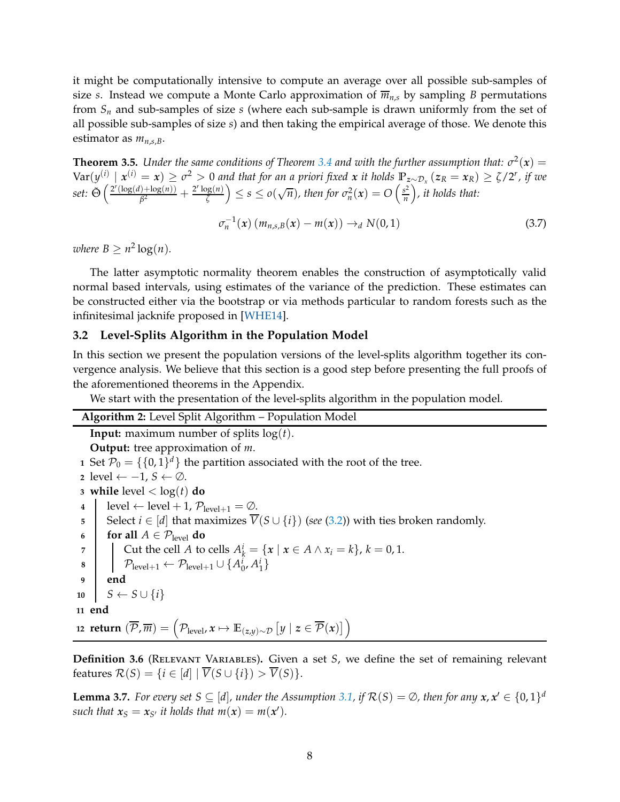it might be computationally intensive to compute an average over all possible sub-samples of size *s*. Instead we compute a Monte Carlo approximation of  $\overline{m}_{n,s}$  by sampling *B* permutations from *S<sup>n</sup>* and sub-samples of size *s* (where each sub-sample is drawn uniformly from the set of all possible sub-samples of size *s*) and then taking the empirical average of those. We denote this estimator as  $m_{n,s,B}$ .

<span id="page-7-4"></span>**Theorem 3.5.** *Under the same conditions of Theorem [3.4](#page-6-0) and with the further assumption that:*  $\sigma^2(x)$  =  $\text{Var}(y^{(i)} | x^{(i)} = x) \ge \sigma^2 > 0$  and that for an a priori fixed x it holds  $\mathbb{P}_{z \sim \mathcal{D}_x}(z_R = x_R) \ge \zeta/2^r$ , if we *set:*  $\tilde{\Theta}$   $\left( \frac{2^r (\log(d) + \log(n))}{\beta^2} \right)$  $\frac{(\lambda+ \log(n))}{\beta^2} + \frac{2^r \log(n)}{\zeta}$  $\left(\frac{\log(n)}{\zeta}\right) \leq s \leq o(\sqrt{n}),$  then for  $\sigma_n^2(x) = O\left(\frac{s^2}{n}\right)$  $\binom{s^2}{n}$ , it holds that:

 $\sigma_n^{-1}(x)$  (*m*<sub>n,*s*,*B*(*x*) − *m*(*x*)) →*d N*(0, 1) (3.7)</sub>

*where*  $B \geq n^2 \log(n)$ *.* 

The latter asymptotic normality theorem enables the construction of asymptotically valid normal based intervals, using estimates of the variance of the prediction. These estimates can be constructed either via the bootstrap or via methods particular to random forests such as the infinitesimal jacknife proposed in [\[WHE14\]](#page-19-8).

#### <span id="page-7-0"></span>**3.2 Level-Splits Algorithm in the Population Model**

In this section we present the population versions of the level-splits algorithm together its convergence analysis. We believe that this section is a good step before presenting the full proofs of the aforementioned theorems in the Appendix.

We start with the presentation of the level-splits algorithm in the population model.

<span id="page-7-1"></span>**Algorithm 2:** Level Split Algorithm – Population Model **Input:** maximum number of splits log(*t*). **Output:** tree approximation of *m*. Set  $\mathcal{P}_0 = \{\{0,1\}^d\}$  the partition associated with the root of the tree. level ← −1, *<sup>S</sup>* ← <sup>∅</sup>. **while** level  $\langle \log(t) \rangle$  **do**   $\vert$  level  $\leftarrow$  level  $+1$ ,  $\mathcal{P}_{\text{level}+1} = \emptyset$ . Select *i* ∈ [*d*] that maximizes  $\overline{V}(S \cup \{i\})$  (*see* [\(3.2\)](#page-3-0)) with ties broken randomly. **for all**  $A \in \mathcal{P}_{\text{level}}$  **do**<br>**7 do** Cut the cell A to Cut the cell *A* to cells  $A_k^i = \{x \mid x \in A \land x_i = k\}, k = 0, 1$ .  $\left[ \quad \mathcal{P}_{\text{level}+1} \leftarrow \mathcal{P}_{\text{level}+1} \cup \{A_0^i, A_1^i\} \right]$ **9 end**  $S \leftarrow S \cup \{i\}$ **11 end**  ${\sf return} \, \left(\overline{\mathcal{P}}, \overline{m}\right) = \left(\mathcal{P}_{\text{level}}, x \mapsto \mathbb{E}_{(z,y) \sim \mathcal{D}}\left[y \mid z \in \overline{\mathcal{P}}(x)\right]\right)$ 

<span id="page-7-3"></span>**Definition 3.6** (Relevant Variables)**.** Given a set *S*, we define the set of remaining relevant features  $\mathcal{R}(S) = \{i \in [d] \mid \overline{V}(S \cup \{i\}) > \overline{V}(S)\}.$ 

<span id="page-7-2"></span>**Lemma 3.7.** *For every set S*  $\subseteq$  [*d*], *under the Assumption* [3.1,](#page-4-1) *if*  $\mathcal{R}(S) = \emptyset$ , *then for any*  $x, x' \in \{0, 1\}^d$ such that  $x_S = x_{S'}$  it holds that  $m(x) = m(x')$ .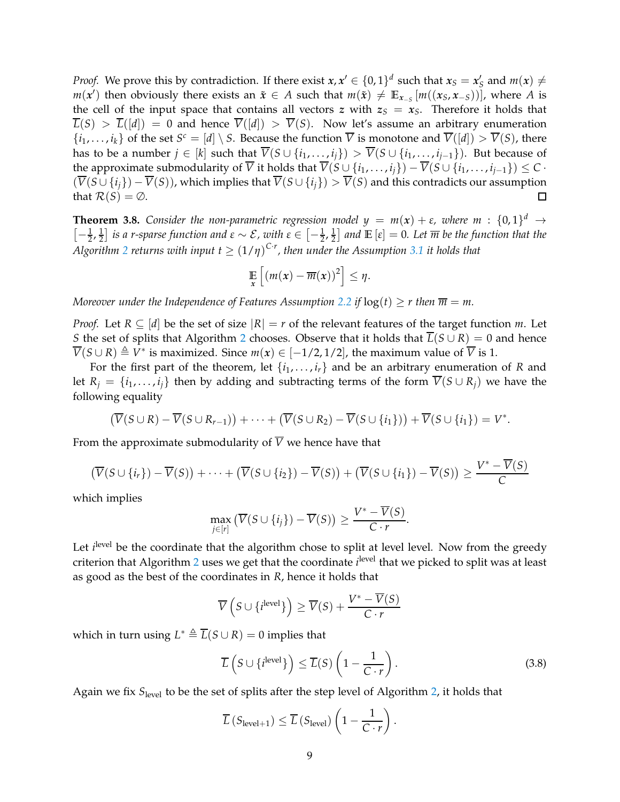*Proof.* We prove this by contradiction. If there exist  $x, x' \in \{0, 1\}^d$  such that  $x_S = x'_S$  and  $m(x) \neq 0$ *m*(*x*<sup> $\prime$ </sup>) then obviously there exists an  $\tilde{x}$  ∈ *A* such that  $m(\tilde{x}) \neq \mathbb{E}_{x_{-S}}[m((x_S, x_{-S}))]$ , where *A* is the cell of the input space that contains all vectors *z* with  $z_s = x_s$ . Therefore it holds that  $\overline{L}(S) > \overline{L}([d]) = 0$  and hence  $\overline{V}([d]) > \overline{V}(S)$ . Now let's assume an arbitrary enumeration  $\{i_1, \ldots, i_k\}$  of the set  $S^c = [d] \setminus S$ . Because the function  $\overline{V}$  is monotone and  $\overline{V}([d]) > \overline{V}(S)$ , there has to be a number  $j \in [k]$  such that  $\overline{V}(S \cup \{i_1, \ldots, i_j\}) > \overline{V}(S \cup \{i_1, \ldots, i_{j-1}\})$ . But because of the approximate submodularity of  $\overline{V}$  it holds that  $\overline{V}(S \cup \{i_1, \ldots, i_i\}) - \overline{V}(S \cup \{i_1, \ldots, i_{i-1}\}) \leq C$ .  $(\overline{V}(S \cup \{i_j\}) - \overline{V}(S))$ , which implies that  $\overline{V}(S \cup \{i_j\}) > \overline{V}(S)$  and this contradicts our assumption that  $\mathcal{R}(S) = \emptyset$ . □ that  $\mathcal{R}(S) = \emptyset$ .

**Theorem 3.8.** *Consider the non-parametric regression model*  $y = m(x) + \varepsilon$ *, where*  $m : \{0,1\}^d \rightarrow$  $\left[-\frac{1}{2},\frac{1}{2}\right]$  $\frac{1}{2}$ ] *is a r-sparse function and ε* ∼ *E*, with ε ∈  $[-\frac{1}{2},\frac{1}{2}]$  $\frac{1}{2}$  and  $\mathbb{E}\left[\varepsilon\right]=0$ . Let  $\overline{m}$  be the function that the  $A$ lgorithm [2](#page-7-1) returns with input  $t \geq (1/\eta)^{C \cdot r}$ , then under the Assumption [3.1](#page-4-1) it holds that

$$
\mathop{\mathbb{E}}_x\left[\left(m(x)-\overline{m}(x)\right)^2\right] \leq \eta.
$$

*Moreover under the Independence of Features Assumption* [2.2](#page-3-1) *if*  $log(t) \ge r$  *then*  $\overline{m} = m$ *.* 

*Proof.* Let  $R \subseteq [d]$  be the set of size  $|R| = r$  of the relevant features of the target function *m*. Let *S* the set of splits that Algorithm [2](#page-7-1) chooses. Observe that it holds that  $\overline{L}(S \cup R) = 0$  and hence  $\overline{V}(S \cup R) \triangleq V^*$  is maximized. Since  $m(x) \in [-1/2, 1/2]$ , the maximum value of  $\overline{V}$  is 1.

For the first part of the theorem, let  $\{i_1, \ldots, i_r\}$  and be an arbitrary enumeration of *R* and let  $R_i = \{i_1, \ldots, i_i\}$  then by adding and subtracting terms of the form  $\overline{V}(S \cup R_i)$  we have the following equality

$$
(\overline{V}(S \cup R) - \overline{V}(S \cup R_{r-1})) + \cdots + (\overline{V}(S \cup R_2) - \overline{V}(S \cup \{i_1\})) + \overline{V}(S \cup \{i_1\}) = V^*.
$$

From the approximate submodularity of  $\overline{V}$  we hence have that

$$
\left(\overline{V}(S \cup \{i_r\}) - \overline{V}(S)\right) + \cdots + \left(\overline{V}(S \cup \{i_2\}) - \overline{V}(S)\right) + \left(\overline{V}(S \cup \{i_1\}) - \overline{V}(S)\right) \ge \frac{V^* - \overline{V}(S)}{C}
$$

which implies

$$
\max_{j\in[r]} \left( \overline{V}(S\cup\{i_j\}) - \overline{V}(S) \right) \ge \frac{V^* - \overline{V}(S)}{C\cdot r}.
$$

Let *i*<sup>level</sup> be the coordinate that the algorithm chose to split at level level. Now from the greedy criterion that Algorithm [2](#page-7-1) uses we get that the coordinate *i*<sup>level</sup> that we picked to split was at least as good as the best of the coordinates in *R*, hence it holds that

$$
\overline{V}\left(S \cup \{i^{\text{level}}\}\right) \ge \overline{V}(S) + \frac{V^* - \overline{V}(S)}{C \cdot r}
$$

which in turn using  $L^* \triangleq \overline{L}(S \cup R) = 0$  implies that

$$
\overline{L}\left(S \cup \{i^{\text{level}}\}\right) \le \overline{L}(S)\left(1 - \frac{1}{C \cdot r}\right). \tag{3.8}
$$

Again we fix *S*level to be the set of splits after the step level of Algorithm [2,](#page-7-1) it holds that

$$
\overline{L}\left(S_{\text{level}+1}\right) \leq \overline{L}\left(S_{\text{level}}\right)\left(1 - \frac{1}{C \cdot r}\right).
$$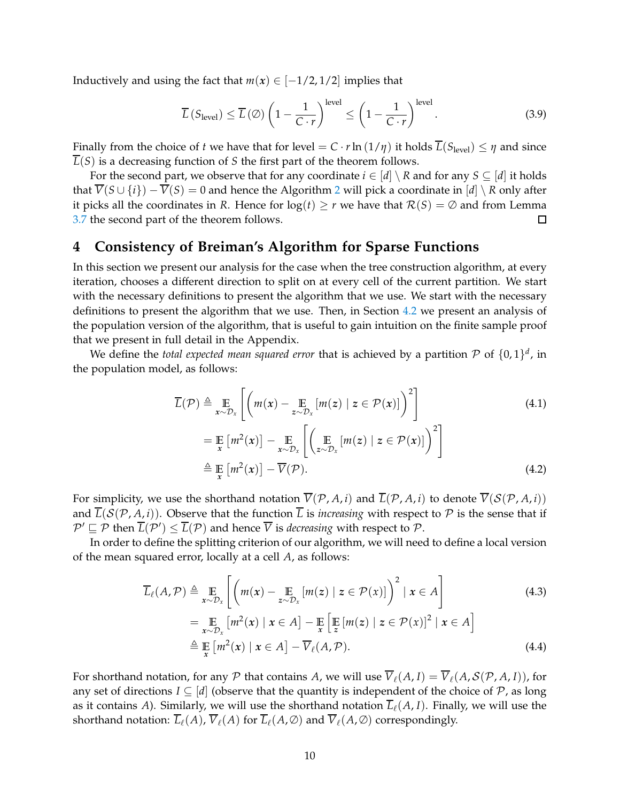Inductively and using the fact that  $m(x) \in [-1/2, 1/2]$  implies that

$$
\overline{L}\left(S_{\text{level}}\right) \le \overline{L}\left(\emptyset\right) \left(1 - \frac{1}{C \cdot r}\right)^{\text{level}} \le \left(1 - \frac{1}{C \cdot r}\right)^{\text{level}}.\tag{3.9}
$$

Finally from the choice of *t* we have that for level =  $C \cdot r \ln(1/\eta)$  it holds  $\overline{L}(S_{\text{level}}) \leq \eta$  and since  $\overline{L}(S)$  is a decreasing function of *S* the first part of the theorem follows.

For the second part, we observe that for any coordinate  $i \in [d] \setminus R$  and for any  $S \subseteq [d]$  it holds that  $\overline{V}(S \cup \{i\}) - \overline{V}(S) = 0$  and hence the Algorithm [2](#page-7-1) will pick a coordinate in  $[d] \setminus R$  only after it picks all the coordinates in *R*. Hence for  $log(t) \ge r$  we have that  $\mathcal{R}(S) = \emptyset$  and from Lemma 3.7 the second part of the theorem follows. [3.7](#page-7-2) the second part of the theorem follows.

# <span id="page-9-2"></span>**4 Consistency of Breiman's Algorithm for Sparse Functions**

In this section we present our analysis for the case when the tree construction algorithm, at every iteration, chooses a different direction to split on at every cell of the current partition. We start with the necessary definitions to present the algorithm that we use. We start with the necessary definitions to present the algorithm that we use. Then, in Section [4.2](#page-13-0) we present an analysis of the population version of the algorithm, that is useful to gain intuition on the finite sample proof that we present in full detail in the Appendix.

We define the *total expected mean squared error* that is achieved by a partition  $P$  of  $\{0,1\}^d$ , in the population model, as follows:

$$
\overline{L}(\mathcal{P}) \triangleq \mathop{\mathbb{E}}_{x \sim \mathcal{D}_x} \left[ \left( m(x) - \mathop{\mathbb{E}}_{z \sim \mathcal{D}_x} [m(z) \mid z \in \mathcal{P}(x)] \right)^2 \right]
$$
\n
$$
= \mathop{\mathbb{E}}_{x} \left[ m^2(x) \right] - \mathop{\mathbb{E}}_{x \sim \mathcal{D}_x} \left[ \left( \mathop{\mathbb{E}}_{z \sim \mathcal{D}_x} [m(z) \mid z \in \mathcal{P}(x)] \right)^2 \right]
$$
\n
$$
\triangleq \mathop{\mathbb{E}}_{x} \left[ m^2(x) \right] - \overline{V}(\mathcal{P}). \tag{4.2}
$$

For simplicity, we use the shorthand notation  $\overline{V}(\mathcal{P}, A, i)$  and  $\overline{L}(\mathcal{P}, A, i)$  to denote  $\overline{V}(S(\mathcal{P}, A, i))$ and  $\overline{L}(\mathcal{S}(\mathcal{P}, A, i))$ . Observe that the function  $\overline{L}$  is *increasing* with respect to  $\mathcal P$  is the sense that if  $\mathcal{P}' \sqsubseteq \mathcal{P}$  then  $L(\mathcal{P}') \leq L(\mathcal{P})$  and hence *V* is *decreasing* with respect to  $\mathcal{P}$ .

In order to define the splitting criterion of our algorithm, we will need to define a local version of the mean squared error, locally at a cell *A*, as follows:

<span id="page-9-1"></span><span id="page-9-0"></span>
$$
\overline{L}_{\ell}(A, \mathcal{P}) \triangleq \mathop{\mathbb{E}}_{x \sim \mathcal{D}_x} \left[ \left( m(x) - \mathop{\mathbb{E}}_{z \sim \mathcal{D}_x} [m(z) \mid z \in \mathcal{P}(x)] \right)^2 \mid x \in A \right]
$$
\n
$$
= \mathop{\mathbb{E}}_{x \sim \mathcal{D}_x} \left[ m^2(x) \mid x \in A \right] - \mathop{\mathbb{E}}_{x} \left[ \mathop{\mathbb{E}}_{z} [m(z) \mid z \in \mathcal{P}(x)]^2 \mid x \in A \right]
$$
\n
$$
\triangleq \mathop{\mathbb{E}}_{x} \left[ m^2(x) \mid x \in A \right] - \overline{V}_{\ell}(A, \mathcal{P}). \tag{4.4}
$$

For shorthand notation, for any P that contains A, we will use  $\overline{V}_\ell(A,I) = \overline{V}_\ell(A,\mathcal{S}(\mathcal{P},A,I))$ , for any set of directions  $I \subseteq [d]$  (observe that the quantity is independent of the choice of P, as long as it contains *A*). Similarly, we will use the shorthand notation  $\overline{L}_{\ell}(A, I)$ . Finally, we will use the shorthand notation:  $\overline{L}_{\ell}(A)$ ,  $\overline{V}_{\ell}(A)$  for  $\overline{L}_{\ell}(A, \emptyset)$  and  $\overline{V}_{\ell}(A, \emptyset)$  correspondingly.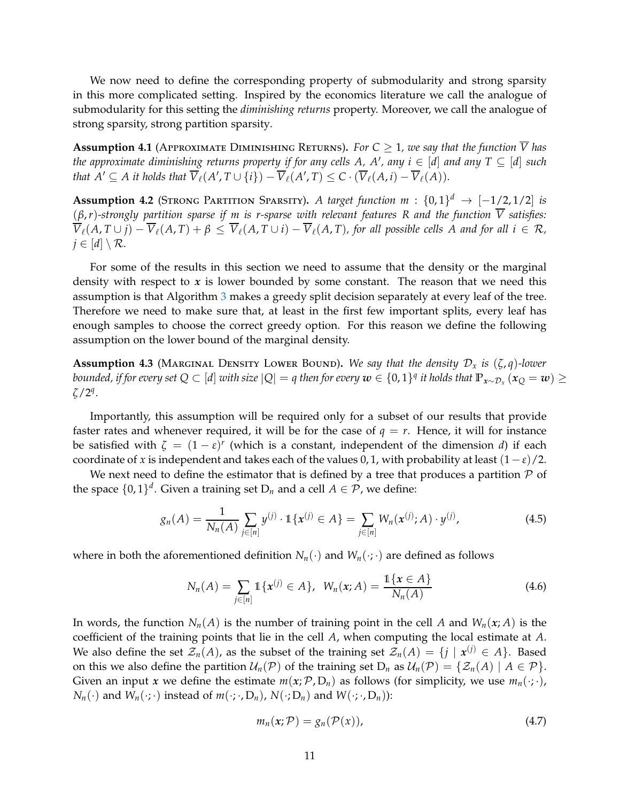We now need to define the corresponding property of submodularity and strong sparsity in this more complicated setting. Inspired by the economics literature we call the analogue of submodularity for this setting the *diminishing returns* property. Moreover, we call the analogue of strong sparsity, strong partition sparsity.

<span id="page-10-1"></span>**Assumption 4.1** (APPROXIMATE DIMINISHING RETURNS). For  $C \geq 1$ , we say that the function  $\overline{V}$  has *the approximate diminishing returns property if for any cells*  $A$ *,*  $A'$ *, any*  $i \in [d]$  *and any*  $T \subseteq [d]$  *such that*  $A' \subseteq A$  *it holds that*  $\overline{V}_{\ell}(A', T \cup \{i\}) - \overline{V}_{\ell}(A', T) \leq C \cdot (\overline{V}_{\ell}(A, i) - \overline{V}_{\ell}(A)).$ 

<span id="page-10-3"></span>**Assumption 4.2** (STRONG PARTITION SPARSITY). *A target function m* :  $\{0,1\}^d$   $\rightarrow$   $[-1/2,1/2]$  *is* (*β*,*r*)*-strongly partition sparse if m is r-sparse with relevant features R and the function V satisfies:*  $\overline{V}_\ell(A, T \cup j) - \overline{V}_\ell(A, T) + \beta \leq \overline{V}_\ell(A, T \cup i) - \overline{V}_\ell(A, T)$ , for all possible cells A and for all  $i \in \mathcal{R}$ ,  $j \in [d] \setminus \mathcal{R}$ .

For some of the results in this section we need to assume that the density or the marginal density with respect to *x* is lower bounded by some constant. The reason that we need this assumption is that Algorithm [3](#page-11-0) makes a greedy split decision separately at every leaf of the tree. Therefore we need to make sure that, at least in the first few important splits, every leaf has enough samples to choose the correct greedy option. For this reason we define the following assumption on the lower bound of the marginal density.

<span id="page-10-2"></span>**Assumption 4.3** (MARGINAL DENSITY LOWER BOUND). We say that the density  $\mathcal{D}_x$  is  $(\zeta, q)$ -lower *bounded, if for every set Q*  $\subset$  [*d*] *with size*  $|Q| = q$  *then for every*  $w \in \{0,1\}^q$  *it holds that*  $\mathbb{P}_{x \sim \mathcal{D}_x} (x_Q = w) \ge$ *ζ*/2*<sup>q</sup> .*

Importantly, this assumption will be required only for a subset of our results that provide faster rates and whenever required, it will be for the case of  $q = r$ . Hence, it will for instance be satisfied with  $\zeta = (1 - \varepsilon)^r$  (which is a constant, independent of the dimension *d*) if each coordinate of *x* is independent and takes each of the values 0, 1, with probability at least  $(1 - \varepsilon)/2$ .

We next need to define the estimator that is defined by a tree that produces a partition  $P$  of the space  $\{0,1\}^d$ . Given a training set  $D_n$  and a cell  $A \in \mathcal{P}$ , we define:

$$
g_n(A) = \frac{1}{N_n(A)} \sum_{j \in [n]} y^{(j)} \cdot \mathbb{1}\{\boldsymbol{x}^{(j)} \in A\} = \sum_{j \in [n]} W_n(\boldsymbol{x}^{(j)}; A) \cdot y^{(j)}, \tag{4.5}
$$

where in both the aforementioned definition  $N_n(\cdot)$  and  $W_n(\cdot;\cdot)$  are defined as follows

$$
N_n(A) = \sum_{j \in [n]} 1\{x^{(j)} \in A\}, \ \ W_n(x;A) = \frac{1\{x \in A\}}{N_n(A)}
$$
(4.6)

In words, the function  $N_n(A)$  is the number of training point in the cell A and  $W_n(x; A)$  is the coefficient of the training points that lie in the cell *A*, when computing the local estimate at *A*. We also define the set  $\mathcal{Z}_n(A)$ , as the subset of the training set  $\mathcal{Z}_n(A) = \{j \mid x^{(j)} \in A\}$ . Based on this we also define the partition  $U_n(\mathcal{P})$  of the training set  $D_n$  as  $U_n(\mathcal{P}) = \{Z_n(A) | A \in \mathcal{P}\}\.$ Given an input *x* we define the estimate  $m(x; P, D_n)$  as follows (for simplicity, we use  $m_n(\cdot; \cdot)$ ,  $N_n(\cdot)$  and  $W_n(\cdot;\cdot)$  instead of  $m(\cdot;\cdot,D_n)$ ,  $N(\cdot;D_n)$  and  $W(\cdot;\cdot,D_n)$ :

<span id="page-10-0"></span>
$$
m_n(x; \mathcal{P}) = g_n(\mathcal{P}(x)), \tag{4.7}
$$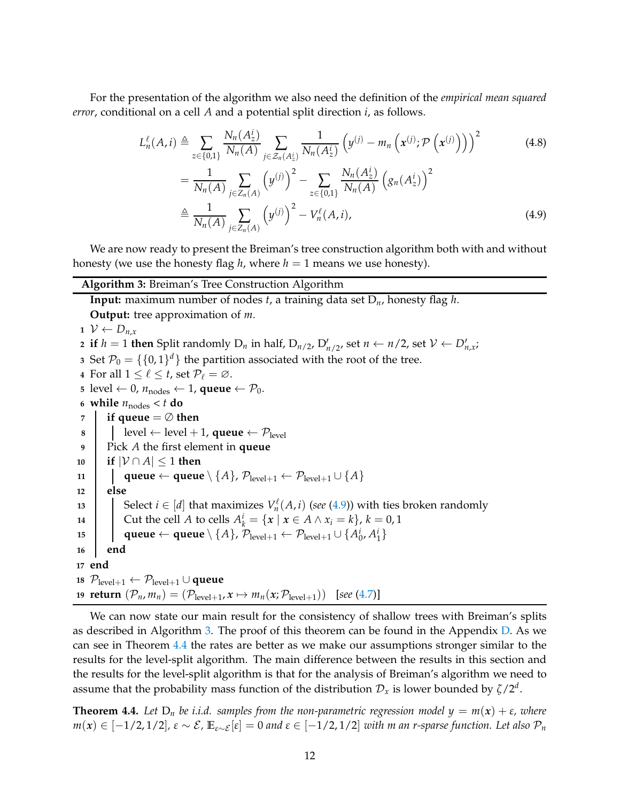For the presentation of the algorithm we also need the definition of the *empirical mean squared error*, conditional on a cell *A* and a potential split direction *i*, as follows.

$$
L_n^{\ell}(A, i) \triangleq \sum_{z \in \{0, 1\}} \frac{N_n(A_z^i)}{N_n(A)} \sum_{j \in \mathcal{Z}_n(A_z^i)} \frac{1}{N_n(A_z^i)} \left( y^{(j)} - m_n \left( x^{(j)} ; \mathcal{P} \left( x^{(j)} \right) \right) \right)^2
$$
(4.8)  

$$
= \frac{1}{N_n(A)} \sum_{j \in \mathcal{Z}_n(A_j)} \left( y^{(j)} \right)^2 - \sum_{j \in \mathcal{Z}_n(A_j)} \frac{N_n(A_z^i)}{N_n(A)} \left( g_n(A_z^i) \right)^2
$$

<span id="page-11-1"></span>
$$
= \frac{1}{N_n(A)} \sum_{j \in Z_n(A)} \left( y^{(j)} \right)^2 - \sum_{z \in \{0,1\}} \frac{N_n(A_z)}{N_n(A)} \left( g_n(A_z^i) \right)^2
$$
  

$$
\triangleq \frac{1}{N_n(A)} \sum_{j \in Z_n(A)} \left( y^{(j)} \right)^2 - V_n^{\ell}(A, i), \tag{4.9}
$$

We are now ready to present the Breiman's tree construction algorithm both with and without honesty (we use the honesty flag *h*, where  $h = 1$  means we use honesty).

#### <span id="page-11-0"></span>**Algorithm 3:** Breiman's Tree Construction Algorithm

**Input:** maximum number of nodes *t*, a training data set D*n*, honesty flag *h*.

**Output:** tree approximation of *m*.  $V$  ←  $D_{n,x}$  if  $h = 1$  then Split randomly  $D_n$  in half,  $D_{n/2}$ ,  $D'_{n/2}$ , set  $n \leftarrow n/2$ , set  $\mathcal{V} \leftarrow D'_{n,x}$ ; Set  $\mathcal{P}_0 = \{\{0,1\}^d\}$  the partition associated with the root of the tree. For all  $1 \leq \ell \leq t$ , set  $\mathcal{P}_{\ell} = \emptyset$ . level ← 0,  $n_{nodes}$  ← 1, **queue** ←  $P_0$ . **while**  $n_{\text{nodes}} < t$  **do if queue**  $=$   $\emptyset$  **then e** level  $\leftarrow$  level + 1, **queue**  $\leftarrow$   $\mathcal{P}_{\text{level}}$  Pick *A* the first element in **queue if** |V ∩ *A*| ≤ 1 **then dueue** ← **queue**  $\setminus$  {*A*},  $\mathcal{P}_{level+1}$  ←  $\mathcal{P}_{level+1} \cup$  {*A*} **12 else** Select  $i \in [d]$  that maximizes  $V_n^{\ell}$  $f_n^{\ell}(A,i)$  (*see* [\(4.9\)](#page-11-1)) with ties broken randomly

**14** Cut the cell *A* to cells  $A_k^i = \{x \mid x \in A \land x_i = k\}, k = 0, 1$ 

$$
\qquad \qquad \text{15} \qquad \qquad \text{queue} \leftarrow \text{queue} \setminus \{A\}, \, \mathcal{P}_{\text{level}+1} \leftarrow \mathcal{P}_{\text{level}+1} \cup \{A_0^i, A_1^i\}
$$

**16 end**

**17 end**

**<sup>18</sup>** Plevel+<sup>1</sup> ← Plevel+<sup>1</sup> ∪ **queue**

**19 return**  $(\mathcal{P}_n, m_n) = (\mathcal{P}_{level+1}, x \mapsto m_n(x; \mathcal{P}_{level+1}))$  [see [\(4.7\)](#page-10-0)]

We can now state our main result for the consistency of shallow trees with Breiman's splits as described in Algorithm [3.](#page-11-0) The proof of this theorem can be found in the Appendix  $D$ . As we can see in Theorem [4.4](#page-11-2) the rates are better as we make our assumptions stronger similar to the results for the level-split algorithm. The main difference between the results in this section and the results for the level-split algorithm is that for the analysis of Breiman's algorithm we need to assume that the probability mass function of the distribution  $\mathcal{D}_x$  is lower bounded by  $\zeta/2^d$ .

<span id="page-11-2"></span>**Theorem 4.4.** Let  $D_n$  be i.i.d. samples from the non-parametric regression model  $y = m(x) + \varepsilon$ , where  $m(x)$  ∈ [−1/2, 1/2],  $\varepsilon \sim \mathcal{E}$ ,  $\mathbb{E}_{\varepsilon \sim \mathcal{E}}[\varepsilon] = 0$  and  $\varepsilon \in [-1/2, 1/2]$  *with m an r-sparse function. Let also*  $\mathcal{P}_n$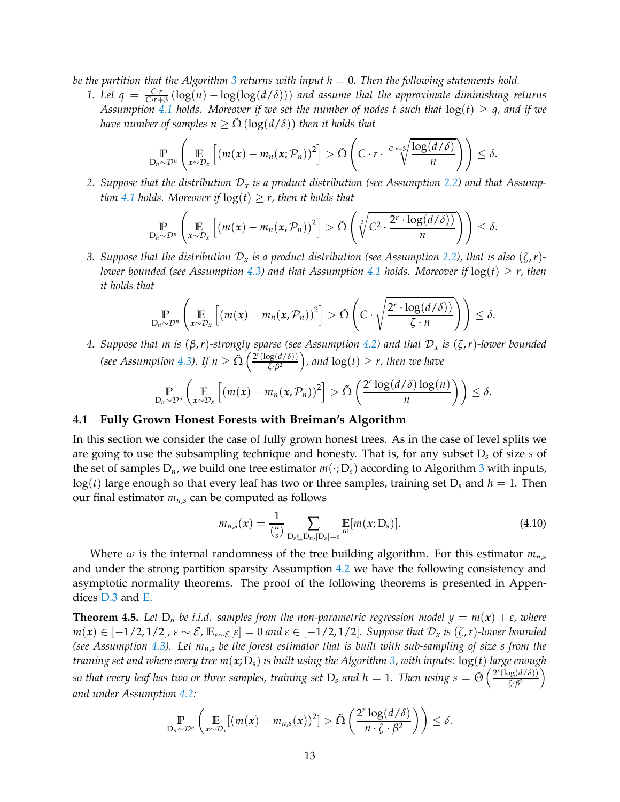*be the partition that the Algorithm [3](#page-11-0) returns with input h* = 0*. Then the following statements hold.*

*1. Let q* =  $\frac{Cr}{Cr+3}(\log(n) - \log(\log(d/\delta)))$  *and assume that the approximate diminishing returns Assumption* [4.1](#page-10-1) *holds.* Moreover if we set the number of nodes t such that  $log(t) \geq q$ , and if we *have number of samples n*  $\geq \Omega(\log(d/\delta))$  *then it holds that* 

$$
\mathbb{P}_{D_n \sim \mathcal{D}^n}\left(\mathbb{E}_{x \sim \mathcal{D}_x}\left[(m(x) - m_n(x; \mathcal{P}_n))^2\right] > \tilde{\Omega}\left(C \cdot r \cdot \sqrt[C]{\frac{\log(d/\delta)}{n}}\right)\right) \leq \delta.
$$

*2. Suppose that the distribution* D*<sup>x</sup> is a product distribution (see Assumption [2.2\)](#page-3-1) and that Assumption* [4.1](#page-10-1) *holds.* Moreover if  $log(t) \geq r$ , then it holds that

$$
\mathbb{P}_{D_n \sim \mathcal{D}^n}\left(\mathbb{E}_{x \sim \mathcal{D}_x}\left[(m(x) - m_n(x,\mathcal{P}_n))^2\right] > \tilde{\Omega}\left(\sqrt[3]{C^2 \cdot \frac{2^r \cdot \log(d/\delta))}{n}}\right)\right) \leq \delta.
$$

*3. Suppose that the distribution*  $\mathcal{D}_x$  *is a product distribution (see Assumption [2.2\)](#page-3-1), that is also*  $(\zeta, r)$ -*lower bounded (see Assumption [4.3\)](#page-10-2)* and that Assumption [4.1](#page-10-1) holds. Moreover if  $log(t) \geq r$ , then *it holds that*

$$
\mathbb{P}_{D_n \sim \mathcal{D}^n} \left( \mathop{\mathbb{E}}_{x \sim \mathcal{D}_x} \left[ \left( m(x) - m_n(x, \mathcal{P}_n) \right)^2 \right] > \tilde{\Omega} \left( C \cdot \sqrt{\frac{2^r \cdot \log(d/\delta)}{\zeta \cdot n}} \right) \right) \leq \delta.
$$

*4. Suppose that m is* (*β*,*r*)*-strongly sparse (see Assumption [4.2\)](#page-10-3) and that* D*<sup>x</sup> is* (*ζ*,*r*)*-lower bounded (see Assumption [4.3\)](#page-10-2).* If  $n \geq \tilde{\Omega} \left( \frac{2^r (\log(d/\delta))}{\zeta \cdot \beta^2} \right)$  $\frac{\log(d/\delta)}{\delta \sqrt{\delta}}$ , and  $\log(t) \geq r$ , then we have

$$
\mathop{\mathbb{P}}_{D_n \sim \mathcal{D}^n} \left( \mathop{\mathbb{E}}_{x \sim \mathcal{D}_x} \left[ \left( m(x) - m_n(x, \mathcal{P}_n) \right)^2 \right] > \tilde{\Omega} \left( \frac{2^r \log(d/\delta) \log(n)}{n} \right) \right) \leq \delta.
$$

### **4.1 Fully Grown Honest Forests with Breiman's Algorithm**

In this section we consider the case of fully grown honest trees. As in the case of level splits we are going to use the subsampling technique and honesty. That is, for any subset D*<sup>s</sup>* of size *s* of the set of samples  $D_n$ , we build one tree estimator  $m(\cdot; D_s)$  according to Algorithm [3](#page-11-0) with inputs,  $log(t)$  large enough so that every leaf has two or three samples, training set  $D_s$  and  $h = 1$ . Then our final estimator  $m_{n,s}$  can be computed as follows

$$
m_{n,s}(x) = \frac{1}{\binom{n}{s}} \sum_{\substack{\mathbf{D}_s \subseteq \mathbf{D}_{n,r}|\mathbf{D}_s| = s}} \mathbb{E}[m(x; \mathbf{D}_s)]. \tag{4.10}
$$

Where  $\omega$  is the internal randomness of the tree building algorithm. For this estimator  $m_{n,s}$ and under the strong partition sparsity Assumption [4.2](#page-10-3) we have the following consistency and asymptotic normality theorems. The proof of the following theorems is presented in Appendices [D.3](#page-47-0) and [E.](#page-48-0)

<span id="page-12-0"></span>**Theorem 4.5.** Let  $D_n$  be i.i.d. samples from the non-parametric regression model  $y = m(x) + \varepsilon$ , where *m*(*x*) ∈ [−1/2,1/2], ε ∼ E,  $\mathbb{E}_{\varepsilon \sim \mathcal{E}}[\varepsilon] = 0$  and  $\varepsilon$  ∈ [−1/2,1/2]. Suppose that  $\mathcal{D}_x$  is (ζ, r)-lower bounded *(see Assumption [4.3\)](#page-10-2). Let mn*,*<sup>s</sup> be the forest estimator that is built with sub-sampling of size s from the training set and where every tree m*(*x*; D*s*) *is built using the Algorithm [3,](#page-11-0) with inputs:* log(*t*) *large enough* so that every leaf has two or three samples, training set  $D_s$  and  $h=1$ . Then using  $s=\tilde{\Theta}\left(\frac{2^r(\log(d/\delta))}{7\cdot\beta^2}\right)$ *ζ*·*β* 2 *and under Assumption [4.2:](#page-10-3)*

$$
\mathbb{P}_{D_n \sim \mathcal{D}^n} \left( \mathop{\mathbb{E}}_{x \sim \mathcal{D}_x} [(m(x) - m_{n,s}(x))^2] > \tilde{\Omega} \left( \frac{2^r \log(d/\delta)}{n \cdot \zeta \cdot \beta^2} \right) \right) \leq \delta.
$$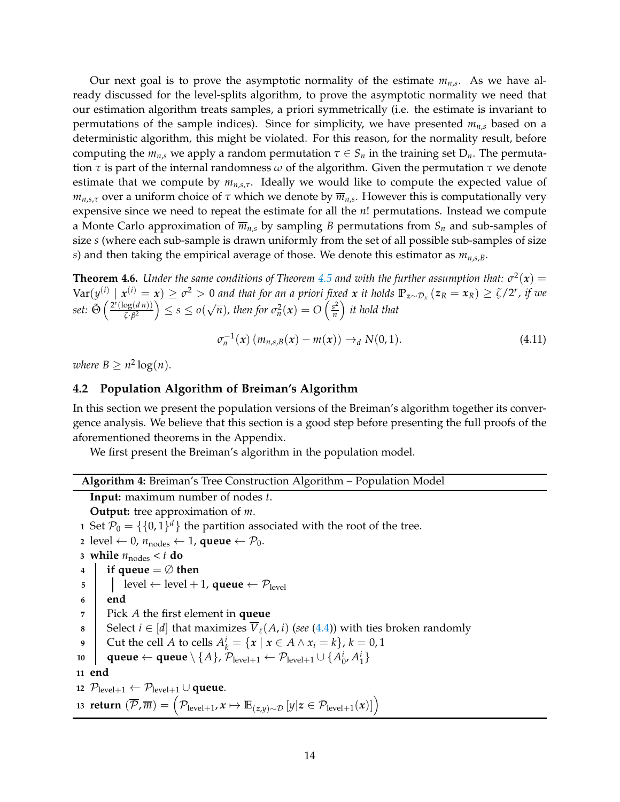Our next goal is to prove the asymptotic normality of the estimate *mn*,*<sup>s</sup>* . As we have already discussed for the level-splits algorithm, to prove the asymptotic normality we need that our estimation algorithm treats samples, a priori symmetrically (i.e. the estimate is invariant to permutations of the sample indices). Since for simplicity, we have presented  $m_{n,s}$  based on a deterministic algorithm, this might be violated. For this reason, for the normality result, before computing the  $m_{n,s}$  we apply a random permutation  $\tau \in S_n$  in the training set  $D_n$ . The permutation *τ* is part of the internal randomness *ω* of the algorithm. Given the permutation *τ* we denote estimate that we compute by *mn*,*s*,*τ*. Ideally we would like to compute the expected value of *mn*,*s*,*<sup>τ</sup>* over a uniform choice of *τ* which we denote by *mn*,*<sup>s</sup>* . However this is computationally very expensive since we need to repeat the estimate for all the *n*! permutations. Instead we compute a Monte Carlo approximation of  $\overline{m}_{n,s}$  by sampling *B* permutations from  $S_n$  and sub-samples of size *s* (where each sub-sample is drawn uniformly from the set of all possible sub-samples of size *s*) and then taking the empirical average of those. We denote this estimator as *mn*,*s*,*B*.

<span id="page-13-2"></span>**Theorem 4.6.** *Under the same conditions of Theorem [4.5](#page-12-0) and with the further assumption that:*  $\sigma^2(x)$  =  $\text{Var}(y^{(i)} \mid x^{(i)} = x) \geq \sigma^2 > 0$  and that for an a priori fixed x it holds  $\mathbb{P}_{z \sim \mathcal{D}_x} (z_R = x_R) \geq \zeta/2^r$ , if we  $set: \tilde{\Theta} \left( \frac{2^r (\log(d n))}{7 \cdot 6^2} \right)$  $\left(\frac{\log(d n))}{\zeta \cdot \beta^2}\right) \leq s \leq o(\sqrt{n})$ , then for  $\sigma_n^2(x) = O\left(\frac{s^2}{n}\right)$  $\binom{s^2}{n}$  it hold that

$$
\sigma_n^{-1}(x) (m_{n,s,B}(x) - m(x)) \to_d N(0,1).
$$
 (4.11)

<span id="page-13-0"></span>*where*  $B \geq n^2 \log(n)$ *.* 

### **4.2 Population Algorithm of Breiman's Algorithm**

In this section we present the population versions of the Breiman's algorithm together its convergence analysis. We believe that this section is a good step before presenting the full proofs of the aforementioned theorems in the Appendix.

We first present the Breiman's algorithm in the population model.

| Algorithm 4: Breiman's Tree Construction Algorithm - Population Model |  |  |
|-----------------------------------------------------------------------|--|--|
|                                                                       |  |  |

<span id="page-13-1"></span>**Input:** maximum number of nodes *t*.

**Output:** tree approximation of *m*.

**1** Set  $\mathcal{P}_0 = \{\{0,1\}^d\}$  the partition associated with the root of the tree.

**2** level ← 0,  $n_{nodes}$  ← 1, **queue** ←  $P_0$ .

3 while 
$$
n_{\text{nodes}} < t
$$
 do\n4 if queue =  $\emptyset$  then

$$
\begin{array}{c|c} \n 5 & | & | & level \leftarrow level + 1, \text{ queue} \leftarrow \mathcal{P}_{level} \n\end{array}
$$

```
6 end
```
7 
$$
\mid
$$
 Pick *A* the first element in **queue**

8 Select 
$$
i \in [d]
$$
 that maximizes  $\overline{V}_{\ell}(A, i)$  (see (4.4)) with ties broken randomly

9 Cut the cell *A* to cells 
$$
A_k^i = \{x \mid x \in A \land x_i = k\}, k = 0, 1
$$

$$
\text{10} \quad \text{queue} \leftarrow \text{queue} \setminus \{A\}, \, \mathcal{P}_{\text{level}+1} \leftarrow \mathcal{P}_{\text{level}+1} \cup \{A_0^i, A_1^i\}
$$

**11 end**

**12**  $\mathcal{P}_{level+1}$  ←  $\mathcal{P}_{level+1}$  ∪ **queue.** 13  ${\bf return} \ (\overline{\mathcal{P}}, \overline{m}) = \left( \mathcal{P}_{\text{level}+1}, x \mapsto \mathbb{E}_{(z,y) \sim \mathcal{D}} \left[ y | z \in \mathcal{P}_{\text{level}+1}(x) \right] \right)$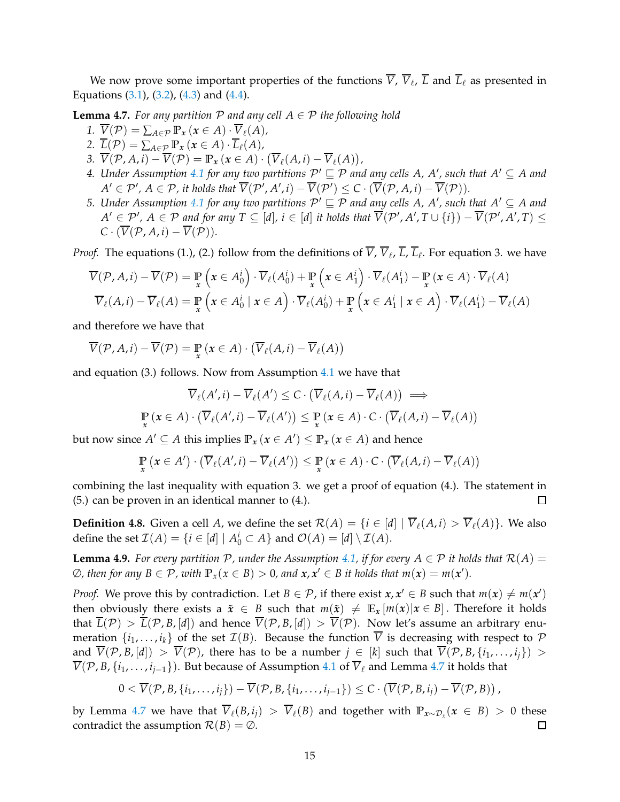We now prove some important properties of the functions *V*, *V*ℓ , *L* and *L*ℓ as presented in Equations  $(3.1)$ ,  $(3.2)$ ,  $(4.3)$  and  $(4.4)$ .

<span id="page-14-0"></span>**Lemma 4.7.** *For any partition*  $P$  *and any cell*  $A \in P$  *the following hold* 

- 1.  $\overline{V}(\mathcal{P}) = \sum_{A \in \mathcal{P}} \mathbb{P}_x(x \in A) \cdot \overline{V}_\ell(A)$
- 2.  $\overline{L}(\mathcal{P}) = \sum_{A \in \mathcal{P}} \mathbb{P}_x \left( x \in A \right) \cdot \overline{L}_{\ell}(A)$ ,
- 3.  $\overline{V}(\mathcal{P}, A, i) \overline{V}(\mathcal{P}) = \mathbb{P}_x(x \in A) \cdot (\overline{V}_{\ell}(A, i) \overline{V}_{\ell}(A)),$
- 4. Under Assumption [4.1](#page-10-1) for any two partitions  $P' \sqsubseteq P$  and any cells A, A', such that  $A' \subseteq A$  and  $A' \in \mathcal{P}'$ ,  $A \in \mathcal{P}$ , it holds that  $V(\mathcal{P}', A', i) - V(\mathcal{P}') \leq C \cdot (V(\mathcal{P}, A, i) - V(\mathcal{P})).$
- *5. Under Assumption* [4.1](#page-10-1) for any two partitions  $P' \sqsubseteq P$  and any cells A, A', such that  $A' \subseteq A$  and  $A' \in \mathcal{P}'$ ,  $A \in \mathcal{P}$  and for any  $T \subseteq [d]$ ,  $i \in [d]$  it holds that  $V(\mathcal{P}', A', T \cup \{i\}) - V(\mathcal{P}', A', T) \leq$  $C \cdot (\overline{V}(\mathcal{P}, A, i) - \overline{V}(\mathcal{P})).$

*Proof.* The equations (1.), (2.) follow from the definitions of *V*, *V*<sub>ℓ</sub>, *L*, *L*<sub>ℓ</sub>. For equation 3. we have

$$
\overline{V}(\mathcal{P}, A, i) - \overline{V}(\mathcal{P}) = \mathbb{P}_{x} \left( x \in A_{0}^{i} \right) \cdot \overline{V}_{\ell}(A_{0}^{i}) + \mathbb{P}_{x} \left( x \in A_{1}^{i} \right) \cdot \overline{V}_{\ell}(A_{1}^{i}) - \mathbb{P}_{x} \left( x \in A \right) \cdot \overline{V}_{\ell}(A)
$$
\n
$$
\overline{V}_{\ell}(A, i) - \overline{V}_{\ell}(A) = \mathbb{P}_{x} \left( x \in A_{0}^{i} \mid x \in A \right) \cdot \overline{V}_{\ell}(A_{0}^{i}) + \mathbb{P}_{x} \left( x \in A_{1}^{i} \mid x \in A \right) \cdot \overline{V}_{\ell}(A_{1}^{i}) - \overline{V}_{\ell}(A)
$$

and therefore we have that

$$
\overline{V}(\mathcal{P}, A, i) - \overline{V}(\mathcal{P}) = \mathop{\mathbb{P}}_{x} (x \in A) \cdot (\overline{V}_{\ell}(A, i) - \overline{V}_{\ell}(A))
$$

and equation (3.) follows. Now from Assumption [4.1](#page-10-1) we have that

$$
\overline{V}_{\ell}(A',i) - \overline{V}_{\ell}(A') \leq C \cdot (\overline{V}_{\ell}(A,i) - \overline{V}_{\ell}(A)) \implies
$$
  

$$
\mathbb{P}_{x}(x \in A) \cdot (\overline{V}_{\ell}(A',i) - \overline{V}_{\ell}(A')) \leq \mathbb{P}_{x}(x \in A) \cdot C \cdot (\overline{V}_{\ell}(A,i) - \overline{V}_{\ell}(A))
$$

but now since  $A' \subseteq A$  this implies  $\mathbb{P}_x$   $(x \in A') \leq \mathbb{P}_x$   $(x \in A)$  and hence

$$
\mathop{\mathbb{P}}_{x} (x \in A') \cdot (\overline{V}_{\ell}(A', i) - \overline{V}_{\ell}(A')) \leq \mathop{\mathbb{P}}_{x} (x \in A) \cdot C \cdot (\overline{V}_{\ell}(A, i) - \overline{V}_{\ell}(A))
$$

combining the last inequality with equation 3. we get a proof of equation (4.). The statement in (5.) can be proven in an identical manner to (4.).  $\Box$ 

<span id="page-14-2"></span>**Definition 4.8.** Given a cell *A*, we define the set  $\mathcal{R}(A) = \{i \in [d] \mid \overline{V}_{\ell}(A, i) > \overline{V}_{\ell}(A)\}$ . We also define the set  $\mathcal{I}(A) = \{i \in [d] \mid A_0^i \subset A\}$  and  $\mathcal{O}(A) = [d] \setminus \mathcal{I}(A)$ .

<span id="page-14-1"></span>**Lemma 4.9.** For every partition P, under the Assumption [4.1,](#page-10-1) if for every  $A \in \mathcal{P}$  it holds that  $\mathcal{R}(A) =$  $\emptyset$ , then for any  $B \in \mathcal{P}$ , with  $\mathbb{P}_x(x \in B) > 0$ , and  $x, x' \in B$  it holds that  $m(x) = m(x')$ .

*Proof.* We prove this by contradiction. Let  $B \in \mathcal{P}$ , if there exist  $x, x' \in B$  such that  $m(x) \neq m(x')$ then obviously there exists a  $\tilde{x} \in B$  such that  $m(\tilde{x}) \neq \mathbb{E}_x[m(x)|x \in B]$ . Therefore it holds that  $\overline{L}(\mathcal{P}) > \overline{L}(\mathcal{P}, B, [d])$  and hence  $\overline{V}(\mathcal{P}, B, [d]) > \overline{V}(\mathcal{P})$ . Now let's assume an arbitrary enumeration  $\{i_1, \ldots, i_k\}$  of the set  $\mathcal{I}(B)$ . Because the function  $\overline{V}$  is decreasing with respect to  $\mathcal P$ and  $\overline{V}(\mathcal{P}, B, [d]) > \overline{V}(\mathcal{P})$ , there has to be a number  $j \in [k]$  such that  $\overline{V}(\mathcal{P}, B, \{i_1, \ldots, i_j\}) >$  $\overline{V}(\mathcal{P}, B, \{i_1, \ldots, i_{j-1}\})$ . But because of Assumption [4.1](#page-10-1) of  $\overline{V}_\ell$  and Lemma [4.7](#page-14-0) it holds that

$$
0 < \overline{V}(\mathcal{P}, B, \{i_1, \ldots, i_j\}) - \overline{V}(\mathcal{P}, B, \{i_1, \ldots, i_{j-1}\}) \leq C \cdot (\overline{V}(\mathcal{P}, B, i_j) - \overline{V}(\mathcal{P}, B)),
$$

by Lemma [4.7](#page-14-0) we have that  $\overline{V}_\ell(B,i_j) > \overline{V}_\ell(B)$  and together with  $\mathbb{P}_{x \sim \mathcal{D}_x}(x \in B) > 0$  these contradict the assumption  $\mathcal{R}(B) = \emptyset$ .  $\Box$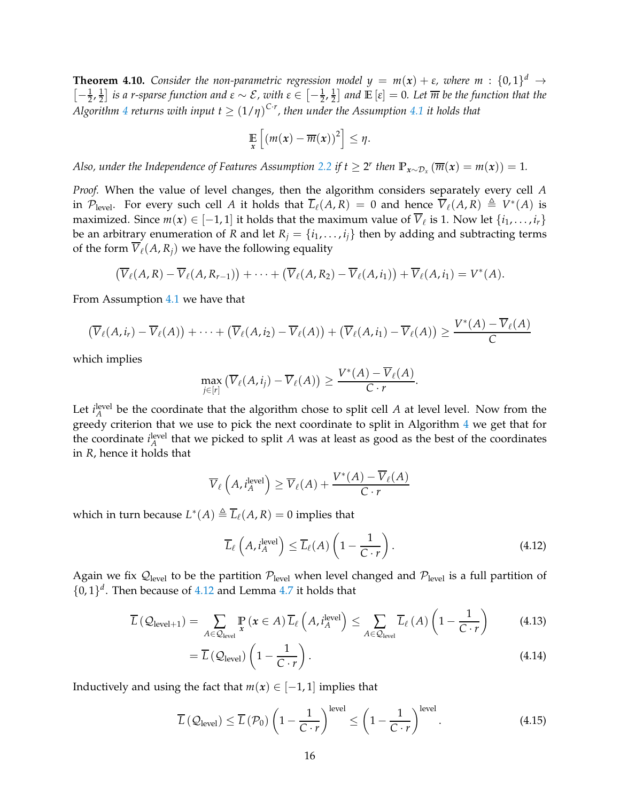**Theorem 4.10.** *Consider the non-parametric regression model*  $y = m(x) + \varepsilon$ *, where*  $m : \{0,1\}^d \rightarrow$  $\left[-\frac{1}{2},\frac{1}{2}\right]$  $\frac{1}{2}$ ] *is a r-sparse function and ε* ∼ *E*, with ε ∈  $[-\frac{1}{2},\frac{1}{2}]$  $\frac{1}{2}$  and  $\mathbb{E}\left[\varepsilon\right]=0$ . Let  $\overline{m}$  be the function that the  $A$ lgorithm  $4$  returns with input  $t \geq (1/\eta)^{C \cdot r}$ , then under the Assumption  $4.1$  it holds that

$$
\mathop{\mathbb{E}}_x\left[\left(m(x)-\overline{m}(x)\right)^2\right] \leq \eta.
$$

*Also, under the Independence of Features Assumption [2.2](#page-3-1) if*  $t \geq 2^r$  *then*  $\mathbb{P}_{x \sim \mathcal{D}_x} (\overline{m}(x) = m(x)) = 1$ *.* 

*Proof.* When the value of level changes, then the algorithm considers separately every cell *A* in  $\mathcal{P}_{\text{level}}$ . For every such cell *A* it holds that  $\overline{L}_{\ell}(A, R) = 0$  and hence  $\overline{V}_{\ell}(A, R) \triangleq V^*(A)$  is maximized. Since  $m(x) \in [-1, 1]$  it holds that the maximum value of  $V_{\ell}$  is 1. Now let  $\{i_1, \ldots, i_r\}$ be an arbitrary enumeration of *R* and let  $R_i = \{i_1, \ldots, i_j\}$  then by adding and subtracting terms of the form  $\overline{V}_{\ell}(A, R_i)$  we have the following equality

$$
(\overline{V}_{\ell}(A,R)-\overline{V}_{\ell}(A,R_{r-1}))+\cdots+(\overline{V}_{\ell}(A,R_2)-\overline{V}_{\ell}(A,i_1))+\overline{V}_{\ell}(A,i_1)=V^*(A).
$$

From Assumption [4.1](#page-10-1) we have that

$$
(\overline{V}_{\ell}(A,i_r)-\overline{V}_{\ell}(A))+\cdots+(\overline{V}_{\ell}(A,i_2)-\overline{V}_{\ell}(A))+(\overline{V}_{\ell}(A,i_1)-\overline{V}_{\ell}(A))\geq \frac{V^*(A)-V_{\ell}(A)}{C}
$$

which implies

$$
\max_{j\in[r]} \left( \overline{V}_{\ell}(A,i_j) - \overline{V}_{\ell}(A) \right) \geq \frac{V^*(A) - \overline{V}_{\ell}(A)}{C \cdot r}.
$$

Let  $i_A^{\text{level}}$  be the coordinate that the algorithm chose to split cell *A* at level level. Now from the greedy criterion that we use to pick the next coordinate to split in Algorithm [4](#page-13-1) we get that for the coordinate  $i_A^{\text{level}}$  that we picked to split  $A$  was at least as good as the best of the coordinates in *R*, hence it holds that

$$
\overline{V}_{\ell}\left(A, i_A^{\text{level}}\right) \ge \overline{V}_{\ell}(A) + \frac{V^*(A) - \overline{V}_{\ell}(A)}{C \cdot r}
$$

which in turn because  $L^*(A) \triangleq \overline{L}_{\ell}(A, R) = 0$  implies that

<span id="page-15-0"></span>
$$
\overline{L}_{\ell}\left(A, i_A^{\text{level}}\right) \le \overline{L}_{\ell}(A)\left(1 - \frac{1}{C \cdot r}\right). \tag{4.12}
$$

Again we fix  $\mathcal{Q}_{level}$  to be the partition  $\mathcal{P}_{level}$  when level changed and  $\mathcal{P}_{level}$  is a full partition of  $\{0,1\}^d$ . Then because of [4.12](#page-15-0) and Lemma [4.7](#page-14-0) it holds that

$$
\overline{L}\left(\mathcal{Q}_{\text{level}+1}\right) = \sum_{A \in \mathcal{Q}_{\text{level}}} \Pr_{\mathbf{x}}\left(\mathbf{x} \in A\right) \overline{L}_{\ell}\left(A, i_A^{\text{level}}\right) \le \sum_{A \in \mathcal{Q}_{\text{level}}} \overline{L}_{\ell}\left(A\right)\left(1 - \frac{1}{C \cdot r}\right) \tag{4.13}
$$

$$
= \overline{L} \left( \mathcal{Q}_{\text{level}} \right) \left( 1 - \frac{1}{C \cdot r} \right). \tag{4.14}
$$

Inductively and using the fact that  $m(x) \in [-1,1]$  implies that

$$
\overline{L}\left(\mathcal{Q}_{\text{level}}\right) \leq \overline{L}\left(\mathcal{P}_0\right) \left(1 - \frac{1}{C \cdot r}\right)^{\text{level}} \leq \left(1 - \frac{1}{C \cdot r}\right)^{\text{level}}.\tag{4.15}
$$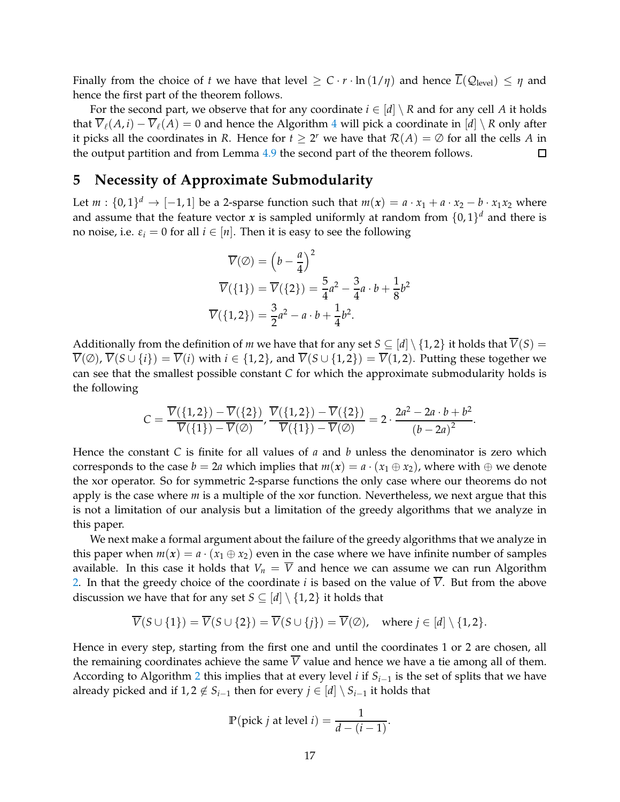Finally from the choice of *t* we have that level  $\geq C \cdot r \cdot \ln(1/\eta)$  and hence  $\overline{L}(\mathcal{Q}_{\text{level}}) \leq \eta$  and hence the first part of the theorem follows.

For the second part, we observe that for any coordinate  $i \in [d] \setminus R$  and for any cell A it holds that  $\overline{V}_\ell(A, i) - \overline{V}_\ell(A) = 0$  and hence the Algorithm [4](#page-13-1) will pick a coordinate in  $[d] \setminus R$  only after it picks all the coordinates in *R*. Hence for  $t \geq 2^r$  we have that  $\mathcal{R}(A) = \emptyset$  for all the cells *A* in the output partition and from Lemma [4.9](#page-14-1) the second part of the theorem follows.

# <span id="page-16-0"></span>**5 Necessity of Approximate Submodularity**

Let  $m: \{0,1\}^d \to [-1,1]$  be a 2-sparse function such that  $m(x) = a \cdot x_1 + a \cdot x_2 - b \cdot x_1x_2$  where and assume that the feature vector *x* is sampled uniformly at random from  $\{0,1\}^d$  and there is no noise, i.e.  $\varepsilon_i = 0$  for all  $i \in [n]$ . Then it is easy to see the following

$$
\overline{V}(\emptyset) = \left(b - \frac{a}{4}\right)^2
$$

$$
\overline{V}(\{1\}) = \overline{V}(\{2\}) = \frac{5}{4}a^2 - \frac{3}{4}a \cdot b + \frac{1}{8}b^2
$$

$$
\overline{V}(\{1,2\}) = \frac{3}{2}a^2 - a \cdot b + \frac{1}{4}b^2.
$$

Additionally from the definition of *m* we have that for any set  $S \subseteq [d] \setminus \{1,2\}$  it holds that  $\overline{V}(S) =$  $\overline{V}(\emptyset)$ ,  $\overline{V}(S \cup \{i\}) = \overline{V}(i)$  with  $i \in \{1,2\}$ , and  $\overline{V}(S \cup \{1,2\}) = \overline{V}(1,2)$ . Putting these together we can see that the smallest possible constant *C* for which the approximate submodularity holds is the following

$$
C = \frac{\overline{V}(\{1,2\}) - \overline{V}(\{2\})}{\overline{V}(\{1\}) - \overline{V}(\emptyset)}, \frac{\overline{V}(\{1,2\}) - \overline{V}(\{2\})}{\overline{V}(\{1\}) - \overline{V}(\emptyset)} = 2 \cdot \frac{2a^2 - 2a \cdot b + b^2}{(b - 2a)^2}
$$

.

Hence the constant *C* is finite for all values of *a* and *b* unless the denominator is zero which corresponds to the case  $b = 2a$  which implies that  $m(x) = a \cdot (x_1 \oplus x_2)$ , where with  $\oplus$  we denote the xor operator. So for symmetric 2-sparse functions the only case where our theorems do not apply is the case where *m* is a multiple of the xor function. Nevertheless, we next argue that this is not a limitation of our analysis but a limitation of the greedy algorithms that we analyze in this paper.

We next make a formal argument about the failure of the greedy algorithms that we analyze in this paper when  $m(x) = a \cdot (x_1 \oplus x_2)$  even in the case where we have infinite number of samples available. In this case it holds that  $V_n = \overline{V}$  and hence we can assume we can run Algorithm [2.](#page-7-1) In that the greedy choice of the coordinate *i* is based on the value of  $\overline{V}$ . But from the above discussion we have that for any set  $S \subseteq [d] \setminus \{1,2\}$  it holds that

$$
\overline{V}(S \cup \{1\}) = \overline{V}(S \cup \{2\}) = \overline{V}(S \cup \{j\}) = \overline{V}(\emptyset), \text{ where } j \in [d] \setminus \{1,2\}.
$$

Hence in every step, starting from the first one and until the coordinates 1 or 2 are chosen, all the remaining coordinates achieve the same  $\overline{V}$  value and hence we have a tie among all of them. According to Algorithm [2](#page-7-1) this implies that at every level *i* if *Si*−<sup>1</sup> is the set of splits that we have already picked and if  $1, 2 \notin S_{i-1}$  then for every  $j \in [d] \setminus S_{i-1}$  it holds that

$$
\mathbb{P}(\text{pick } j \text{ at level } i) = \frac{1}{d - (i - 1)}.
$$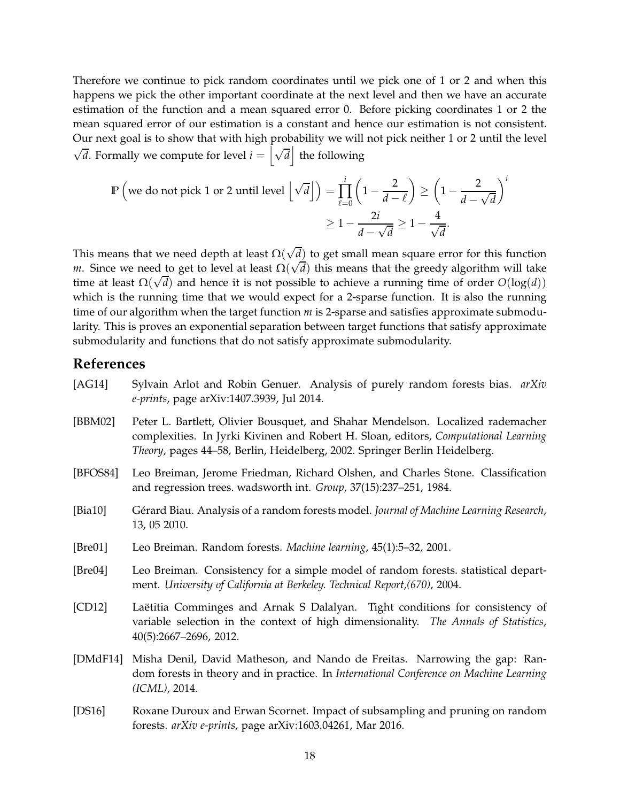Therefore we continue to pick random coordinates until we pick one of 1 or 2 and when this happens we pick the other important coordinate at the next level and then we have an accurate estimation of the function and a mean squared error 0. Before picking coordinates 1 or 2 the mean squared error of our estimation is a constant and hence our estimation is not consistent. Our next goal is to show that with high probability we will not pick neither 1 or 2 until the level  $\sqrt{d}$ . Formally we compute for level  $i = \left[\sqrt{d}\right]$  the following

$$
\mathbb{P}\left(\text{we do not pick 1 or 2 until level }\left\lfloor\sqrt{d}\right\rfloor\right) = \prod_{\ell=0}^{i} \left(1 - \frac{2}{d-\ell}\right) \ge \left(1 - \frac{2}{d-\sqrt{d}}\right)^{i}
$$

$$
\ge 1 - \frac{2i}{d-\sqrt{d}} \ge 1 - \frac{4}{\sqrt{d}}.
$$

This means that we need depth at least  $\Omega(\sqrt{d})$  to get small mean square error for this function *m*. Since we need to get to level at least  $\Omega(\sqrt{d})$  this means that the greedy algorithm will take time at least  $\Omega(\sqrt{d})$  and hence it is not possible to achieve a running time of order  $O(\log(d))$ which is the running time that we would expect for a 2-sparse function. It is also the running time of our algorithm when the target function *m* is 2-sparse and satisfies approximate submodularity. This is proves an exponential separation between target functions that satisfy approximate submodularity and functions that do not satisfy approximate submodularity.

# **References**

<span id="page-17-8"></span><span id="page-17-7"></span><span id="page-17-6"></span><span id="page-17-5"></span><span id="page-17-4"></span><span id="page-17-3"></span><span id="page-17-2"></span><span id="page-17-1"></span><span id="page-17-0"></span>[AG14] Sylvain Arlot and Robin Genuer. Analysis of purely random forests bias. *arXiv e-prints*, page arXiv:1407.3939, Jul 2014. [BBM02] Peter L. Bartlett, Olivier Bousquet, and Shahar Mendelson. Localized rademacher complexities. In Jyrki Kivinen and Robert H. Sloan, editors, *Computational Learning Theory*, pages 44–58, Berlin, Heidelberg, 2002. Springer Berlin Heidelberg. [BFOS84] Leo Breiman, Jerome Friedman, Richard Olshen, and Charles Stone. Classification and regression trees. wadsworth int. *Group*, 37(15):237–251, 1984. [Bia10] Gérard Biau. Analysis of a random forests model. *Journal of Machine Learning Research*, 13, 05 2010. [Bre01] Leo Breiman. Random forests. *Machine learning*, 45(1):5–32, 2001. [Bre04] Leo Breiman. Consistency for a simple model of random forests. statistical department. *University of California at Berkeley. Technical Report,(670)*, 2004. [CD12] Laëtitia Comminges and Arnak S Dalalyan. Tight conditions for consistency of variable selection in the context of high dimensionality. *The Annals of Statistics*, 40(5):2667–2696, 2012. [DMdF14] Misha Denil, David Matheson, and Nando de Freitas. Narrowing the gap: Random forests in theory and in practice. In *International Conference on Machine Learning (ICML)*, 2014. [DS16] Roxane Duroux and Erwan Scornet. Impact of subsampling and pruning on random forests. *arXiv e-prints*, page arXiv:1603.04261, Mar 2016.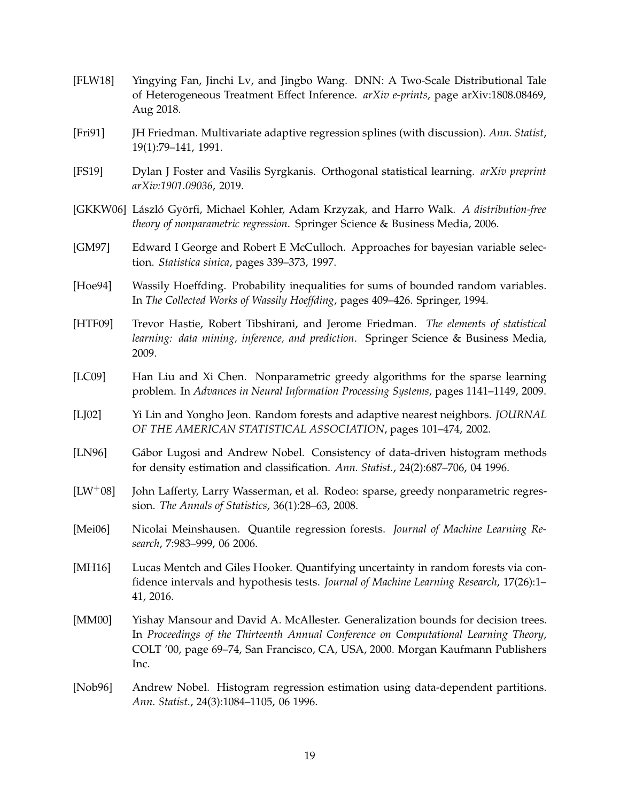- <span id="page-18-5"></span>[FLW18] Yingying Fan, Jinchi Lv, and Jingbo Wang. DNN: A Two-Scale Distributional Tale of Heterogeneous Treatment Effect Inference. *arXiv e-prints*, page arXiv:1808.08469, Aug 2018.
- <span id="page-18-9"></span>[Fri91] JH Friedman. Multivariate adaptive regression splines (with discussion). *Ann. Statist*, 19(1):79–141, 1991.
- <span id="page-18-13"></span>[FS19] Dylan J Foster and Vasilis Syrgkanis. Orthogonal statistical learning. *arXiv preprint arXiv:1901.09036*, 2019.
- <span id="page-18-4"></span>[GKKW06] László Györfi, Michael Kohler, Adam Krzyzak, and Harro Walk. *A distribution-free theory of nonparametric regression*. Springer Science & Business Media, 2006.
- <span id="page-18-10"></span>[GM97] Edward I George and Robert E McCulloch. Approaches for bayesian variable selection. *Statistica sinica*, pages 339–373, 1997.
- <span id="page-18-14"></span>[Hoe94] Wassily Hoeffding. Probability inequalities for sums of bounded random variables. In *The Collected Works of Wassily Hoeffding*, pages 409–426. Springer, 1994.
- <span id="page-18-8"></span>[HTF09] Trevor Hastie, Robert Tibshirani, and Jerome Friedman. *The elements of statistical learning: data mining, inference, and prediction*. Springer Science & Business Media, 2009.
- <span id="page-18-12"></span>[LC09] Han Liu and Xi Chen. Nonparametric greedy algorithms for the sparse learning problem. In *Advances in Neural Information Processing Systems*, pages 1141–1149, 2009.
- <span id="page-18-6"></span>[LJ02] Yi Lin and Yongho Jeon. Random forests and adaptive nearest neighbors. *JOURNAL OF THE AMERICAN STATISTICAL ASSOCIATION*, pages 101–474, 2002.
- <span id="page-18-1"></span>[LN96] Gábor Lugosi and Andrew Nobel. Consistency of data-driven histogram methods for density estimation and classification. *Ann. Statist.*, 24(2):687–706, 04 1996.
- <span id="page-18-11"></span>[LW+08] John Lafferty, Larry Wasserman, et al. Rodeo: sparse, greedy nonparametric regression. *The Annals of Statistics*, 36(1):28–63, 2008.
- <span id="page-18-7"></span>[Mei06] Nicolai Meinshausen. Quantile regression forests. *Journal of Machine Learning Research*, 7:983–999, 06 2006.
- <span id="page-18-3"></span>[MH16] Lucas Mentch and Giles Hooker. Quantifying uncertainty in random forests via confidence intervals and hypothesis tests. *Journal of Machine Learning Research*, 17(26):1– 41, 2016.
- <span id="page-18-2"></span>[MM00] Yishay Mansour and David A. McAllester. Generalization bounds for decision trees. In *Proceedings of the Thirteenth Annual Conference on Computational Learning Theory*, COLT '00, page 69–74, San Francisco, CA, USA, 2000. Morgan Kaufmann Publishers Inc.
- <span id="page-18-0"></span>[Nob96] Andrew Nobel. Histogram regression estimation using data-dependent partitions. *Ann. Statist.*, 24(3):1084–1105, 06 1996.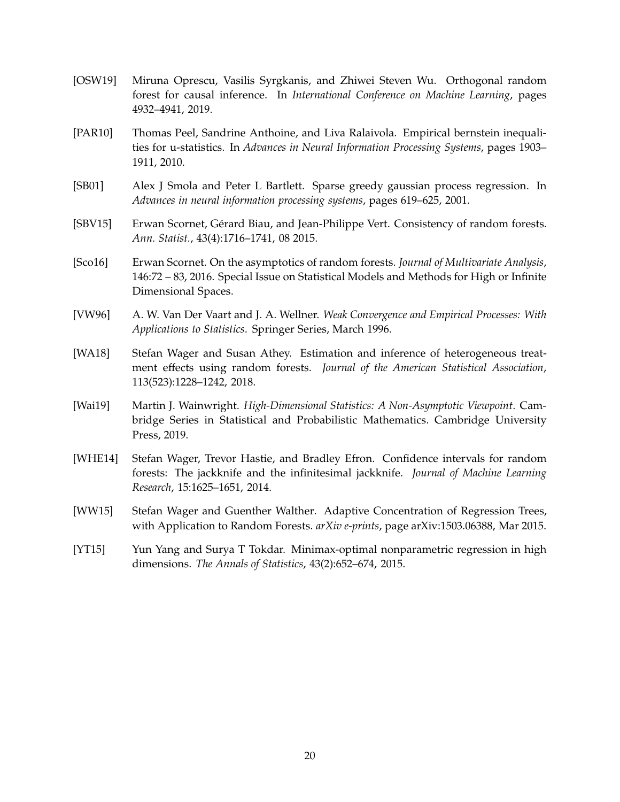- <span id="page-19-7"></span>[OSW19] Miruna Oprescu, Vasilis Syrgkanis, and Zhiwei Steven Wu. Orthogonal random forest for causal inference. In *International Conference on Machine Learning*, pages 4932–4941, 2019.
- <span id="page-19-10"></span>[PAR10] Thomas Peel, Sandrine Anthoine, and Liva Ralaivola. Empirical bernstein inequalities for u-statistics. In *Advances in Neural Information Processing Systems*, pages 1903– 1911, 2010.
- <span id="page-19-5"></span>[SB01] Alex J Smola and Peter L Bartlett. Sparse greedy gaussian process regression. In *Advances in neural information processing systems*, pages 619–625, 2001.
- <span id="page-19-0"></span>[SBV15] Erwan Scornet, Gérard Biau, and Jean-Philippe Vert. Consistency of random forests. *Ann. Statist.*, 43(4):1716–1741, 08 2015.
- <span id="page-19-3"></span>[Sco16] Erwan Scornet. On the asymptotics of random forests. *Journal of Multivariate Analysis*, 146:72 – 83, 2016. Special Issue on Statistical Models and Methods for High or Infinite Dimensional Spaces.
- <span id="page-19-9"></span>[VW96] A. W. Van Der Vaart and J. A. Wellner. *Weak Convergence and Empirical Processes: With Applications to Statistics*. Springer Series, March 1996.
- <span id="page-19-1"></span>[WA18] Stefan Wager and Susan Athey. Estimation and inference of heterogeneous treatment effects using random forests. *Journal of the American Statistical Association*, 113(523):1228–1242, 2018.
- <span id="page-19-2"></span>[Wai19] Martin J. Wainwright. *High-Dimensional Statistics: A Non-Asymptotic Viewpoint*. Cambridge Series in Statistical and Probabilistic Mathematics. Cambridge University Press, 2019.
- <span id="page-19-8"></span>[WHE14] Stefan Wager, Trevor Hastie, and Bradley Efron. Confidence intervals for random forests: The jackknife and the infinitesimal jackknife. *Journal of Machine Learning Research*, 15:1625–1651, 2014.
- <span id="page-19-4"></span>[WW15] Stefan Wager and Guenther Walther. Adaptive Concentration of Regression Trees, with Application to Random Forests. *arXiv e-prints*, page arXiv:1503.06388, Mar 2015.
- <span id="page-19-6"></span>[YT15] Yun Yang and Surya T Tokdar. Minimax-optimal nonparametric regression in high dimensions. *The Annals of Statistics*, 43(2):652–674, 2015.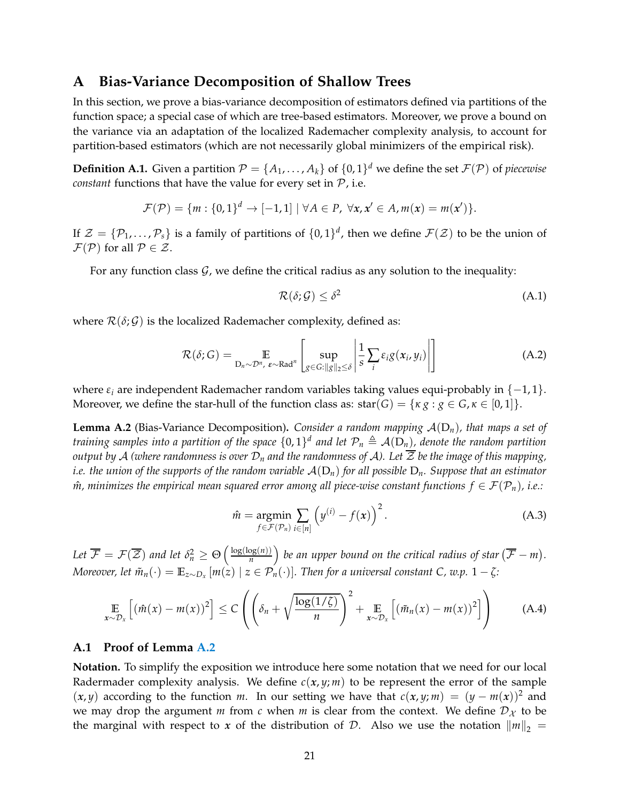# **A Bias-Variance Decomposition of Shallow Trees**

In this section, we prove a bias-variance decomposition of estimators defined via partitions of the function space; a special case of which are tree-based estimators. Moreover, we prove a bound on the variance via an adaptation of the localized Rademacher complexity analysis, to account for partition-based estimators (which are not necessarily global minimizers of the empirical risk).

**Definition A.1.** Given a partition  $\mathcal{P} = \{A_1, \ldots, A_k\}$  of  $\{0, 1\}^d$  we define the set  $\mathcal{F}(\mathcal{P})$  of *piecewise constant* functions that have the value for every set in  $P$ , i.e.

$$
\mathcal{F}(\mathcal{P}) = \{m : \{0,1\}^d \rightarrow [-1,1] \mid \forall A \in \mathcal{P}, \ \forall x, x' \in A, m(x) = m(x')\}.
$$

If  $\mathcal{Z} = \{P_1, \ldots, P_s\}$  is a family of partitions of  $\{0, 1\}^d$ , then we define  $\mathcal{F}(\mathcal{Z})$  to be the union of  $\mathcal{F}(\mathcal{P})$  for all  $\mathcal{P} \in \mathcal{Z}$ .

For any function class  $G$ , we define the critical radius as any solution to the inequality:

$$
\mathcal{R}(\delta; \mathcal{G}) \le \delta^2 \tag{A.1}
$$

where  $\mathcal{R}(\delta; \mathcal{G})$  is the localized Rademacher complexity, defined as:

$$
\mathcal{R}(\delta;G) = \mathop{\mathbb{E}}_{D_n \sim \mathcal{D}^n, \ \varepsilon \sim \text{Rad}^n} \left[ \sup_{g \in G: \|g\|_2 \le \delta} \left| \frac{1}{s} \sum_i \varepsilon_i g(x_i, y_i) \right| \right]
$$
(A.2)

where  $\varepsilon_i$  are independent Rademacher random variables taking values equi-probably in  $\{-1,1\}$ . Moreover, we define the star-hull of the function class as: star(*G*) = { $\kappa g : g \in G, \kappa \in [0,1]$  }.

<span id="page-20-0"></span>**Lemma A.2** (Bias-Variance Decomposition). *Consider a random mapping*  $\mathcal{A}(D_n)$ *, that maps a set of* training samples into a partition of the space  $\{0,1\}^d$  and let  $\mathcal{P}_n \triangleq \mathcal{A}(\mathrm{D}_n)$ , denote the random partition *output by* A *(where randomness is over*  $D_n$  *and the randomness of* A). Let  $\overline{Z}$  *be the image of this mapping, i.e. the union of the supports of the random variable* A(D*n*) *for all possible* D*n. Suppose that an estimator m*, minimizes the empirical mean squared error among all piece-wise constant functions  $f \in \mathcal{F}(\mathcal{P}_n)$ , i.e.:

$$
\hat{m} = \underset{f \in \mathcal{F}(\mathcal{P}_n)}{\operatorname{argmin}} \sum_{i \in [n]} \left( y^{(i)} - f(x) \right)^2.
$$
\n(A.3)

Let  $\overline{\mathcal{F}} = \mathcal{F}(\overline{\mathcal{Z}})$  and let  $\delta_n^2 \geq \Theta\left(\frac{\log(\log(n))}{n}\right)$  $\left(\frac{\log(n)}{n}\right)$  be an upper bound on the critical radius of star  $(\overline{\mathcal{F}} - m)$ . *Moreover, let*  $\tilde{m}_n(\cdot) = \mathbb{E}_{z \sim D_x}[m(\tilde{z}) \mid z \in \mathcal{P}_n(\cdot)].$  Then for a universal constant C, w.p.  $1 - \zeta$ :

<span id="page-20-1"></span>
$$
\mathop{\mathbb{E}}_{x \sim \mathcal{D}_x} \left[ \left( \hat{m}(x) - m(x) \right)^2 \right] \leq C \left( \left( \delta_n + \sqrt{\frac{\log(1/\zeta)}{n}} \right)^2 + \mathop{\mathbb{E}}_{x \sim \mathcal{D}_x} \left[ \left( \tilde{m}_n(x) - m(x) \right)^2 \right] \right) \tag{A.4}
$$

#### **A.1 Proof of Lemma [A.2](#page-20-0)**

**Notation.** To simplify the exposition we introduce here some notation that we need for our local Radermader complexity analysis. We define  $c(x, y; m)$  to be represent the error of the sample  $(x, y)$  according to the function *m*. In our setting we have that  $c(x, y; m) = (y - m(x))^2$  and we may drop the argument *m* from *c* when *m* is clear from the context. We define  $D<sub>X</sub>$  to be the marginal with respect to *x* of the distribution of *D*. Also we use the notation  $\|m\|_2 =$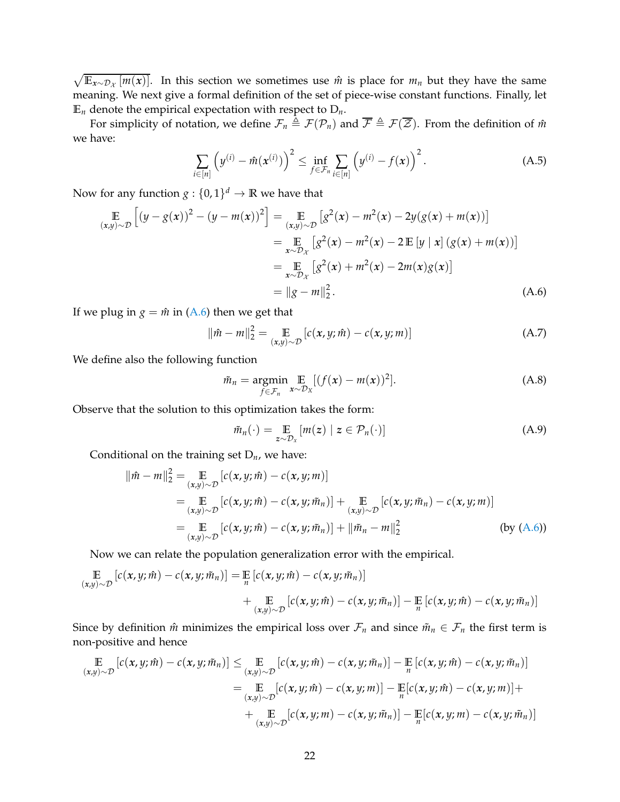$\sqrt{\mathbb{E}_{x \sim \mathcal{D}_x}[m(x)]}$ . In this section we sometimes use  $\hat{m}$  is place for  $m_n$  but they have the same meaning. We next give a formal definition of the set of piece-wise constant functions. Finally, let  $\mathbb{E}_n$  denote the empirical expectation with respect to  $D_n$ .

For simplicity of notation, we define  $\mathcal{F}_n \triangleq \mathcal{F}(\mathcal{P}_n)$  and  $\overline{\mathcal{F}} \triangleq \mathcal{F}(\overline{\mathcal{Z}})$ . From the definition of  $\hat{m}$ we have:

$$
\sum_{i \in [n]} \left( y^{(i)} - \hat{m}(x^{(i)}) \right)^2 \le \inf_{f \in \mathcal{F}_n} \sum_{i \in [n]} \left( y^{(i)} - f(x) \right)^2.
$$
 (A.5)

Now for any function  $g: \{0,1\}^d \to \mathbb{R}$  we have that

$$
\mathbb{E}_{(x,y)\sim\mathcal{D}}\left[(y-g(x))^2 - (y-m(x))^2\right] = \mathbb{E}_{(x,y)\sim\mathcal{D}}\left[g^2(x) - m^2(x) - 2y(g(x) + m(x))\right]
$$
\n
$$
= \mathbb{E}_{x\sim\mathcal{D}_x}\left[g^2(x) - m^2(x) - 2\mathbb{E}\left[y \mid x\right](g(x) + m(x))\right]
$$
\n
$$
= \mathbb{E}_{x\sim\mathcal{D}_x}\left[g^2(x) + m^2(x) - 2m(x)g(x)\right]
$$
\n
$$
= \|g - m\|_2^2.
$$
\n(A.6)

If we plug in  $g = \hat{m}$  in [\(A.6\)](#page-21-0) then we get that

$$
\|\hat{m} - m\|_2^2 = \mathop{\mathbb{E}}_{(x,y)\sim\mathcal{D}} [c(x,y;\hat{m}) - c(x,y;m)] \tag{A.7}
$$

We define also the following function

<span id="page-21-0"></span>
$$
\tilde{m}_n = \underset{f \in \mathcal{F}_n}{\operatorname{argmin}} \mathop{\mathbb{E}}_{x \sim \mathcal{D}_X} [(f(x) - m(x))^2]. \tag{A.8}
$$

Observe that the solution to this optimization takes the form:

$$
\tilde{m}_n(\cdot) = \mathop{\mathbb{E}}\limits_{z \sim \mathcal{D}_x} [m(z) \mid z \in \mathcal{P}_n(\cdot)] \tag{A.9}
$$

Conditional on the training set D*n*, we have:

$$
\|\hat{m} - m\|_2^2 = \mathop{\mathbb{E}}_{(x,y)\sim\mathcal{D}} [c(x, y; \hat{m}) - c(x, y; m)]
$$
  
\n
$$
= \mathop{\mathbb{E}}_{(x,y)\sim\mathcal{D}} [c(x, y; \hat{m}) - c(x, y; \tilde{m}_n)] + \mathop{\mathbb{E}}_{(x,y)\sim\mathcal{D}} [c(x, y; \tilde{m}_n) - c(x, y; m)]
$$
  
\n
$$
= \mathop{\mathbb{E}}_{(x,y)\sim\mathcal{D}} [c(x, y; \hat{m}) - c(x, y; \tilde{m}_n)] + \|\tilde{m}_n - m\|_2^2
$$
 (by (A.6))

Now we can relate the population generalization error with the empirical.

$$
\mathbb{E}_{(x,y)\sim\mathcal{D}}[c(x,y;\hat{m}) - c(x,y;\tilde{m}_n)] = \mathbb{E}_{n}[c(x,y;\hat{m}) - c(x,y;\tilde{m}_n)] + \mathbb{E}_{(x,y)\sim\mathcal{D}}[c(x,y;\hat{m}) - c(x,y;\tilde{m}_n)] - \mathbb{E}_{n}[c(x,y;\hat{m}) - c(x,y;\tilde{m}_n)]
$$

Since by definition  $\hat{m}$  minimizes the empirical loss over  $\mathcal{F}_n$  and since  $\tilde{m}_n \in \mathcal{F}_n$  the first term is non-positive and hence

$$
\mathbb{E}\left[c(x,y;\hat{m})-c(x,y;\tilde{m}_n)\right] \leq \mathbb{E}\left[c(x,y;\hat{m})-c(x,y;\tilde{m}_n)\right] - \mathbb{E}\left[c(x,y;\hat{m})-c(x,y;\tilde{m}_n)\right]
$$
\n
$$
= \mathbb{E}\left[c(x,y;\hat{m})-c(x,y;\hat{m})\right] - \mathbb{E}\left[c(x,y;\hat{m})-c(x,y;\hat{m})\right] + \mathbb{E}\left[c(x,y;\hat{m})-c(x,y;\hat{m})\right] + \mathbb{E}\left[c(x,y;\hat{m})-c(x,y;\hat{m}_n)\right] - \mathbb{E}\left[c(x,y;\hat{m})-c(x,y;\tilde{m}_n)\right]
$$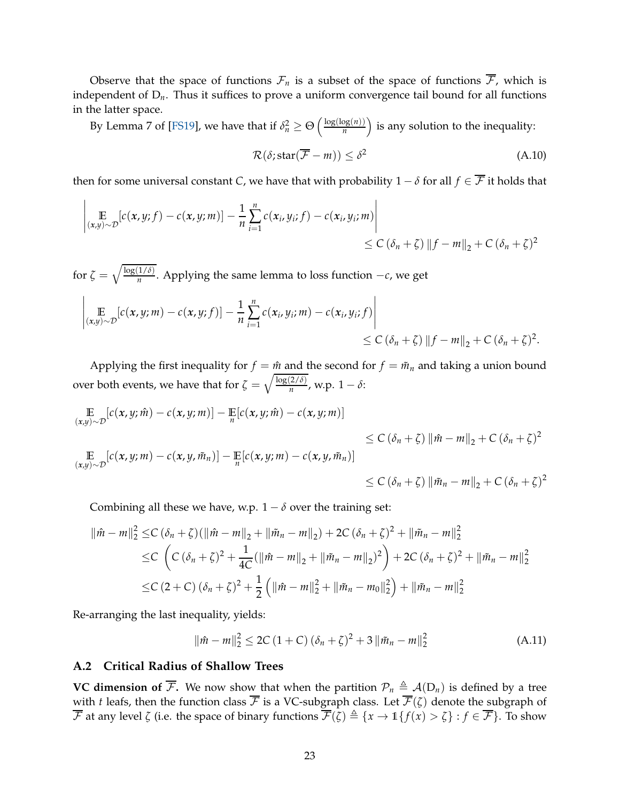Observe that the space of functions  $\mathcal{F}_n$  is a subset of the space of functions  $\overline{\mathcal{F}}$ , which is independent of D*n*. Thus it suffices to prove a uniform convergence tail bound for all functions in the latter space.

By Lemma 7 of [\[FS19\]](#page-18-13), we have that if  $\delta_n^2 \geq \Theta\left(\frac{\log(\log(n))}{n}\right)$  $\left(\frac{\log(n)}{n}\right)$  is any solution to the inequality:

$$
\mathcal{R}(\delta; \text{star}(\overline{\mathcal{F}} - m)) \le \delta^2 \tag{A.10}
$$

then for some universal constant *C*, we have that with probability  $1 - \delta$  for all  $f \in \overline{\mathcal{F}}$  it holds that

$$
\left| \mathop{\mathbb{E}}_{(x,y)\sim\mathcal{D}}[c(x,y;f)-c(x,y;m)] - \frac{1}{n}\sum_{i=1}^{n}c(x_i,y_i;f)-c(x_i,y_i;m) \right| \leq C(\delta_n+\zeta) \|f-m\|_2 + C(\delta_n+\zeta)^2
$$

for  $\zeta = \sqrt{\frac{\log(1/\delta)}{n}}$ *n* . Applying the same lemma to loss function −*c*, we get

$$
\left| \mathop{\mathbb{E}}_{(x,y)\sim\mathcal{D}}[c(x,y;m)-c(x,y;f)] - \frac{1}{n}\sum_{i=1}^n c(x_i,y_i;m)-c(x_i,y_i;f) \right| \leq C(\delta_n+\zeta) \|f-m\|_2 + C(\delta_n+\zeta)^2.
$$

Applying the first inequality for  $f = \hat{m}$  and the second for  $f = \tilde{m}_n$  and taking a union bound over both events, we have that for  $\zeta = \sqrt{\frac{\log(2/\delta)}{n}}$  $\frac{2}{n}$ , w.p.  $1 - \delta$ :

$$
\mathbb{E}_{(x,y)\sim\mathcal{D}}[c(x,y;\hat{m}) - c(x,y;\hat{m})] - \mathbb{E}[c(x,y;\hat{m}) - c(x,y;\hat{m})]
$$
\n
$$
\leq C(\delta_n + \zeta) \|\hat{m} - m\|_2 + C(\delta_n + \zeta)^2
$$
\n
$$
\mathbb{E}_{(x,y)\sim\mathcal{D}}[c(x,y;\hat{m}) - c(x,y,\tilde{m}_n)] - \mathbb{E}[c(x,y;\hat{m}) - c(x,y,\tilde{m}_n)]
$$
\n
$$
\leq C(\delta_n + \zeta) \|\tilde{m}_n - m\|_2 + C(\delta_n + \zeta)^2
$$
\n
$$
\leq C(\delta_n + \zeta) \|\tilde{m}_n - m\|_2 + C(\delta_n + \zeta)^2
$$

Combining all these we have, w.p.  $1 - \delta$  over the training set:

$$
\|\hat{m} - m\|_{2}^{2} \leq C \left(\delta_{n} + \zeta\right) \left(\|\hat{m} - m\|_{2} + \|\tilde{m}_{n} - m\|_{2}\right) + 2C \left(\delta_{n} + \zeta\right)^{2} + \|\tilde{m}_{n} - m\|_{2}^{2}
$$
  
\n
$$
\leq C \left(C \left(\delta_{n} + \zeta\right)^{2} + \frac{1}{4C} (\|\hat{m} - m\|_{2} + \|\tilde{m}_{n} - m\|_{2})^{2}\right) + 2C \left(\delta_{n} + \zeta\right)^{2} + \|\tilde{m}_{n} - m\|_{2}^{2}
$$
  
\n
$$
\leq C \left(2 + C \right) \left(\delta_{n} + \zeta\right)^{2} + \frac{1}{2} \left(\|\hat{m} - m\|_{2}^{2} + \|\tilde{m}_{n} - m_{0}\|_{2}^{2}\right) + \|\tilde{m}_{n} - m\|_{2}^{2}
$$

Re-arranging the last inequality, yields:

$$
\|\hat{m} - m\|_2^2 \le 2C\left(1 + C\right)(\delta_n + \zeta)^2 + 3\|\tilde{m}_n - m\|_2^2\tag{A.11}
$$

#### **A.2 Critical Radius of Shallow Trees**

**VC dimension of**  $\overline{\mathcal{F}}$ **.** We now show that when the partition  $\mathcal{P}_n \triangleq \mathcal{A}(D_n)$  is defined by a tree with *t* leafs, then the function class  $\overline{\mathcal{F}}$  is a VC-subgraph class. Let  $\overline{\mathcal{F}}(\zeta)$  denote the subgraph of  $\overline{\mathcal{F}}$  at any level  $\zeta$  (i.e. the space of binary functions  $\overline{\mathcal{F}}(\overline{\zeta}) \triangleq \{x \to \mathbb{1}\{f(x) > \zeta\} : f \in \overline{\mathcal{F}}\}$ . To show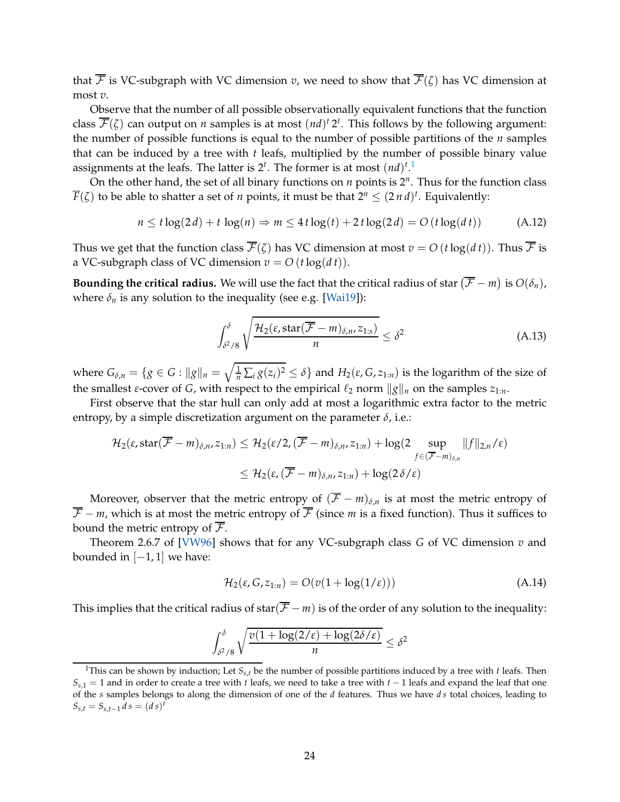that  $\overline{\mathcal{F}}$  is VC-subgraph with VC dimension *v*, we need to show that  $\overline{\mathcal{F}}(\zeta)$  has VC dimension at most *v*.

Observe that the number of all possible observationally equivalent functions that the function class  $\overline{\mathcal{F}}(\zeta)$  can output on *n* samples is at most  $(nd)^t 2^t$ . This follows by the following argument: the number of possible functions is equal to the number of possible partitions of the *n* samples that can be induced by a tree with *t* leafs, multiplied by the number of possible binary value assignments at the leafs. The latter is  $2^t$ . The former is at most  $(nd)^{t}$ .<sup>[1](#page-23-0)</sup>

On the other hand, the set of all binary functions on *n* points is 2*<sup>n</sup>* . Thus for the function class  $\overline{F}(\zeta)$  to be able to shatter a set of *n* points, it must be that  $2^n \leq (2 \, n \, d)^t$ . Equivalently:

$$
n \leq t \log(2d) + t \log(n) \Rightarrow m \leq 4t \log(t) + 2t \log(2d) = O(t \log(dt)) \tag{A.12}
$$

Thus we get that the function class  $\overline{\mathcal{F}}(\zeta)$  has VC dimension at most  $v = O(t \log(dt))$ . Thus  $\overline{\mathcal{F}}$  is a VC-subgraph class of VC dimension  $v = O(t \log(dt))$ .

**Bounding the critical radius.** We will use the fact that the critical radius of star  $(\mathcal{F} - m)$  is  $O(\delta_n)$ , where  $\delta_n$  is any solution to the inequality (see e.g. [\[Wai19\]](#page-19-2)):

$$
\int_{\delta^2/8}^{\delta} \sqrt{\frac{\mathcal{H}_2(\varepsilon, \text{star}(\overline{\mathcal{F}} - m)_{\delta, n}, z_{1:s})}{n}} \leq \delta^2 \tag{A.13}
$$

where  $G_{\delta,n} = \{g \in G : ||g||_n = \sqrt{\frac{1}{n} \sum_i g(z_i)^2} \le \delta\}$  and  $H_2(\varepsilon, G, z_{1:n})$  is the logarithm of the size of the smallest *ε*-cover of *G*, with respect to the empirical  $\ell_2$  norm  $\|g\|_n$  on the samples  $z_{1:n}$ .

First observe that the star hull can only add at most a logarithmic extra factor to the metric entropy, by a simple discretization argument on the parameter  $\delta$ , i.e.:

$$
\mathcal{H}_2(\varepsilon, \operatorname{star}(\overline{\mathcal{F}}-m)_{\delta,n}, z_{1:n}) \leq \mathcal{H}_2(\varepsilon/2, (\overline{\mathcal{F}}-m)_{\delta,n}, z_{1:n}) + \log(2 \sup_{f \in (\overline{\mathcal{F}}-m)_{\delta,n}} \|f\|_{2,n}/\varepsilon)
$$
  

$$
\leq \mathcal{H}_2(\varepsilon, (\overline{\mathcal{F}}-m)_{\delta,n}, z_{1:n}) + \log(2\delta/\varepsilon)
$$

Moreover, observer that the metric entropy of  $(\overline{F} - m)_{\delta,n}$  is at most the metric entropy of  $\overline{F}$  − *m*, which is at most the metric entropy of  $\overline{F}$  (since *m* is a fixed function). Thus it suffices to bound the metric entropy of  $\overline{\mathcal{F}}$ .

Theorem 2.6.7 of [\[VW96\]](#page-19-9) shows that for any VC-subgraph class *G* of VC dimension *v* and bounded in  $[-1, 1]$  we have:

$$
\mathcal{H}_2(\varepsilon, G, z_{1:n}) = O(v(1 + \log(1/\varepsilon))) \tag{A.14}
$$

This implies that the critical radius of star( $\overline{F}$  − *m*) is of the order of any solution to the inequality:

$$
\int_{\delta^2/8}^{\delta} \sqrt{\frac{v(1+\log(2/\varepsilon)+\log(2\delta/\varepsilon)}{n}} \leq \delta^2
$$

<span id="page-23-0"></span><sup>&</sup>lt;sup>1</sup>This can be shown by induction; Let  $S_{s,t}$  be the number of possible partitions induced by a tree with *t* leafs. Then *Ss*,1 = 1 and in order to create a tree with *t* leafs, we need to take a tree with *t* − 1 leafs and expand the leaf that one of the *s* samples belongs to along the dimension of one of the *d* features. Thus we have *d s* total choices, leading to  $S_{s,t} = S_{s,t-1} d s = (ds)^t$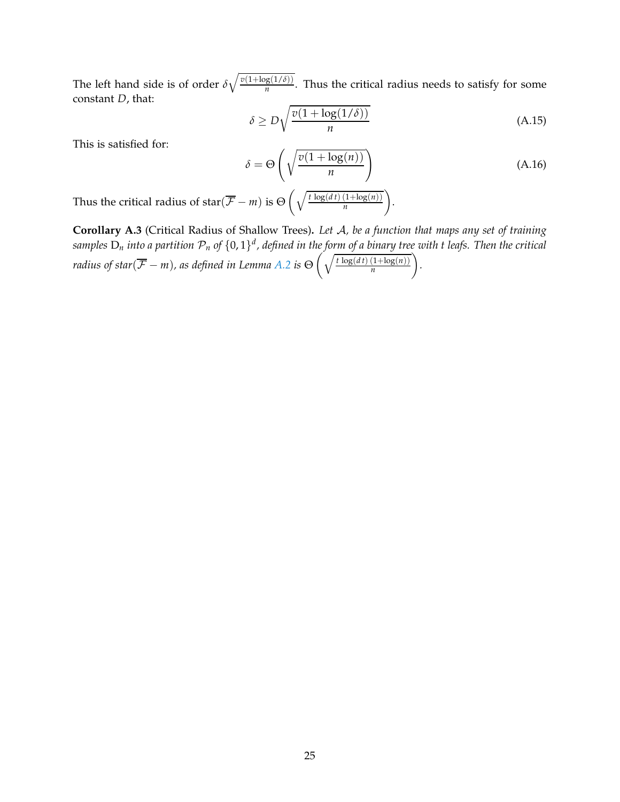The left hand side is of order  $\delta \sqrt{\frac{v(1+\log(1/\delta))}{n}}$  $\frac{g(1/v)}{n}$ . Thus the critical radius needs to satisfy for some constant *D*, that:

$$
\delta \ge D\sqrt{\frac{v(1+\log(1/\delta))}{n}}\tag{A.15}
$$

This is satisfied for:

$$
\delta = \Theta\left(\sqrt{\frac{v(1 + \log(n))}{n}}\right)
$$
\n(A.16)

Thus the critical radius of star( $\overline{\mathcal{F}} - m$ ) is  $\Theta\left(\sqrt{\frac{t \log(dt) (1 + \log(n))}{n}}\right)$ *n* .

<span id="page-24-0"></span>**Corollary A.3** (Critical Radius of Shallow Trees)**.** *Let* A*, be a function that maps any set of training* samples  $D_n$  into a partition  $\mathcal{P}_n$  of  $\{0,1\}^d$ , defined in the for<u>m of a binary tree</u> with t leafs. Then the critical *radius of star*( $\overline{\mathcal{F}} - m$ ), as defined in Lemma [A.2](#page-20-0) is  $\Theta\left(\sqrt{\frac{t\log(dt)\,(1+\log(n))}{n}}\right)$ *n .*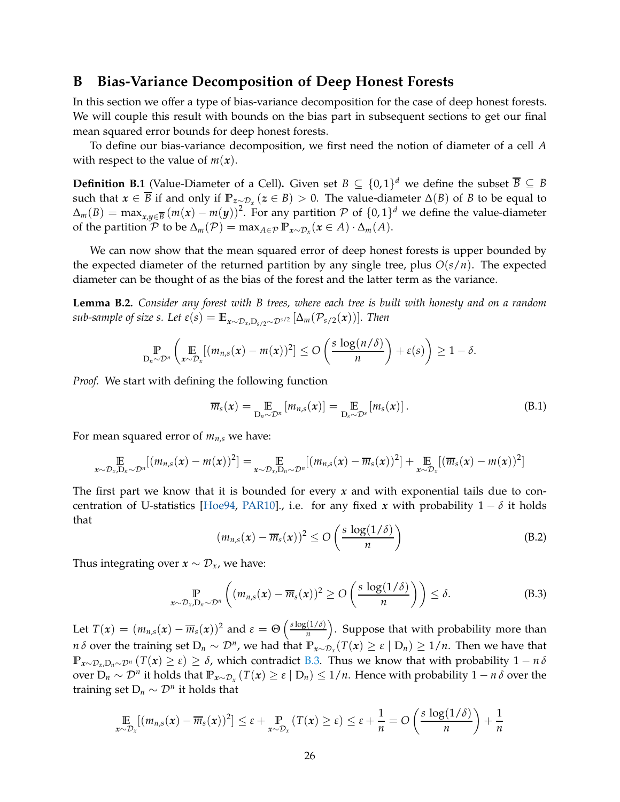### **B Bias-Variance Decomposition of Deep Honest Forests**

In this section we offer a type of bias-variance decomposition for the case of deep honest forests. We will couple this result with bounds on the bias part in subsequent sections to get our final mean squared error bounds for deep honest forests.

To define our bias-variance decomposition, we first need the notion of diameter of a cell *A* with respect to the value of  $m(x)$ .

<span id="page-25-1"></span>**Definition B.1** (Value-Diameter of a Cell). Given set  $B \subseteq \{0,1\}^d$  we define the subset  $\overline{B} \subseteq B$ such that  $x \in \overline{B}$  if and only if  $\mathbb{P}_{z \sim \mathcal{D}_x}(z \in B) > 0$ . The value-diameter  $\Delta(B)$  of *B* to be equal to  $\Delta_m(B) = \max_{x,y \in \overline{B}} (m(x) - m(y))^2$ . For any partition P of  $\{0,1\}^d$  we define the value-diameter of the partition  $\mathcal{P}$  to be  $\Delta_m(\mathcal{P}) = \max_{A \in \mathcal{P}} \mathbb{P}_{x \sim \mathcal{D}_x}(x \in A) \cdot \Delta_m(A)$ .

We can now show that the mean squared error of deep honest forests is upper bounded by the expected diameter of the returned partition by any single tree, plus *O*(*s*/*n*). The expected diameter can be thought of as the bias of the forest and the latter term as the variance.

<span id="page-25-2"></span>**Lemma B.2.** *Consider any forest with B trees, where each tree is built with honesty and on a random sub-sample of size s. Let*  $\varepsilon(s) = \mathbb{E}_{x \sim \mathcal{D}_x, D_s/2} \sim \mathcal{D}^{s/2} [\Delta_m(\mathcal{P}_{s/2}(x))]$ *. Then* 

$$
\mathop{\mathbb{P}}_{D_n \sim \mathcal{D}^n} \left( \mathop{\mathbb{E}}_{x \sim \mathcal{D}_x} [(m_{n,s}(x) - m(x))^2] \leq O\left(\frac{s \log(n/\delta)}{n}\right) + \varepsilon(s)\right) \geq 1 - \delta.
$$

*Proof.* We start with defining the following function

$$
\overline{m}_s(x) = \mathop{\mathbb{E}}_{D_n \sim \mathcal{D}^n} [m_{n,s}(x)] = \mathop{\mathbb{E}}_{D_s \sim \mathcal{D}^s} [m_s(x)]. \tag{B.1}
$$

For mean squared error of *mn*,*<sup>s</sup>* we have:

$$
\mathop{\mathbb{E}}_{x \sim \mathcal{D}_x, D_n \sim \mathcal{D}^n} [(m_{n,s}(x) - m(x))^2] = \mathop{\mathbb{E}}_{x \sim \mathcal{D}_x, D_n \sim \mathcal{D}^n} [(m_{n,s}(x) - \overline{m}_s(x))^2] + \mathop{\mathbb{E}}_{x \sim \mathcal{D}_x} [(\overline{m}_s(x) - m(x))^2]
$$

The first part we know that it is bounded for every *x* and with exponential tails due to con-centration of U-statistics [\[Hoe94,](#page-18-14) [PAR10\]](#page-19-10)., i.e. for any fixed *x* with probability  $1 - \delta$  it holds that

$$
(m_{n,s}(x) - \overline{m}_s(x))^2 \le O\left(\frac{s \log(1/\delta)}{n}\right)
$$
 (B.2)

Thus integrating over  $x \sim \mathcal{D}_x$ , we have:

<span id="page-25-0"></span>
$$
\mathbb{P}_{x \sim \mathcal{D}_x, D_n \sim \mathcal{D}^n} \left( (m_{n,s}(x) - \overline{m}_s(x))^2 \ge O\left(\frac{s \log(1/\delta)}{n}\right) \right) \le \delta.
$$
 (B.3)

Let  $T(x) = (m_{n,s}(x) - \overline{m}_s(x))^2$  and  $\varepsilon = \Theta\left(\frac{s \log(1/\delta)}{n}\right)$  $\left(\frac{(1/\delta)}{n}\right)$ . Suppose that with probability more than *n δ* over the training set  $D_n \sim \mathcal{D}^n$ , we had that  $\mathbb{P}_{x \sim \mathcal{D}_x}(T(x) \geq \varepsilon \mid D_n) \geq 1/n$ . Then we have that **<sup>P</sup>***x*∼D*x*,D*n*∼D*<sup>n</sup>* (*T*(*x*) <sup>≥</sup> *<sup>ε</sup>*) <sup>≥</sup> *<sup>δ</sup>*, which contradict [B.3.](#page-25-0) Thus we know that with probability 1 <sup>−</sup> *<sup>n</sup> <sup>δ</sup>* over  $D_n \sim \mathcal{D}^n$  it holds that  $\mathbb{P}_{x \sim \mathcal{D}_x} (T(x) \ge \varepsilon \mid D_n) \le 1/n$ . Hence with probability  $1 - n \delta$  over the training set  $D_n \sim \mathcal{D}^n$  it holds that

$$
\mathop{\mathbb{E}}_{x \sim \mathcal{D}_x} [(m_{n,s}(x) - \overline{m}_s(x))^2] \leq \varepsilon + \mathop{\mathbb{P}}_{x \sim \mathcal{D}_x} (T(x) \geq \varepsilon) \leq \varepsilon + \frac{1}{n} = O\left(\frac{s \log(1/\delta)}{n}\right) + \frac{1}{n}
$$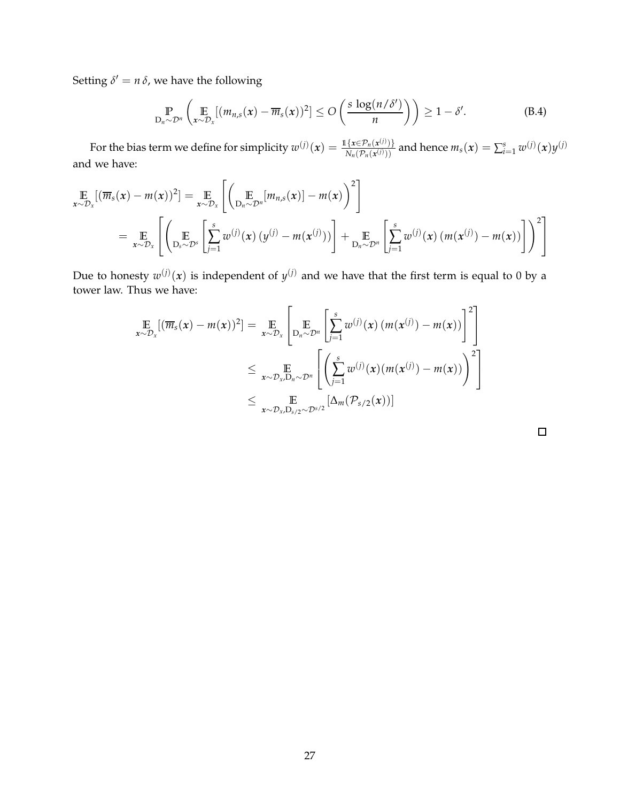Setting  $\delta' = n \, \delta$ , we have the following

$$
\mathbb{P}_{D_n \sim \mathcal{D}^n} \left( \mathbb{E}_{x \sim \mathcal{D}_x} [(m_{n,s}(x) - \overline{m}_s(x))^2] \le O \left( \frac{s \log(n/\delta')}{n} \right) \right) \ge 1 - \delta'. \tag{B.4}
$$

For the bias term we define for simplicity  $w^{(j)}(x) = \frac{\mathbb{1}\{x \in \mathcal{P}_n(x^{(j)})\}}{N(\mathcal{P}_n(x^{(j)}))}$  $\frac{\{x \in \mathcal{P}_n(x^{(j)})\}}{N_n(\mathcal{P}_n(x^{(j)}))}$  and hence  $m_s(x) = \sum_{i=1}^s w^{(j)}(x) y^{(j)}$ and we have:

$$
\mathbb{E}_{\mathbf{x}\sim\mathcal{D}_{\mathbf{x}}}[(\overline{m}_{s}(\mathbf{x}) - m(\mathbf{x}))^{2}] = \mathbb{E}_{\mathbf{x}\sim\mathcal{D}_{\mathbf{x}}} \left[ \left( \mathbb{E}_{\mathcal{D}_{n}\sim\mathcal{D}^{n}}[m_{n,s}(\mathbf{x})] - m(\mathbf{x}) \right)^{2} \right]
$$
\n
$$
= \mathbb{E}_{\mathbf{x}\sim\mathcal{D}_{\mathbf{x}}} \left[ \left( \mathbb{E}_{\mathcal{D}_{s}\sim\mathcal{D}^{s}}\left[ \sum_{j=1}^{s} w^{(j)}(\mathbf{x}) \left( y^{(j)} - m(\mathbf{x}^{(j)}) \right) \right] + \mathbb{E}_{\mathcal{D}_{n}\sim\mathcal{D}^{n}}\left[ \sum_{j=1}^{s} w^{(j)}(\mathbf{x}) \left( m(\mathbf{x}^{(j)}) - m(\mathbf{x}) \right) \right] \right)^{2} \right]
$$

Due to honesty  $w^{(j)}(x)$  is independent of  $y^{(j)}$  and we have that the first term is equal to 0 by a tower law. Thus we have:

$$
\mathop{\mathbb{E}}_{x \sim \mathcal{D}_x} [(\overline{m}_s(x) - m(x))^2] = \mathop{\mathbb{E}}_{x \sim \mathcal{D}_x} \left[ \mathop{\mathbb{E}}_{D_n \sim \mathcal{D}^n} \left[ \sum_{j=1}^s w^{(j)}(x) (m(x^{(j)}) - m(x)) \right]^2 \right]
$$
\n
$$
\leq \mathop{\mathbb{E}}_{x \sim \mathcal{D}_x, D_n \sim \mathcal{D}^n} \left[ \left( \sum_{j=1}^s w^{(j)}(x) (m(x^{(j)}) - m(x)) \right)^2 \right]
$$
\n
$$
\leq \mathop{\mathbb{E}}_{x \sim \mathcal{D}_x, D_{s/2} \sim \mathcal{D}^{s/2}} \left[ \Delta_m(\mathcal{P}_{s/2}(x)) \right]
$$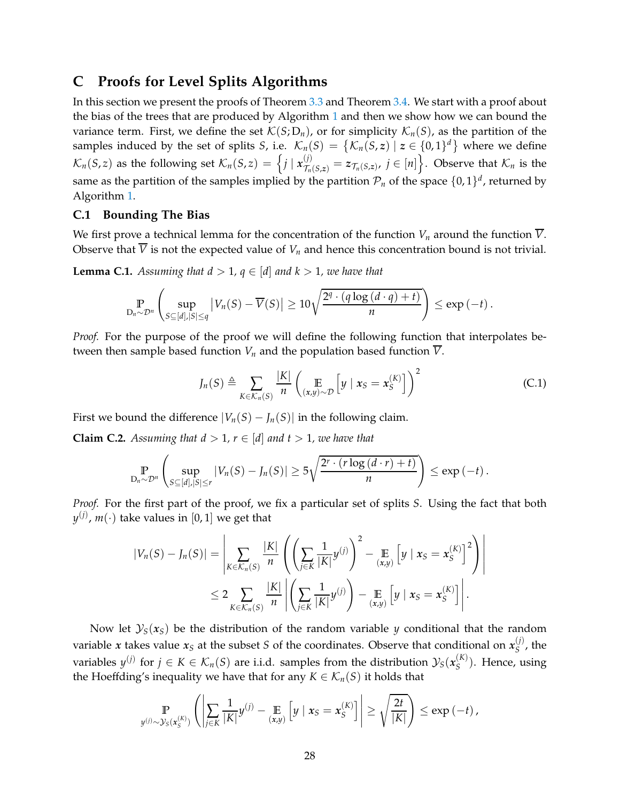# <span id="page-27-0"></span>**C Proofs for Level Splits Algorithms**

In this section we present the proofs of Theorem [3.3](#page-5-1) and Theorem [3.4.](#page-6-0) We start with a proof about the bias of the trees that are produced by Algorithm [1](#page-5-0) and then we show how we can bound the variance term. First, we define the set  $\mathcal{K}(S; D_n)$ , or for simplicity  $\mathcal{K}_n(S)$ , as the partition of the samples induced by the set of splits *S*, i.e.  $\mathcal{K}_n(S) = \{ \mathcal{K}_n(S, z) \mid z \in \{0, 1\}^d \}$  where we define  $\mathcal{K}_n(S,z)$  as the following set  $\mathcal{K}_n(S,z) = \left\{ j \mid \mathbf{x}_{\mathcal{T}_n(S,z)}^{(j)} = z_{\mathcal{T}_n(S,z)}, j \in [n] \right\}$ . Observe that  $\mathcal{K}_n$  is the same as the partition of the samples implied by the partition  $\mathcal{P}_n$  of the space  $\{0,1\}^d$ , returned by Algorithm [1.](#page-5-0)

#### **C.1 Bounding The Bias**

We first prove a technical lemma for the concentration of the function  $V_n$  around the function  $\overline{V}$ . Observe that  $\overline{V}$  is not the expected value of  $V_n$  and hence this concentration bound is not trivial.

<span id="page-27-2"></span>**Lemma C.1.** Assuming that  $d > 1$ ,  $q \in [d]$  and  $k > 1$ , we have that

$$
\Pr_{D_n \sim \mathcal{D}^n} \left( \sup_{S \subseteq [d], |S| \le q} |V_n(S) - \overline{V}(S)| \ge 10 \sqrt{\frac{2^q \cdot (q \log (d \cdot q) + t)}{n}} \right) \le \exp(-t) \, .
$$

*Proof.* For the purpose of the proof we will define the following function that interpolates between then sample based function  $V_n$  and the population based function  $\overline{V}$ .

$$
J_n(S) \triangleq \sum_{K \in \mathcal{K}_n(S)} \frac{|K|}{n} \left( \mathop{\mathbb{E}}_{(x,y) \sim \mathcal{D}} \left[ y \mid x_S = x_S^{(K)} \right] \right)^2 \tag{C.1}
$$

First we bound the difference  $|V_n(S) - J_n(S)|$  in the following claim.

<span id="page-27-1"></span>**Claim C.2.** Assuming that  $d > 1$ ,  $r \in [d]$  and  $t > 1$ , we have that

$$
\mathbb{P}_{D_n \sim \mathcal{D}^n} \left( \sup_{S \subseteq [d], |S| \leq r} |V_n(S) - J_n(S)| \geq 5\sqrt{\frac{2^r \cdot (r \log (d \cdot r) + t)}{n}} \right) \leq \exp(-t).
$$

*Proof.* For the first part of the proof, we fix a particular set of splits *S*. Using the fact that both  $y^{(j)}$ ,  $m(\cdot)$  take values in  $[0,1]$  we get that

$$
|V_n(S) - J_n(S)| = \left| \sum_{K \in \mathcal{K}_n(S)} \frac{|K|}{n} \left( \left( \sum_{j \in K} \frac{1}{|K|} y^{(j)} \right)^2 - \sum_{(x,y)} \left[ y \mid x_S = x_S^{(K)} \right]^2 \right) \right|
$$
  

$$
\leq 2 \sum_{K \in \mathcal{K}_n(S)} \frac{|K|}{n} \left| \left( \sum_{j \in K} \frac{1}{|K|} y^{(j)} \right) - \sum_{(x,y)} \left[ y \mid x_S = x_S^{(K)} \right] \right|.
$$

Now let  $\mathcal{Y}_S(x_S)$  be the distribution of the random variable *y* conditional that the random variable  $x$  takes value  $x_S$  at the subset  $S$  of the coordinates. Observe that conditional on  $x_S^{(j)}$  $S^{\prime}$ , the variables  $y^{(j)}$  for  $j \in K \in \mathcal{K}_n(S)$  are i.i.d. samples from the distribution  $\mathcal{Y}_S(x_S^{(K)})$ *S* ). Hence, using the Hoeffding's inequality we have that for any  $K \in \mathcal{K}_n(S)$  it holds that

$$
\Pr_{y^{(j)} \sim \mathcal{Y}_S(x_S^{(K)})} \left( \left| \sum_{j \in K} \frac{1}{|K|} y^{(j)} - \mathop{\mathbb{E}}_{(x,y)} \left[ y \mid x_S = x_S^{(K)} \right] \right| \ge \sqrt{\frac{2t}{|K|}} \right) \le \exp(-t) \, ,
$$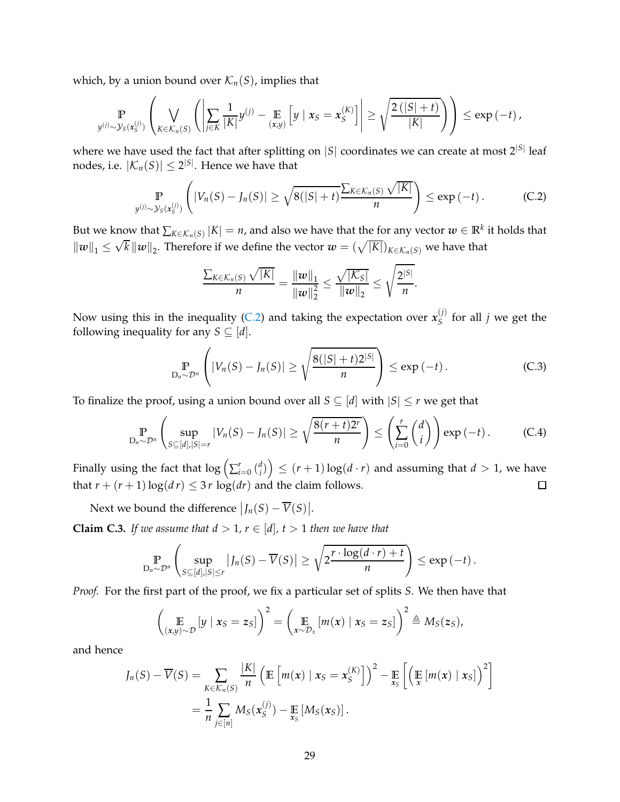which, by a union bound over  $\mathcal{K}_n(S)$ , implies that

$$
\Pr_{y^{(j)} \sim \mathcal{Y}_S(x_S^{(j)})} \left( \bigvee_{K \in \mathcal{K}_n(S)} \left( \left| \sum_{j \in K} \frac{1}{|K|} y^{(j)} - \mathop{\mathbb{E}}_{(x,y)} \left[ y \mid x_S = x_S^{(K)} \right] \right| \geq \sqrt{\frac{2\left( |S| + t \right)}{|K|}} \right) \right) \leq \exp(-t),
$$

where we have used the fact that after splitting on  $|S|$  coordinates we can create at most  $2^{|S|}$  leaf nodes, i.e.  $|\mathcal{K}_n(S)| \leq 2^{|S|}$ . Hence we have that

$$
\mathbb{P}_{y^{(j)} \sim \mathcal{Y}_S(x_S^{(j)})}\left(|V_n(S) - J_n(S)| \geq \sqrt{8(|S| + t)} \frac{\sum_{K \in \mathcal{K}_n(S)} \sqrt{|K|}}{n}\right) \leq \exp(-t).
$$
 (C.2)

But we know that  $\sum_{K \in \mathcal{K}_n(S)} |K| = n$ , and also we have that the for any vector  $w \in \mathbb{R}^k$  it holds that  $||w||_1 \leq \sqrt{k} ||w||_2$ . Therefore if we define the vector  $w = (\sqrt{|K|})_{K \in \mathcal{K}_n(S)}$  we have that

<span id="page-28-0"></span>
$$
\frac{\sum_{K\in\mathcal{K}_n(S)}\sqrt{|K|}}{n} = \frac{\|w\|_1}{\|w\|_2^2} \leq \frac{\sqrt{|K_S|}}{\|w\|_2} \leq \sqrt{\frac{2^{|S|}}{n}}.
$$

Now using this in the inequality [\(C.2\)](#page-28-0) and taking the expectation over  $x_S^{(j)}$  $S^{\prime\prime}$  for all *j* we get the following inequality for any *S*  $\subseteq$  [*d*].

$$
\mathbb{P}_{D_n \sim \mathcal{D}^n} \left( |V_n(S) - J_n(S)| \ge \sqrt{\frac{8(|S| + t)2^{|S|}}{n}} \right) \le \exp\left(-t\right). \tag{C.3}
$$

To finalize the proof, using a union bound over all  $S \subseteq [d]$  with  $|S| \leq r$  we get that

$$
\Pr_{D_n \sim \mathcal{D}^n} \left( \sup_{S \subseteq [d], |S|=r} |V_n(S) - J_n(S)| \ge \sqrt{\frac{8(r+t)2^r}{n}} \right) \le \left( \sum_{i=0}^r \binom{d}{i} \right) \exp(-t).
$$
 (C.4)

Finally using the fact that  $\log\left(\sum_{i=0}^r\binom{d_i}{i}\right)$  $\binom{d}{i}$   $\leq$   $(r+1)\log(d\cdot r)$  and assuming that  $d>1$ , we have that  $r + (r + 1) \log(d r) \leq 3r \log(d r)$  and the claim follows.  $\Box$ 

Next we bound the difference  $|J_n(S) - \overline{V}(S)|$ .

<span id="page-28-1"></span>**Claim C.3.** *If we assume that*  $d > 1$ ,  $r \in [d]$ ,  $t > 1$  *then we have that* 

$$
\Pr_{D_n \sim \mathcal{D}^n} \left( \sup_{S \subseteq [d], |S| \le r} |J_n(S) - \overline{V}(S)| \ge \sqrt{2 \frac{r \cdot \log(d \cdot r) + t}{n}} \right) \le \exp(-t) \, .
$$

*Proof.* For the first part of the proof, we fix a particular set of splits *S*. We then have that

$$
\left(\mathop{\mathbb{E}}_{(x,y)\sim\mathcal{D}}[y \mid x_{S}=z_{S}]\right)^{2}=\left(\mathop{\mathbb{E}}_{x\sim\mathcal{D}_{x}}[m(x) \mid x_{S}=z_{S}]\right)^{2}\triangleq M_{S}(z_{S}),
$$

and hence

$$
J_n(S) - \overline{V}(S) = \sum_{K \in \mathcal{K}_n(S)} \frac{|K|}{n} \left( \mathbb{E} \left[ m(x) \mid x_S = x_S^{(K)} \right] \right)^2 - \mathbb{E} \left[ \left( \mathbb{E} \left[ m(x) \mid x_S \right] \right)^2 \right]
$$
  
= 
$$
\frac{1}{n} \sum_{j \in [n]} M_S(x_S^{(j)}) - \mathbb{E} \left[ M_S(x_S) \right].
$$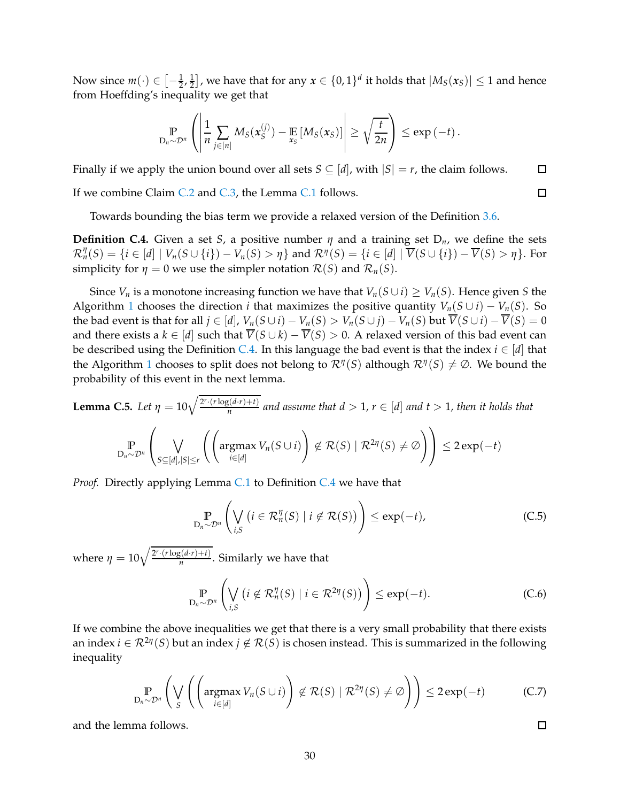Now since  $m(\cdot) \in \left[-\frac{1}{2}, \frac{1}{2}\right]$  $\left(\frac{1}{2}\right]$ , we have that for any  $x \in \{0,1\}^d$  it holds that  $|M_S(x_S)| \leq 1$  and hence from Hoeffding's inequality we get that

$$
\Pr_{D_n \sim \mathcal{D}^n} \left( \left| \frac{1}{n} \sum_{j \in [n]} M_S(x_S^{(j)}) - \mathop{\mathbb{E}}_{x_S} \left[ M_S(x_S) \right] \right| \geq \sqrt{\frac{t}{2n}} \right) \leq \exp(-t).
$$

Finally if we apply the union bound over all sets  $S \subseteq [d]$ , with  $|S| = r$ , the claim follows.  $\Box$ 

If we combine Claim [C.2](#page-27-1) and [C.3,](#page-28-1) the Lemma [C.1](#page-27-2) follows.

Towards bounding the bias term we provide a relaxed version of the Definition [3.6.](#page-7-3)

<span id="page-29-0"></span>**Definition C.4.** Given a set *S*, a positive number  $\eta$  and a training set  $D_n$ , we define the sets  $\mathcal{R}_n^{\eta}(S) = \{i \in [d] \mid V_n(S \cup \{i\}) - V_n(S) > \eta\}$  and  $\mathcal{R}^{\eta}(S) = \{i \in [d] \mid \overline{V}(S \cup \{i\}) - \overline{V}(S) > \eta\}$ . For simplicity for  $\eta = 0$  we use the simpler notation  $\mathcal{R}(S)$  and  $\mathcal{R}_n(S)$ .

Since *V<sub>n</sub>* is a monotone increasing function we have that  $V_n(S \cup i) \geq V_n(S)$ . Hence given *S* the Algorithm [1](#page-5-0) chooses the direction *i* that maximizes the positive quantity  $V_n(S \cup i) - V_n(S)$ . So the bad event is that for all  $j \in [d]$ ,  $V_n(S \cup i) - V_n(S) > V_n(S \cup j) - V_n(S)$  but  $\overline{V}(S \cup i) - \overline{V}(S) = 0$ and there exists a  $k \in [d]$  such that  $\overline{V}(S \cup k) - \overline{V}(S) > 0$ . A relaxed version of this bad event can be described using the Definition [C.4.](#page-29-0) In this language the bad event is that the index  $i \in [d]$  that the Algorithm [1](#page-5-0) chooses to split does not belong to  $\mathcal{R}^{\eta}(S)$  although  $\mathcal{R}^{\eta}(S) \neq \emptyset$ . We bound the probability of this event in the next lemma.

<span id="page-29-1"></span>**Lemma C.5.** Let 
$$
\eta = 10\sqrt{\frac{2^r \cdot (r \log(d \cdot r) + t)}{n}}
$$
 and assume that  $d > 1$ ,  $r \in [d]$  and  $t > 1$ , then it holds that

$$
\mathop{\mathbb{P}}_{D_n \sim \mathcal{D}^n} \left( \bigvee_{S \subseteq [d], |S| \leq r} \left( \left( \operatorname{argmax}_{i \in [d]} V_n(S \cup i) \right) \notin \mathcal{R}(S) \mid \mathcal{R}^{2\eta}(S) \neq \emptyset \right) \right) \leq 2 \exp(-t)
$$

*Proof.* Directly applying Lemma [C.1](#page-27-2) to Definition [C.4](#page-29-0) we have that

$$
\mathbb{P}_{D_n \sim \mathcal{D}^n} \left( \bigvee_{i,S} \left( i \in \mathcal{R}_n^{\eta}(S) \mid i \notin \mathcal{R}(S) \right) \right) \le \exp(-t), \tag{C.5}
$$

where  $\eta = 10 \sqrt{\frac{2^r \cdot (r \log(d \cdot r) + t)}{n}}$ . Similarly we have that

$$
\mathbb{P}_{D_n \sim \mathcal{D}^n} \left( \bigvee_{i,S} \left( i \notin \mathcal{R}_n^{\eta}(S) \mid i \in \mathcal{R}^{2\eta}(S) \right) \right) \le \exp(-t). \tag{C.6}
$$

If we combine the above inequalities we get that there is a very small probability that there exists an index  $i \in \mathcal{R}^{2\eta}(S)$  but an index  $j \notin \mathcal{R}(S)$  is chosen instead. This is summarized in the following inequality

$$
\mathbb{P}_{D_n \sim \mathcal{D}^n} \left( \bigvee_{S} \left( \left( \operatorname{argmax}_{i \in [d]} V_n(S \cup i) \right) \notin \mathcal{R}(S) \mid \mathcal{R}^{2\eta}(S) \neq \emptyset \right) \right) \leq 2 \exp(-t) \tag{C.7}
$$

and the lemma follows.

30

 $\Box$ 

 $\Box$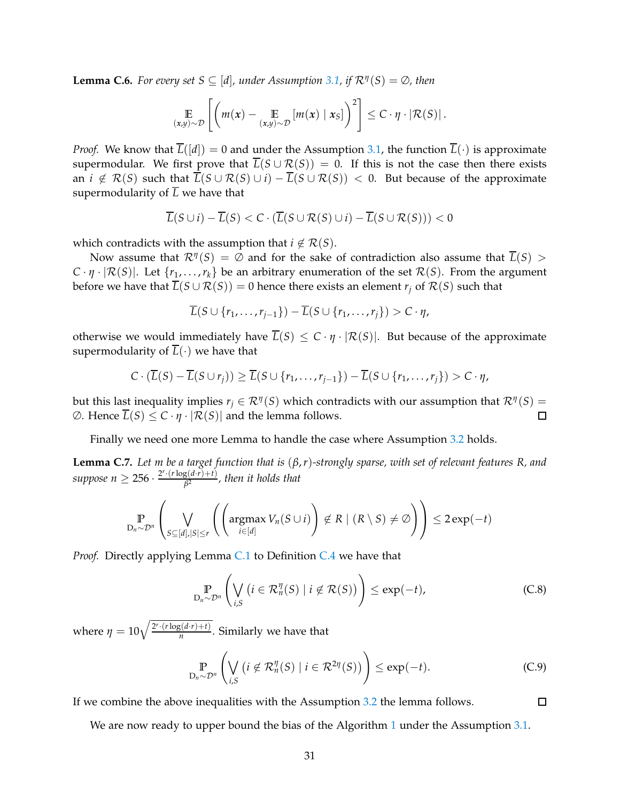<span id="page-30-0"></span>**Lemma C.6.** *For every set*  $S \subseteq [d]$ *, under Assumption* [3.1,](#page-4-1) *if*  $\mathcal{R}^{\eta}(S) = \emptyset$ , then

$$
\mathop{\mathbb{E}}_{(x,y)\sim\mathcal{D}}\left[\left(m(x)-\mathop{\mathbb{E}}_{(x,y)\sim\mathcal{D}}[m(x)\mid x_{S}]\right)^{2}\right]\leq C\cdot\eta\cdot\left|\mathcal{R}(S)\right|.
$$

*Proof.* We know that  $\overline{L}([d]) = 0$  and under the Assumption [3.1,](#page-4-1) the function  $\overline{L}(\cdot)$  is approximate supermodular. We first prove that  $\overline{L}(S \cup \mathcal{R}(S)) = 0$ . If this is not the case then there exists an  $i \notin \mathcal{R}(S)$  such that  $\overline{L}(S \cup \mathcal{R}(S) \cup i) - \overline{L}(S \cup \mathcal{R}(S)) < 0$ . But because of the approximate supermodularity of  $\overline{L}$  we have that

$$
\overline{L}(S \cup i) - \overline{L}(S) < C \cdot (\overline{L}(S \cup \mathcal{R}(S) \cup i) - \overline{L}(S \cup \mathcal{R}(S))) < 0
$$

which contradicts with the assumption that  $i \notin \mathcal{R}(S)$ .

Now assume that  $\mathcal{R}^{\eta}(S) = \emptyset$  and for the sake of contradiction also assume that  $\overline{L}(S) > \emptyset$  $C \cdot \eta \cdot |\mathcal{R}(S)|$ . Let  $\{r_1, \ldots, r_k\}$  be an arbitrary enumeration of the set  $\mathcal{R}(S)$ . From the argument before we have that  $\overline{L}(S \cup \mathcal{R}(S)) = 0$  hence there exists an element  $r_i$  of  $\mathcal{R}(S)$  such that

$$
\overline{L}(S \cup \{r_1,\ldots,r_{j-1}\}) - \overline{L}(S \cup \{r_1,\ldots,r_j\}) > C \cdot \eta,
$$

otherwise we would immediately have  $\overline{L}(S) \leq C \cdot \eta \cdot |\mathcal{R}(S)|$ . But because of the approximate supermodularity of  $\overline{L}(\cdot)$  we have that

$$
C \cdot (\overline{L}(S) - \overline{L}(S \cup r_j)) \ge \overline{L}(S \cup \{r_1, \ldots, r_{j-1}\}) - \overline{L}(S \cup \{r_1, \ldots, r_j\}) > C \cdot \eta,
$$

but this last inequality implies  $r_j \in \mathcal{R}^{\eta}(S)$  which contradicts with our assumption that  $\mathcal{R}^{\eta}(S)$  =  $\emptyset$ . Hence  $\overline{L}(S) \leq C \cdot \eta \cdot |\mathcal{R}(S)|$  and the lemma follows.  $\Box$ 

Finally we need one more Lemma to handle the case where Assumption [3.2](#page-4-2) holds.

<span id="page-30-1"></span>**Lemma C.7.** *Let m be a target function that is* (*β*,*r*)*-strongly sparse, with set of relevant features R, and*  $suppose \ n \geq 256 \cdot \frac{2^r \cdot (r \log(d \cdot r) + t)}{\beta^2}$ , then it holds that

$$
\mathbb{P}_{D_n \sim \mathcal{D}^n} \left( \bigvee_{S \subseteq [d], |S| \le r} \left( \left( \operatorname{argmax}_{i \in [d]} V_n(S \cup i) \right) \notin R \mid (R \setminus S) \neq \emptyset \right) \right) \le 2 \exp(-t)
$$

*Proof.* Directly applying Lemma [C.1](#page-27-2) to Definition [C.4](#page-29-0) we have that

$$
\mathbb{P}_{D_n \sim \mathcal{D}^n} \left( \bigvee_{i,S} \left( i \in \mathcal{R}_n^{\eta}(S) \mid i \notin \mathcal{R}(S) \right) \right) \le \exp(-t), \tag{C.8}
$$

where  $\eta = 10 \sqrt{\frac{2^r \cdot (r \log(d \cdot r) + t)}{n}}$ . Similarly we have that

$$
\mathbb{P}_{D_n \sim \mathcal{D}^n} \left( \bigvee_{i,S} \left( i \notin \mathcal{R}_n^{\eta}(S) \mid i \in \mathcal{R}^{2\eta}(S) \right) \right) \le \exp(-t). \tag{C.9}
$$

 $\Box$ 

If we combine the above inequalities with the Assumption [3.2](#page-4-2) the lemma follows.

We are now ready to upper bound the bias of the Algorithm [1](#page-5-0) under the Assumption [3.1.](#page-4-1)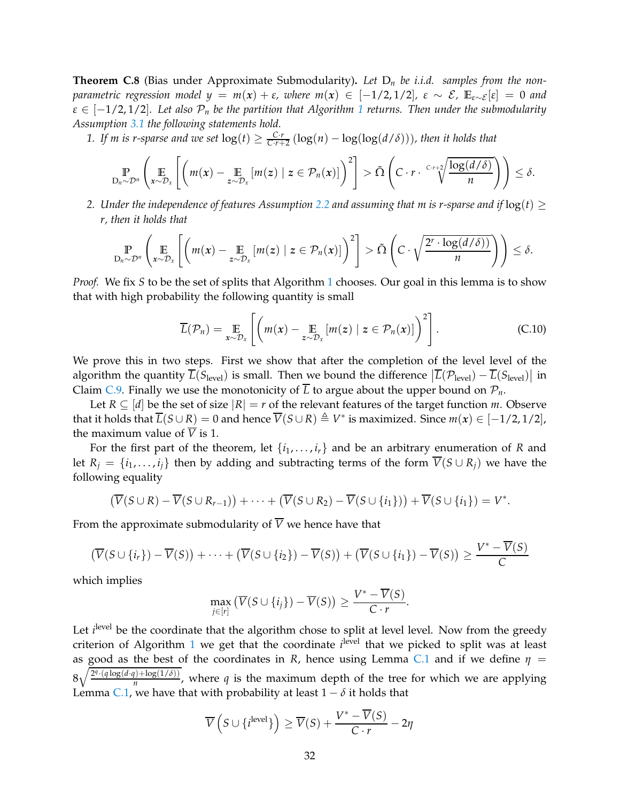<span id="page-31-0"></span>**Theorem C.8** (Bias under Approximate Submodularity)**.** *Let* D*<sup>n</sup> be i.i.d. samples from the nonparametric regression model*  $y = m(x) + \varepsilon$ *, where*  $m(x) \in [-1/2, 1/2]$ ,  $\varepsilon \sim \mathcal{E}$ ,  $\mathbb{E}_{\varepsilon \sim \mathcal{E}}[\varepsilon] = 0$  and  $\varepsilon \in [-1/2, 1/2]$  $\varepsilon \in [-1/2, 1/2]$  $\varepsilon \in [-1/2, 1/2]$ . Let also  $\mathcal{P}_n$  be the partition that Algorithm 1 returns. Then under the submodularity *Assumption [3.1](#page-4-1) the following statements hold.*

1. If m is r-sparse and we set  $log(t) \ge \frac{C \cdot r}{C \cdot r+2} (log(n) - log(log(d/\delta)))$ , then it holds that

$$
\mathbb{P}_{D_n \sim \mathcal{D}^n} \left( \mathop{\mathbb{E}}_{x \sim \mathcal{D}_x} \left[ \left( m(x) - \mathop{\mathbb{E}}_{z \sim \mathcal{D}_x} \left[ m(z) \mid z \in \mathcal{P}_n(x) \right] \right)^2 \right] > \tilde{\Omega} \left( C \cdot r \cdot \sqrt[C]{\frac{\log(d/\delta)}{n}} \right) \right) \leq \delta.
$$

*2.* Under the independence of features Assumption [2.2](#page-3-1) and assuming that m is r-sparse and if  $log(t) \ge$ *r, then it holds that*

$$
\mathop{\mathbb{P}}_{D_n \sim \mathcal{D}^n} \left( \mathop{\mathbb{E}}_{x \sim \mathcal{D}_x} \left[ \left( m(x) - \mathop{\mathbb{E}}_{z \sim \mathcal{D}_x} [m(z) \mid z \in \mathcal{P}_n(x)] \right)^2 \right] > \tilde{\Omega} \left( C \cdot \sqrt{\frac{2^r \cdot \log(d/\delta)}{n}} \right) \right) \leq \delta.
$$

*Proof.* We fix *S* to be the set of splits that Algorithm [1](#page-5-0) chooses. Our goal in this lemma is to show that with high probability the following quantity is small

$$
\overline{L}(\mathcal{P}_n) = \mathop{\mathbb{E}}_{x \sim \mathcal{D}_x} \left[ \left( m(x) - \mathop{\mathbb{E}}_{z \sim \mathcal{D}_x} \left[ m(z) \mid z \in \mathcal{P}_n(x) \right] \right)^2 \right]. \tag{C.10}
$$

We prove this in two steps. First we show that after the completion of the level level of the algorithm the quantity  $\overline{L}(S_{\text{level}})$  is small. Then we bound the difference  $|\overline{L}(\mathcal{P}_{\text{level}}) - \overline{L}(S_{\text{level}})|$  in Claim [C.9.](#page-32-0) Finally we use the monotonicity of  $\overline{L}$  to argue about the upper bound on  $\mathcal{P}_n$ .

Let  $R \subseteq [d]$  be the set of size  $|R| = r$  of the relevant features of the target function *m*. Observe that it holds that  $\overline{L}(S \cup R) = 0$  and hence  $\overline{V}(S \cup R) \triangleq V^*$  is maximized. Since  $m(x) \in [-1/2, 1/2]$ , the maximum value of  $\overline{V}$  is 1.

For the first part of the theorem, let  $\{i_1, \ldots, i_r\}$  and be an arbitrary enumeration of *R* and let  $R_i = \{i_1, \ldots, i_i\}$  then by adding and subtracting terms of the form  $\overline{V}(S \cup R_i)$  we have the following equality

$$
(\overline{V}(S \cup R) - \overline{V}(S \cup R_{r-1})) + \cdots + (\overline{V}(S \cup R_2) - \overline{V}(S \cup \{i_1\})) + \overline{V}(S \cup \{i_1\}) = V^*.
$$

From the approximate submodularity of  $\overline{V}$  we hence have that

$$
\left(\overline{V}(S \cup \{i_r\}) - \overline{V}(S)\right) + \cdots + \left(\overline{V}(S \cup \{i_2\}) - \overline{V}(S)\right) + \left(\overline{V}(S \cup \{i_1\}) - \overline{V}(S)\right) \ge \frac{V^* - \overline{V}(S)}{C}
$$

which implies

$$
\max_{j\in[r]} \left( \overline{V}(S\cup\{i_j\}) - \overline{V}(S) \right) \ge \frac{V^* - V(S)}{C \cdot r}.
$$

Let *i*<sup>level</sup> be the coordinate that the algorithm chose to split at level level. Now from the greedy criterion of Algorithm [1](#page-5-0) we get that the coordinate *i*<sup>level</sup> that we picked to split was at least as good as the best of the coordinates in *R*, hence using Lemma [C.1](#page-27-2) and if we define  $\eta$  =  $8\sqrt{\frac{2^{q}\cdot(q\log(d\cdot q)+\log(1/\delta))}{n}}$ , where *q* is the maximum depth of the tree for which we are applying Lemma [C.1,](#page-27-2) we have that with probability at least  $1 - \delta$  it holds that

$$
\overline{V}\left(S \cup \{i^{\text{level}}\}\right) \ge \overline{V}(S) + \frac{V^* - \overline{V}(S)}{C \cdot r} - 2\eta
$$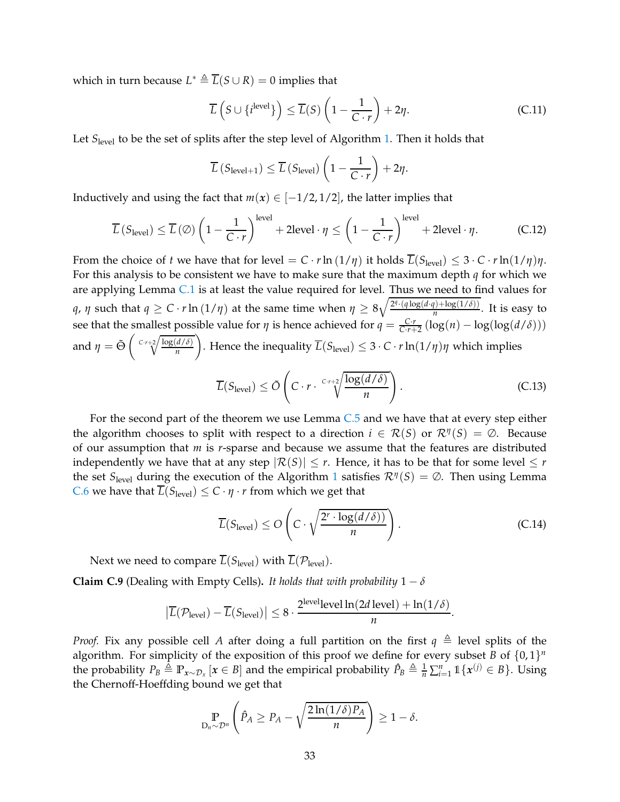which in turn because  $L^* \triangleq \overline{L}(S \cup R) = 0$  implies that

$$
\overline{L}\left(S \cup \{i^{\text{level}}\}\right) \le \overline{L}(S)\left(1 - \frac{1}{C \cdot r}\right) + 2\eta. \tag{C.11}
$$

Let *S*<sub>level</sub> to be the set of splits after the step level of Algorithm [1.](#page-5-0) Then it holds that

$$
\overline{L}\left(S_{\text{level}+1}\right) \leq \overline{L}\left(S_{\text{level}}\right)\left(1 - \frac{1}{C \cdot r}\right) + 2\eta.
$$

Inductively and using the fact that  $m(x) \in [-1/2, 1/2]$ , the latter implies that

$$
\overline{L}\left(S_{\text{level}}\right) \le \overline{L}\left(\emptyset\right) \left(1 - \frac{1}{C \cdot r}\right)^{\text{level}} + 2\text{level} \cdot \eta \le \left(1 - \frac{1}{C \cdot r}\right)^{\text{level}} + 2\text{level} \cdot \eta. \tag{C.12}
$$

From the choice of *t* we have that for level =  $C \cdot r \ln(1/\eta)$  it holds  $\overline{L}(S_{\text{level}}) \leq 3 \cdot C \cdot r \ln(1/\eta) \eta$ . For this analysis to be consistent we have to make sure that the maximum depth *q* for which we are applying Lemma [C.1](#page-27-2) is at least the value required for level. Thus we need to find values for *q*, *η* such that  $q \ge C \cdot r \ln{(1/\eta)}$  at the same time when  $\eta \ge 8\sqrt{\frac{2^q \cdot (q \log(d \cdot q) + \log(1/\delta))}{n}}$ . It is easy to see that the smallest possible value for *η* is hence achieved for  $q = \frac{C \cdot r}{C \cdot r + 2} (\log(n) - \log(\log(d/\delta)))$ and  $\eta = \tilde{\Theta} \left( \sqrt{\frac{C \cdot r + 2}{n}} \frac{\log(d/\delta)}{n} \right)$ *n* . Hence the inequality  $\overline{L}(S_{\text{level}}) \leq 3 \cdot C \cdot r \ln(1/\eta) \eta$  which implies

<span id="page-32-1"></span>
$$
\overline{L}(S_{\text{level}}) \le \tilde{O}\left(C \cdot r \cdot \sqrt[C]{\frac{\log(d/\delta)}{n}}\right). \tag{C.13}
$$

For the second part of the theorem we use Lemma [C.5](#page-29-1) and we have that at every step either the algorithm chooses to split with respect to a direction  $i \in \mathcal{R}(S)$  or  $\mathcal{R}^{\eta}(S) = \emptyset$ . Because of our assumption that *m* is *r*-sparse and because we assume that the features are distributed independently we have that at any step  $|\mathcal{R}(S)| \leq r$ . Hence, it has to be that for some level  $\leq r$ the set  $S_{\text{level}}$  during the execution of the Algorithm [1](#page-5-0) satisfies  $\mathcal{R}^{\eta}(S) = \emptyset$ . Then using Lemma *C*.6 we have that  $\overline{L}(S_{\text{level}}) \leq C \cdot \eta \cdot r$  from which we get that

<span id="page-32-2"></span>
$$
\overline{L}(S_{\text{level}}) \le O\left(C \cdot \sqrt{\frac{2^r \cdot \log(d/\delta)}{n}}\right). \tag{C.14}
$$

Next we need to compare  $\overline{L}(S_{\text{level}})$  with  $\overline{L}(\mathcal{P}_{\text{level}})$ .

<span id="page-32-0"></span>**Claim C.9** (Dealing with Empty Cells). *It holds that with probability*  $1 - \delta$ 

$$
\left|\overline{L}(\mathcal{P}_{\text{level}}) - \overline{L}(S_{\text{level}})\right| \leq 8 \cdot \frac{2^{\text{level}} \text{level} \ln(2d \text{ level}) + \ln(1/\delta)}{n}.
$$

*Proof.* Fix any possible cell *A* after doing a full partition on the first  $q \triangleq$  level splits of the algorithm. For simplicity of the exposition of this proof we define for every subset *B* of  $\{0,1\}^n$ the probability  $P_B \triangleq \mathbb{P}_{x \sim \mathcal{D}_x} [x \in B]$  and the empirical probability  $\hat{P}_B \triangleq \frac{1}{n} \sum_{i=1}^n \mathbb{1} \{x^{(j)} \in B\}$ . Using the Chernoff-Hoeffding bound we get that

$$
\Pr_{D_n \sim \mathcal{D}^n} \left( \hat{P}_A \ge P_A - \sqrt{\frac{2\ln(1/\delta)P_A}{n}} \right) \ge 1 - \delta.
$$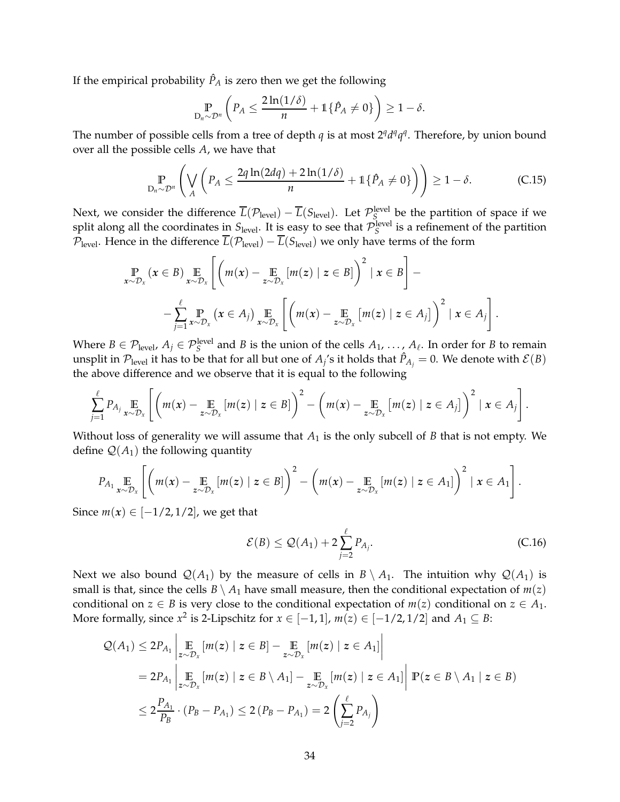If the empirical probability  $\hat{P}_A$  is zero then we get the following

<span id="page-33-0"></span>
$$
\mathbb{P}_{\mathbf{D}_n \sim \mathcal{D}^n} \left( P_A \le \frac{2 \ln(1/\delta)}{n} + \mathbb{1} \{ \hat{P}_A \ne 0 \} \right) \ge 1 - \delta.
$$

The number of possible cells from a tree of depth *q* is at most  $2<sup>q</sup>d<sup>q</sup>q<sup>q</sup>$ . Therefore, by union bound over all the possible cells *A*, we have that

$$
\mathbb{P}_{D_n \sim \mathcal{D}^n} \left( \bigvee_A \left( P_A \le \frac{2q \ln(2dq) + 2\ln(1/\delta)}{n} + 1\{\hat{P}_A \ne 0\} \right) \right) \ge 1 - \delta. \tag{C.15}
$$

Next, we consider the difference  $\overline{L}(\mathcal{P}_{level}) - \overline{L}(S_{level})$ . Let  $\mathcal{P}_{S}^{level}$  be the partition of space if we split along all the coordinates in  $S_{\text{level}}$ . It is easy to see that  $\mathcal{P}_S^{\text{level}}$  is a refinement of the partition  $P_{\text{level}}$ . Hence in the difference  $\overline{L}(\mathcal{P}_{\text{level}}) - \overline{L}(S_{\text{level}})$  we only have terms of the form

$$
\Pr_{x \sim \mathcal{D}_x} (x \in B) \underset{x \sim \mathcal{D}_x}{\mathbb{E}} \left[ \left( m(x) - \underset{z \sim \mathcal{D}_x}{\mathbb{E}} \left[ m(z) \mid z \in B \right] \right)^2 \mid x \in B \right] - \\ - \sum_{j=1}^{\ell} \underset{x \sim \mathcal{D}_x}{\mathbb{P}} \left[ x \in A_j \right] \underset{x \sim \mathcal{D}_x}{\mathbb{E}} \left[ \left( m(x) - \underset{z \sim \mathcal{D}_x}{\mathbb{E}} \left[ m(z) \mid z \in A_j \right] \right)^2 \mid x \in A_j \right].
$$

Where  $B \in \mathcal{P}_{\text{level}}$ ,  $A_j \in \mathcal{P}_{S}^{\text{level}}$  and *B* is the union of the cells  $A_1, \ldots, A_\ell$ . In order for *B* to remain unsplit in  $\mathcal{P}_{level}$  it has to be that for all but one of  $A_j$ 's it holds that  $\hat{P}_{A_j}=0$ . We denote with  $\mathcal{E}(B)$ the above difference and we observe that it is equal to the following

$$
\sum_{j=1}^{\ell} P_{A_j} \underset{x \sim \mathcal{D}_x}{\mathbb{E}} \left[ \left( m(x) - \underset{z \sim \mathcal{D}_x}{\mathbb{E}} \left[ m(z) \mid z \in B \right] \right)^2 - \left( m(x) - \underset{z \sim \mathcal{D}_x}{\mathbb{E}} \left[ m(z) \mid z \in A_j \right] \right)^2 \mid x \in A_j \right].
$$

Without loss of generality we will assume that  $A_1$  is the only subcell of  $B$  that is not empty. We define  $\mathcal{Q}(A_1)$  the following quantity

$$
P_{A_1} \underset{x \sim \mathcal{D}_x}{\mathbb{E}} \left[ \left( m(x) - \underset{z \sim \mathcal{D}_x}{\mathbb{E}} \left[ m(z) \mid z \in B \right] \right)^2 - \left( m(x) - \underset{z \sim \mathcal{D}_x}{\mathbb{E}} \left[ m(z) \mid z \in A_1 \right] \right)^2 \mid x \in A_1 \right].
$$

Since  $m(x) \in [-1/2, 1/2]$ , we get that

<span id="page-33-1"></span>
$$
\mathcal{E}(B) \le \mathcal{Q}(A_1) + 2\sum_{j=2}^{\ell} P_{A_j}.
$$
\n(C.16)

Next we also bound  $\mathcal{Q}(A_1)$  by the measure of cells in  $B \setminus A_1$ . The intuition why  $\mathcal{Q}(A_1)$  is small is that, since the cells  $B \setminus A_1$  have small measure, then the conditional expectation of  $m(z)$ conditional on *z*  $\in$  *B* is very close to the conditional expectation of *m*(*z*) conditional on *z*  $\in$  *A*<sub>1</sub>. More formally, since  $x^2$  is 2-Lipschitz for  $x \in [-1,1]$ ,  $m(z) \in [-1/2,1/2]$  and  $A_1 \subseteq B$ :

$$
\mathcal{Q}(A_1) \leq 2P_{A_1} \left| \underset{z \sim \mathcal{D}_x}{\mathbb{E}} [m(z) \mid z \in B] - \underset{z \sim \mathcal{D}_x}{\mathbb{E}} [m(z) \mid z \in A_1] \right|
$$
  
\n
$$
= 2P_{A_1} \left| \underset{z \sim \mathcal{D}_x}{\mathbb{E}} [m(z) \mid z \in B \setminus A_1] - \underset{z \sim \mathcal{D}_x}{\mathbb{E}} [m(z) \mid z \in A_1] \right| \mathbb{P}(z \in B \setminus A_1 \mid z \in B)
$$
  
\n
$$
\leq 2\frac{P_{A_1}}{P_B} \cdot (P_B - P_{A_1}) \leq 2(P_B - P_{A_1}) = 2\left(\sum_{j=2}^{\ell} P_{A_j}\right)
$$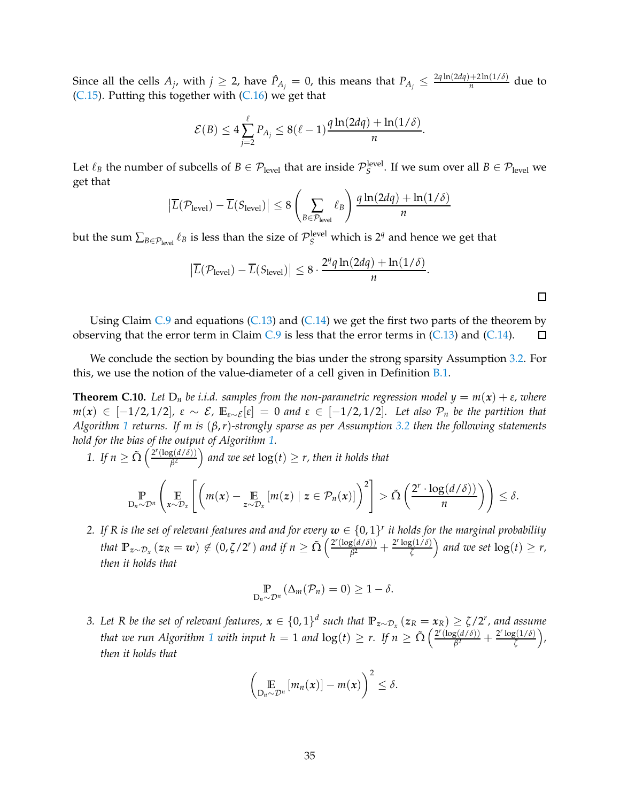Since all the cells  $A_j$ , with  $j \geq 2$ , have  $\hat{P}_{A_j} = 0$ , this means that  $P_{A_j} \leq \frac{2q \ln(2dq) + 2\ln(1/\delta)}{n}$  $\frac{+2\ln(1/\theta)}{n}$  due to  $(C.15)$ . Putting this together with  $(C.16)$  we get that

$$
\mathcal{E}(B) \le 4\sum_{j=2}^{\ell} P_{A_j} \le 8(\ell-1)\frac{q\ln(2dq) + \ln(1/\delta)}{n}.
$$

Let  $\ell_B$  the number of subcells of  $B \in \mathcal{P}_{level}$  that are inside  $\mathcal{P}_{S}^{level}$ . If we sum over all  $B \in \mathcal{P}_{level}$  we get that

$$
\left| \overline{L}(\mathcal{P}_{\text{level}}) - \overline{L}(S_{\text{level}}) \right| \le 8 \left( \sum_{B \in \mathcal{P}_{\text{level}}} \ell_B \right) \frac{q \ln(2dq) + \ln(1/\delta)}{n}
$$

but the sum  $\sum_{B \in \mathcal{P}_\text{level}} \ell_B$  is less than the size of  $\mathcal{P}_S^\text{level}$  which is  $2^q$  and hence we get that

$$
\left|\overline{L}(\mathcal{P}_{level}) - \overline{L}(S_{level})\right| \leq 8 \cdot \frac{2^q q \ln(2dq) + \ln(1/\delta)}{n}.
$$

 $\leq \delta$ .

Using Claim  $C.9$  and equations ( $C.13$ ) and ( $C.14$ ) we get the first two parts of the theorem by observing that the error term in Claim  $C.9$  is less that the error terms in  $(C.13)$  and  $(C.14)$ . 口

We conclude the section by bounding the bias under the strong sparsity Assumption [3.2.](#page-4-2) For this, we use the notion of the value-diameter of a cell given in Definition [B.1.](#page-25-1)

<span id="page-34-0"></span>**Theorem C.10.** Let  $D_n$  be i.i.d. samples from the non-parametric regression model  $y = m(x) + \varepsilon$ , where *m*(*x*) ∈ [−1/2,1/2],  $\varepsilon \sim \mathcal{E}$ ,  $\mathbb{E}_{\varepsilon \sim \mathcal{E}}[\varepsilon] = 0$  and  $\varepsilon \in [-1/2, 1/2]$ . Let also  $\mathcal{P}_n$  be the partition that *Algorithm [1](#page-5-0) returns. If m is* (*β*,*r*)*-strongly sparse as per Assumption [3.2](#page-4-2) then the following statements hold for the bias of the output of Algorithm [1.](#page-5-0)*

1. If 
$$
n \ge \tilde{\Omega} \left( \frac{2^r (\log(d/\delta))}{\beta^2} \right)
$$
 and we set  $\log(t) \ge r$ , then it holds that\n
$$
\mathbb{P}_{D_n \sim \mathcal{D}^n} \left( \mathop{\mathbb{E}}_{x \sim \mathcal{D}_x} \left[ \left( m(x) - \mathop{\mathbb{E}}_{z \sim \mathcal{D}_x} \left[ m(z) \mid z \in \mathcal{P}_n(x) \right] \right)^2 \right] > \tilde{\Omega} \left( \frac{2^r \cdot \log(d/\delta)}{n} \right) \right)
$$

*2.* If R is the set of relevant features and and for every  $w \in \{0,1\}^r$  it holds for the marginal probability *that*  $\mathbb{P}_{z \sim \mathcal{D}_x} (z_R = w) \notin (0, \zeta/2^r)$  *and if n*  $\geq \tilde{\Omega} \left( \frac{2^r (\log(d/\delta))}{\beta^2} \right)$  $\frac{g(d/\delta)}{\beta^2} + \frac{2^r \log(1/\delta)}{\zeta}$  $\left(\frac{g(1/\delta)}{\zeta}\right)$  and we set  $\log(t) \geq r$ , *then it holds that*

$$
\mathop{\mathbb{P}}_{D_n \sim \mathcal{D}^n} (\Delta_m(\mathcal{P}_n) = 0) \geq 1 - \delta.
$$

*3.* Let R be the set of relevant features,  $x \in \{0,1\}^d$  such that  $\mathbb{P}_{z \sim \mathcal{D}_x}(z_R = x_R) \ge \zeta/2^r$ , and assume *that we run Algorithm* [1](#page-5-0) *with input h* = 1 *and*  $log(t) \ge r$ . If  $n \ge \tilde{\Omega} \left( \frac{2^r (log(d/\delta))}{\beta^2} \right)$  $\frac{g(d/\delta)}{\beta^2} + \frac{2^r \log(1/\delta)}{\zeta}$ *ζ , then it holds that*

$$
\left(\mathop{\mathbb{E}}_{D_n\sim\mathcal{D}^n}\left[m_n(x)\right]-m(x)\right)^2\leq\delta.
$$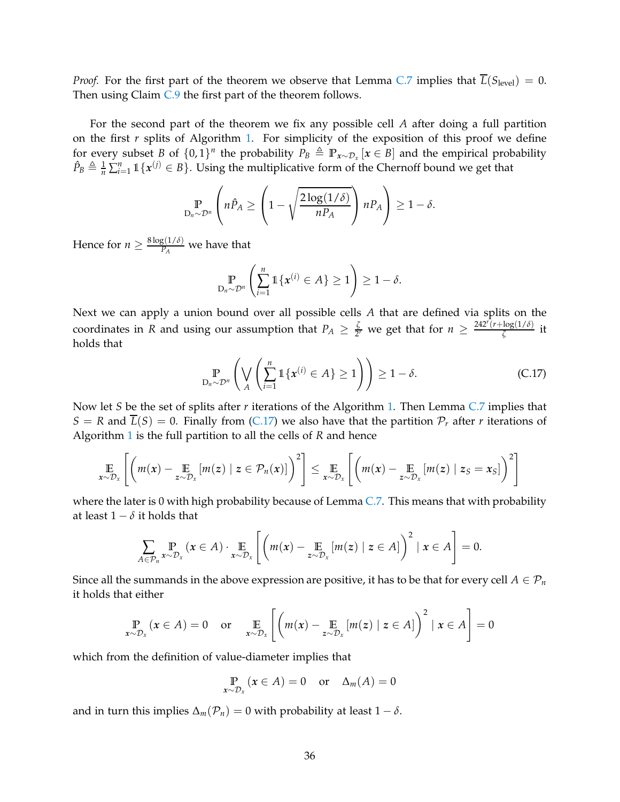*Proof.* For the first part of the theorem we observe that Lemma [C.7](#page-30-1) implies that  $L(S_{level}) = 0$ . Then using Claim [C.9](#page-32-0) the first part of the theorem follows.

For the second part of the theorem we fix any possible cell *A* after doing a full partition on the first *r* splits of Algorithm [1.](#page-5-0) For simplicity of the exposition of this proof we define for every subset *B* of  $\{0, 1\}$ <sup>*n*</sup> the probability  $P_B \triangleq \mathbb{P}_{x \sim \mathcal{D}_x} [x \in B]$  and the empirical probability  $\hat{P}_B \triangleq \frac{1}{n} \sum_{i=1}^n \mathbb{1}\{\mathbf{x}^{(j)} \in B\}$ . Using the multiplicative form of the Chernoff bound we get that

$$
\mathop{\mathbb{P}}_{D_n \sim \mathcal{D}^n} \left( n \hat{P}_A \ge \left( 1 - \sqrt{\frac{2 \log(1/\delta)}{n P_A}} \right) n P_A \right) \ge 1 - \delta.
$$

Hence for  $n \geq \frac{8 \log(1/\delta)}{P_A}$  $\frac{B(1/U)}{P_A}$  we have that

<span id="page-35-0"></span>
$$
\mathbb{P}_{D_n \sim \mathcal{D}^n} \left( \sum_{i=1}^n \mathbb{1} \{ \boldsymbol{x}^{(i)} \in A \} \geq 1 \right) \geq 1 - \delta.
$$

Next we can apply a union bound over all possible cells *A* that are defined via splits on the coordinates in *R* and using our assumption that  $P_A \geq \frac{2}{2}$  $\frac{\zeta}{2r}$  we get that for  $n \geq \frac{242^r(r + \log(1/\delta))}{\zeta}$  $\frac{\log(1/\nu)}{\zeta}$  it holds that

$$
\mathbb{P}_{D_n \sim \mathcal{D}^n} \left( \bigvee_{A} \left( \sum_{i=1}^n \mathbb{1} \{ \boldsymbol{x}^{(i)} \in A \} \ge 1 \right) \right) \ge 1 - \delta. \tag{C.17}
$$

Now let *S* be the set of splits after *r* iterations of the Algorithm [1.](#page-5-0) Then Lemma [C.7](#page-30-1) implies that  $S = R$  and  $\overline{L}(S) = 0$ . Finally from [\(C.17\)](#page-35-0) we also have that the partition  $\mathcal{P}_r$  after *r* iterations of Algorithm [1](#page-5-0) is the full partition to all the cells of *R* and hence

$$
\mathop{\mathbb{E}}_{x \sim \mathcal{D}_x} \left[ \left( m(x) - \mathop{\mathbb{E}}_{z \sim \mathcal{D}_x} \left[ m(z) \mid z \in \mathcal{P}_n(x) \right] \right)^2 \right] \leq \mathop{\mathbb{E}}_{x \sim \mathcal{D}_x} \left[ \left( m(x) - \mathop{\mathbb{E}}_{z \sim \mathcal{D}_x} \left[ m(z) \mid z_S = x_S \right] \right)^2 \right]
$$

where the later is 0 with high probability because of Lemma [C.7.](#page-30-1) This means that with probability at least  $1 - \delta$  it holds that

$$
\sum_{A\in\mathcal{P}_n} \Pr_{x\sim\mathcal{D}_x} (x \in A) \cdot \Pr_{x\sim\mathcal{D}_x} \left[ \left( m(x) - \mathop{\mathbb{E}}_{z\sim\mathcal{D}_x} [m(z) \mid z \in A] \right)^2 \mid x \in A \right] = 0.
$$

Since all the summands in the above expression are positive, it has to be that for every cell  $A \in \mathcal{P}_n$ it holds that either

$$
\Pr_{x \sim \mathcal{D}_x} (x \in A) = 0 \quad \text{or} \quad \underset{x \sim \mathcal{D}_x}{\mathbb{E}} \left[ \left( m(x) - \underset{z \sim \mathcal{D}_x}{\mathbb{E}} \left[ m(z) \mid z \in A \right] \right)^2 \mid x \in A \right] = 0
$$

which from the definition of value-diameter implies that

$$
\mathop{\mathbb{P}}_{x \sim \mathcal{D}_x} (x \in A) = 0 \quad \text{or} \quad \Delta_m(A) = 0
$$

and in turn this implies  $\Delta_m(\mathcal{P}_n) = 0$  with probability at least  $1 - \delta$ .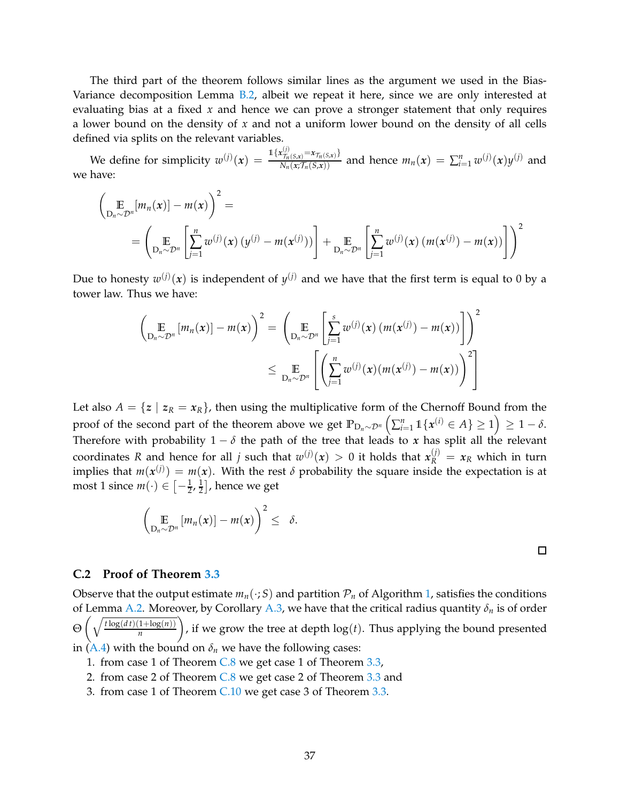The third part of the theorem follows similar lines as the argument we used in the Bias-Variance decomposition Lemma [B.2,](#page-25-2) albeit we repeat it here, since we are only interested at evaluating bias at a fixed *x* and hence we can prove a stronger statement that only requires a lower bound on the density of *x* and not a uniform lower bound on the density of all cells defined via splits on the relevant variables.

We define for simplicity  $w^{(j)}(x) = \frac{\mathbb{1}\{x_{\mathcal{T}_n(S,x)}^{(j)} = x_{\mathcal{T}_n(S,x)}\}}{N_n(x_{\mathcal{T}_n(S,x)})}$  and hence  $m_n(x) = \sum_{i=1}^n w^{(j)}(x) y^{(j)}$  and we have:

$$
\left(\mathop{\mathbb{E}}_{D_n \sim \mathcal{D}^n} [m_n(x)] - m(x)\right)^2 =
$$
\n
$$
= \left(\mathop{\mathbb{E}}_{D_n \sim \mathcal{D}^n} \left[\mathop{\sum}_{j=1}^n w^{(j)}(x) (y^{(j)} - m(x^{(j)}))\right] + \mathop{\mathbb{E}}_{D_n \sim \mathcal{D}^n} \left[\mathop{\sum}_{j=1}^n w^{(j)}(x) (m(x^{(j)}) - m(x))\right]\right)^2
$$

Due to honesty  $w^{(j)}(x)$  is independent of  $y^{(j)}$  and we have that the first term is equal to 0 by a tower law. Thus we have:

$$
\left(\underset{\mathcal{D}_n\sim\mathcal{D}^n}{\mathbb{E}}\left[m_n(x)\right] - m(x)\right)^2 = \left(\underset{\mathcal{D}_n\sim\mathcal{D}^n}{\mathbb{E}}\left[\sum_{j=1}^s w^{(j)}(x)\left(m(x^{(j)}) - m(x)\right)\right]\right)^2
$$
\n
$$
\leq \underset{\mathcal{D}_n\sim\mathcal{D}^n}{\mathbb{E}}\left[\left(\sum_{j=1}^n w^{(j)}(x)\left(m(x^{(j)}) - m(x)\right)\right)^2\right]
$$

Let also  $A = \{z \mid z_R = x_R\}$ , then using the multiplicative form of the Chernoff Bound from the  $\text{proof of the second part of the theorem above we get } \mathbb{P}_{\mathcal{D}_n \sim \mathcal{D}^n} \left( \sum_{i=1}^n \mathbb{1}\{ \pmb{x}^{(i)} \in A \} \geq 1 \right) \geq 1-\delta.$ Therefore with probability  $1 - \delta$  the path of the tree that leads to *x* has split all the relevant coordinates R and hence for all *j* such that  $w^{(j)}(x) > 0$  it holds that  $x_R^{(j)} = x_R$  which in turn implies that  $m(x^{(j)}) = m(x)$ . With the rest  $\delta$  probability the square inside the expectation is at most 1 since  $m(\cdot) \in \left[-\frac{1}{2}, \frac{1}{2}\right]$  $\frac{1}{2}$ , hence we get

$$
\left(\mathop{\mathbb{E}}_{D_n\sim\mathcal{D}^n}\left[m_n(x)\right]-m(x)\right)^2\leq\delta.
$$

#### **C.2 Proof of Theorem [3.3](#page-5-1)**

Observe that the output estimate  $m_n(\cdot; S)$  and partition  $\mathcal{P}_n$  of Algorithm [1,](#page-5-0) satisfies the conditions of Lemma [A.2.](#page-20-0) Moreover, by Corollary [A.3,](#page-24-0) we have that the critical radius quantity *δ<sup>n</sup>* is of order  $\Theta\left(\sqrt{\frac{t\log(dt)(1+\log(n))}{n}}\right)$ *n* ), if we grow the tree at depth  $log(t)$ . Thus applying the bound presented in [\(A.4\)](#page-20-1) with the bound on  $\delta_n$  we have the following cases:

 $\Box$ 

- 1. from case 1 of Theorem [C.8](#page-31-0) we get case 1 of Theorem [3.3,](#page-5-1)
- 2. from case 2 of Theorem [C.8](#page-31-0) we get case 2 of Theorem [3.3](#page-5-1) and
- 3. from case 1 of Theorem [C.10](#page-34-0) we get case 3 of Theorem [3.3.](#page-5-1)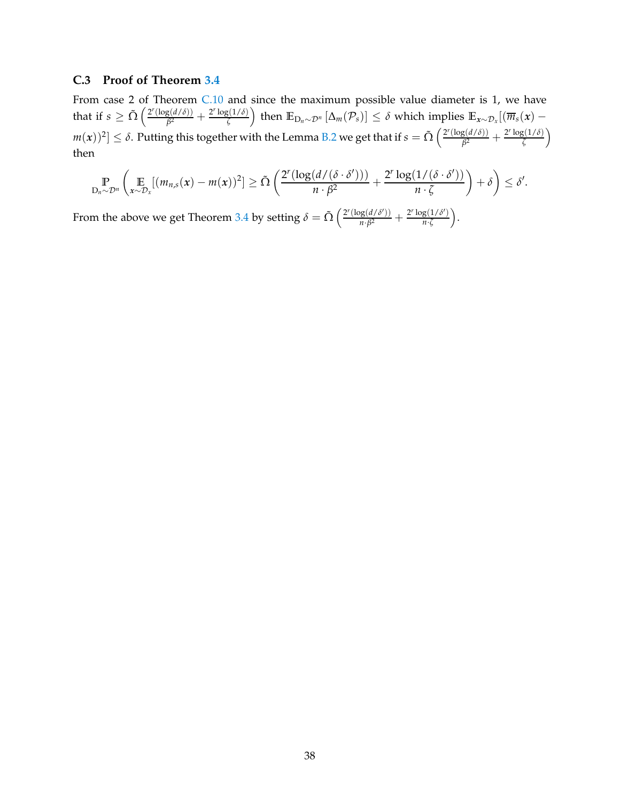### <span id="page-37-0"></span>**C.3 Proof of Theorem [3.4](#page-6-0)**

From case 2 of Theorem [C.10](#page-34-0) and since the maximum possible value diameter is 1, we have that if  $s \geq \tilde{\Omega} \left( \frac{2^r (\log(d/\delta))}{\beta^2} \right)$  $\frac{g(d/\delta)}{\beta^2} + \frac{2^r \log(1/\delta)}{\zeta}$  $\left(\frac{\zeta(1/\delta)}{\zeta}\right)$  then  $\mathbb{E}_{\mathbf{D}_n\sim\mathcal{D}^n}\left[\Delta_m(\mathcal{P}_s)\right]\leq\delta$  which implies  $\mathbb{E}_{\mathbf{x}\sim\mathcal{D}_x}[(\overline{m}_s(\mathbf{x})-\mathbf{D}_s(\mathbf{x})])$  $m(x))^2] \leq \delta.$  Putting this together with the Lemma [B.2](#page-25-2) we get that if  $s = \tilde{\Omega}\left(\frac{2^r(\log(d/\delta))}{\beta^2}\right)$  $\frac{g(d/\delta)}{\beta^2} + \frac{2^r \log(1/\delta)}{\zeta}$ *ζ* then

$$
\mathbb{P}_{D_n \sim \mathcal{D}^n} \left( \mathop{\mathbb{E}}_{x \sim \mathcal{D}_x} [(m_{n,s}(x) - m(x))^2] \geq \tilde{\Omega} \left( \frac{2^r (\log(d/(\delta \cdot \delta')))}{n \cdot \beta^2} + \frac{2^r \log(1/(\delta \cdot \delta'))}{n \cdot \zeta} \right) + \delta \right) \leq \delta'.
$$

From the above we get Theorem [3.4](#page-6-0) by setting  $\delta = \tilde{\Omega} \left( \frac{2^r (\log(d/\delta'))}{n \cdot \beta^2} \right)$  $\frac{\log(d/\delta')}{n \cdot \beta^2} + \frac{2^r \log(1/\delta')}{n \cdot \zeta}$ *n*·*ζ* .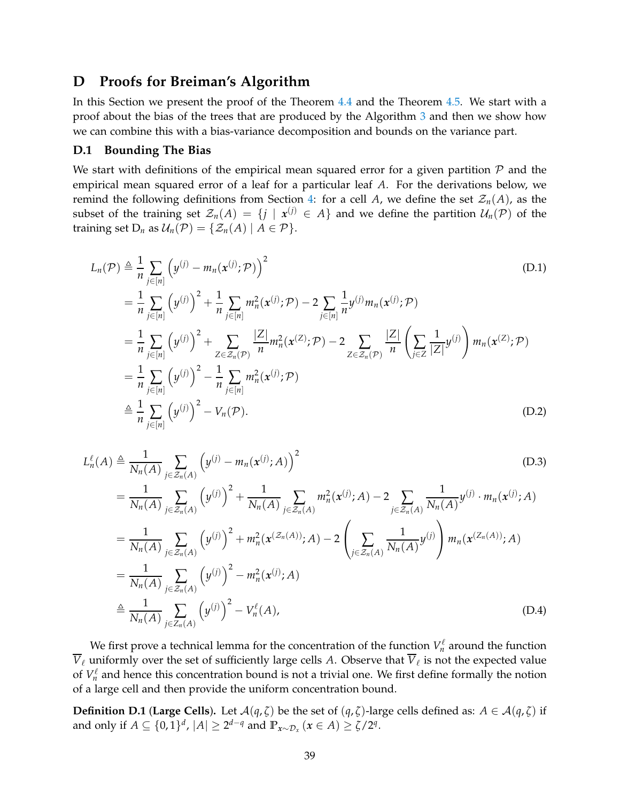# <span id="page-38-0"></span>**D Proofs for Breiman's Algorithm**

In this Section we present the proof of the Theorem [4.4](#page-11-2) and the Theorem [4.5.](#page-12-0) We start with a proof about the bias of the trees that are produced by the Algorithm [3](#page-11-0) and then we show how we can combine this with a bias-variance decomposition and bounds on the variance part.

### **D.1 Bounding The Bias**

We start with definitions of the empirical mean squared error for a given partition  $P$  and the empirical mean squared error of a leaf for a particular leaf *A*. For the derivations below, we remind the following definitions from Section [4:](#page-9-2) for a cell *A*, we define the set  $\mathcal{Z}_n(A)$ , as the subset of the training set  $\mathcal{Z}_n(A) = \{j \mid x^{(j)} \in A\}$  and we define the partition  $\mathcal{U}_n(\mathcal{P})$  of the training set  $D_n$  as  $\mathcal{U}_n(\mathcal{P}) = \{ \mathcal{Z}_n(A) \mid A \in \mathcal{P} \}.$ 

$$
L_n(\mathcal{P}) \triangleq \frac{1}{n} \sum_{j \in [n]} \left( y^{(j)} - m_n(x^{(j)}; \mathcal{P}) \right)^2
$$
\n
$$
= \frac{1}{n} \sum_{j \in [n]} \left( y^{(j)} \right)^2 + \frac{1}{n} \sum_{j \in [n]} m_n^2(x^{(j)}; \mathcal{P}) - 2 \sum_{j \in [n]} \frac{1}{n} y^{(j)} m_n(x^{(j)}; \mathcal{P})
$$
\n
$$
= \frac{1}{n} \sum_{j \in [n]} \left( y^{(j)} \right)^2 + \sum_{Z \in \mathcal{Z}_n(\mathcal{P})} \frac{|Z|}{n} m_n^2(x^{(Z)}; \mathcal{P}) - 2 \sum_{Z \in \mathcal{Z}_n(\mathcal{P})} \frac{|Z|}{n} \left( \sum_{j \in Z} \frac{1}{|Z|} y^{(j)} \right) m_n(x^{(Z)}; \mathcal{P})
$$
\n
$$
= \frac{1}{n} \sum_{j \in [n]} \left( y^{(j)} \right)^2 - \frac{1}{n} \sum_{j \in [n]} m_n^2(x^{(j)}; \mathcal{P})
$$
\n
$$
\triangleq \frac{1}{n} \sum_{j \in [n]} \left( y^{(j)} \right)^2 - V_n(\mathcal{P}).
$$
\n(D.2)

$$
L_n^{\ell}(A) \triangleq \frac{1}{N_n(A)} \sum_{j \in \mathcal{Z}_n(A)} \left( y^{(j)} - m_n(x^{(j)}; A) \right)^2
$$
(D.3)  
\n
$$
= \frac{1}{N_n(A)} \sum_{j \in \mathcal{Z}_n(A)} \left( y^{(j)} \right)^2 + \frac{1}{N_n(A)} \sum_{j \in \mathcal{Z}_n(A)} m_n^2(x^{(j)}; A) - 2 \sum_{j \in \mathcal{Z}_n(A)} \frac{1}{N_n(A)} y^{(j)} \cdot m_n(x^{(j)}; A)
$$
\n
$$
= \frac{1}{N_n(A)} \sum_{j \in \mathcal{Z}_n(A)} \left( y^{(j)} \right)^2 + m_n^2(x^{(Z_n(A))}; A) - 2 \left( \sum_{j \in \mathcal{Z}_n(A)} \frac{1}{N_n(A)} y^{(j)} \right) m_n(x^{(Z_n(A))}; A)
$$
\n
$$
= \frac{1}{N_n(A)} \sum_{j \in \mathcal{Z}_n(A)} \left( y^{(j)} \right)^2 - m_n^2(x^{(j)}; A)
$$
\n
$$
\triangleq \frac{1}{N_n(A)} \sum_{j \in \mathcal{Z}_n(A)} \left( y^{(j)} \right)^2 - V_n^{\ell}(A),
$$
\n(D.4)

We first prove a technical lemma for the concentration of the function  $V_n^{\ell}$  $\mathcal{L}_n$  around the function *V*ℓ uniformly over the set of sufficiently large cells *A*. Observe that *V*ℓ is not the expected value of  $V_n^{\ell}$  and hence this concentration bound is not a trivial one. We first define formally the notion of a large cell and then provide the uniform concentration bound.

**Definition D.1** (**Large Cells**). Let  $\mathcal{A}(q, \zeta)$  be the set of  $(q, \zeta)$ -large cells defined as:  $A \in \mathcal{A}(q, \zeta)$  if and only if  $A \subseteq \{0,1\}^d$ ,  $|A| \geq 2^{d-q}$  and  $\mathbb{P}_{x \sim \mathcal{D}_x} (x \in A) \geq \zeta/2^q$ .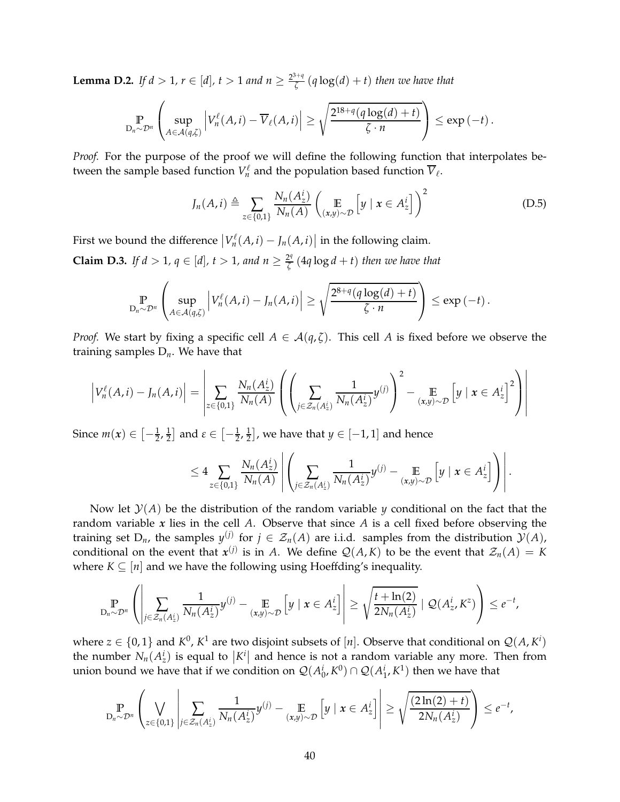<span id="page-39-1"></span>**Lemma D.2.** *If*  $d > 1$ *,*  $r \in [d]$ *,*  $t > 1$  *and*  $n \geq \frac{2^{3+q}}{\zeta}$ *ζ* (*q* log(*d*) + *t*) *then we have that*

$$
\Pr_{D_n \sim \mathcal{D}^n} \left( \sup_{A \in \mathcal{A}(q,\zeta)} \left| V_n^{\ell}(A,i) - \overline{V}_{\ell}(A,i) \right| \geq \sqrt{\frac{2^{18+q}(q \log(d) + t)}{\zeta \cdot n}} \right) \leq \exp(-t).
$$

*Proof.* For the purpose of the proof we will define the following function that interpolates between the sample based function  $V_n^{\ell}$  $V_t$ <sup> $\ell$ </sup> and the population based function  $V_{\ell}$ .

$$
J_n(A, i) \triangleq \sum_{z \in \{0,1\}} \frac{N_n(A_z^i)}{N_n(A)} \left( \mathop{\mathbb{E}}_{(x,y) \sim \mathcal{D}} \left[ y \mid x \in A_z^i \right] \right)^2 \tag{D.5}
$$

First we bound the difference  $|V_n^{\ell}|$  $\left| \int_{n}^{\ell}(A, i) - \int_{n}(A, i) \right|$  in the following claim.

<span id="page-39-0"></span>**Claim D.3.** *If d* > 1,  $q \in [d]$ ,  $t > 1$ , and  $n \ge \frac{2^q}{\zeta}$ *ζ* (4*q* log *d* + *t*) *then we have that*

$$
\Pr_{D_n \sim \mathcal{D}^n} \left( \sup_{A \in \mathcal{A}(q,\zeta)} \left| V_n^{\ell}(A,i) - J_n(A,i) \right| \geq \sqrt{\frac{2^{8+q}(q \log(d) + t)}{\zeta \cdot n}} \right) \leq \exp(-t).
$$

*Proof.* We start by fixing a specific cell  $A \in \mathcal{A}(q,\zeta)$ . This cell A is fixed before we observe the training samples D*n*. We have that

$$
\left|V_n^{\ell}(A,i) - J_n(A,i)\right| = \left|\sum_{z \in \{0,1\}} \frac{N_n(A_z^i)}{N_n(A)} \left( \left(\sum_{j \in \mathcal{Z}_n(A_z^i)} \frac{1}{N_n(A_z^i)} y^{(j)}\right)^2 - \underset{(x,y) \sim \mathcal{D}}{\mathbb{E}} \left[ y \mid x \in A_z^i \right]^2 \right) \right|
$$

Since  $m(x) \in \left[ -\frac{1}{2}, \frac{1}{2} \right]$  $\frac{1}{2}$  and  $\varepsilon \in \left[-\frac{1}{2},\frac{1}{2}\right]$  $\left[\frac{1}{2}\right]$ , we have that  $y \in [-1,1]$  and hence

$$
\leq 4 \sum_{z \in \{0,1\}} \frac{N_n(A_z^i)}{N_n(A)} \left| \left( \sum_{j \in \mathcal{Z}_n(A_z^i)} \frac{1}{N_n(A_z^i)} y^{(j)} - \underset{(x,y) \sim \mathcal{D}}{\mathbb{E}} \left[ y \mid x \in A_z^i \right] \right) \right|.
$$

Now let  $\mathcal{Y}(A)$  be the distribution of the random variable *y* conditional on the fact that the random variable *x* lies in the cell *A*. Observe that since *A* is a cell fixed before observing the training set  $D_n$ , the samples  $y^{(j)}$  for  $j \in \mathcal{Z}_n(A)$  are i.i.d. samples from the distribution  $\mathcal{Y}(A)$ , conditional on the event that  $x^{(j)}$  is in *A*. We define  $Q(A,K)$  to be the event that  $Z_n(A) = K$ where  $K \subseteq [n]$  and we have the following using Hoeffding's inequality.

$$
\Pr_{D_n \sim \mathcal{D}^n} \left( \left| \sum_{j \in \mathcal{Z}_n(A_2^i)} \frac{1}{N_n(A_2^i)} y^{(j)} - \underset{(x,y) \sim \mathcal{D}}{\mathbb{E}} \left[ y \mid x \in A_2^i \right] \right| \geq \sqrt{\frac{t + \ln(2)}{2N_n(A_2^i)}} \mid \mathcal{Q}(A_2^i, K^z) \right) \leq e^{-t},
$$

where  $z \in \{0,1\}$  and  $K^0$ ,  $K^1$  are two disjoint subsets of  $[n]$ . Observe that conditional on  $\mathcal{Q}(A, K^i)$ the number  $N_n(A^i)$  is equal to  $|K^i|$  and hence is not a random variable any more. Then from union bound we have that if we condition on  $\mathcal{Q}(A_0^i, K^0) \cap \mathcal{Q}(A_1^i, K^1)$  then we have that

$$
\Pr_{D_n \sim \mathcal{D}^n} \left( \bigvee_{z \in \{0,1\}} \left| \sum_{j \in \mathcal{Z}_n(A_z^i)} \frac{1}{N_n(A_z^i)} y^{(j)} - \underset{(x,y) \sim \mathcal{D}}{\mathbb{E}} \left[ y \mid x \in A_z^i \right] \right| \ge \sqrt{\frac{(2\ln(2)+t)}{2N_n(A_z^i)}} \right) \le e^{-t},
$$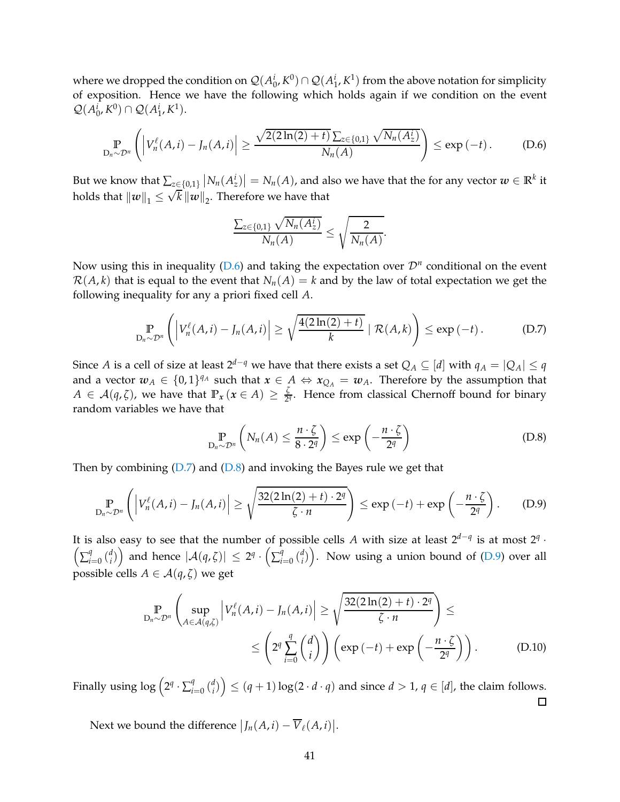where we dropped the condition on  $\mathcal{Q}(A_0^i, K^0) \cap \mathcal{Q}(A_1^i, K^1)$  from the above notation for simplicity of exposition. Hence we have the following which holds again if we condition on the event  $Q(A_0^i, K^0) \cap Q(A_1^i, K^1).$ 

$$
\mathbb{P}_{D_n \sim \mathcal{D}^n}\left(\left|V_n^{\ell}(A,i) - J_n(A,i)\right| \geq \frac{\sqrt{2(2\ln(2) + t)}\sum_{z \in \{0,1\}}\sqrt{N_n(A_z^i)}}{N_n(A)}\right) \leq \exp\left(-t\right). \tag{D.6}
$$

But we know that  $\sum_{z\in\{0,1\}}\left|N_n(A_z^i)\right|=N_n(A)$ , and also we have that the for any vector  $w\in\mathbb{R}^k$  it holds that  $||w||_1 \le \sqrt{k} ||w||_2$ . Therefore we have that

<span id="page-40-1"></span><span id="page-40-0"></span>
$$
\frac{\sum_{z\in\{0,1\}}\sqrt{N_n(A_z)}}{N_n(A)}\leq \sqrt{\frac{2}{N_n(A)}}.
$$

Now using this in inequality ( $D.6$ ) and taking the expectation over  $\mathcal{D}^n$  conditional on the event  $\mathcal{R}(A, k)$  that is equal to the event that  $N_n(A) = k$  and by the law of total expectation we get the following inequality for any a priori fixed cell *A*.

$$
\Pr_{D_n \sim \mathcal{D}^n} \left( \left| V_n^{\ell}(A,i) - J_n(A,i) \right| \geq \sqrt{\frac{4(2\ln(2)+t)}{k}} \mid \mathcal{R}(A,k) \right) \leq \exp\left(-t\right). \tag{D.7}
$$

Since *A* is a cell of size at least  $2^{d-q}$  we have that there exists a set  $Q_A \subseteq [d]$  with  $q_A = |Q_A| \leq q$ and a vector  $w_A \in \{0,1\}^{q_A}$  such that  $x \in A \Leftrightarrow x_{Q_A} = w_A$ . Therefore by the assumption that  $A \in \mathcal{A}(q,\zeta)$ , we have that  $\mathbb{P}_x(x \in A) \geq \frac{\zeta}{2^2}$  $\frac{6}{24}$ . Hence from classical Chernoff bound for binary random variables we have that

<span id="page-40-3"></span><span id="page-40-2"></span>
$$
\Pr_{D_n \sim \mathcal{D}^n} \left( N_n(A) \leq \frac{n \cdot \zeta}{8 \cdot 2^q} \right) \leq \exp \left( -\frac{n \cdot \zeta}{2^q} \right) \tag{D.8}
$$

Then by combining  $(D.7)$  and  $(D.8)$  and invoking the Bayes rule we get that

$$
\mathbb{P}_{D_n \sim \mathcal{D}^n} \left( \left| V_n^{\ell}(A, i) - J_n(A, i) \right| \geq \sqrt{\frac{32(2\ln(2) + t) \cdot 2^q}{\zeta \cdot n}} \right) \leq \exp\left( -t \right) + \exp\left( -\frac{n \cdot \zeta}{2^q} \right). \tag{D.9}
$$

It is also easy to see that the number of possible cells *A* with size at least 2*d*−*<sup>q</sup>* is at most 2*<sup>q</sup>* It is also easy to see that the number of possible cells A with size at least  $2^{n}$  is at most  $2^{n}$ .<br> $\left(\sum_{i=0}^{q} {d \choose i}\right)$  and hence  $|\mathcal{A}(q,\zeta)| \leq 2^{q} \cdot \left(\sum_{i=0}^{q} {d \choose i}\right)$ . Now using a union bound of (D.9) over a *i*=0 ( *d*  $\left\{ \begin{array}{l} d \ d \end{array} \right\}$  and hence  $|\mathcal{A}(q,\zeta)|\ \leq\ 2^q \cdot \left( \sum_{i=1}^q \zeta_i \right)$ *i*=0 ( *d*  $\binom{d}{i}$ ). Now using a union bound of [\(D.9\)](#page-40-3) over all possible cells  $A \in \mathcal{A}(q,\zeta)$  we get

$$
\Pr_{D_n \sim \mathcal{D}^n} \left( \sup_{A \in \mathcal{A}(q,\zeta)} \left| V_n^{\ell}(A,i) - J_n(A,i) \right| \ge \sqrt{\frac{32(2\ln(2) + t) \cdot 2^q}{\zeta \cdot n}} \right) \le
$$
\n
$$
\le \left( 2^q \sum_{i=0}^q \binom{d}{i} \right) \left( \exp\left(-t\right) + \exp\left(-\frac{n \cdot \zeta}{2^q}\right) \right). \tag{D.10}
$$

Finally using  $\log\left(2^q\cdot \sum_{i=1}^q a_i\right)$  $\binom{d}{i}$   $\leq (q+1)\log(2 \cdot d \cdot q)$  and since  $d > 1$ ,  $q \in [d]$ , the claim follows. *i*=0 ( *d*  $\Box$ 

Next we bound the difference  $\big| J_n(A,i) - \overline{V}_{\ell}(A,i) \big|$ .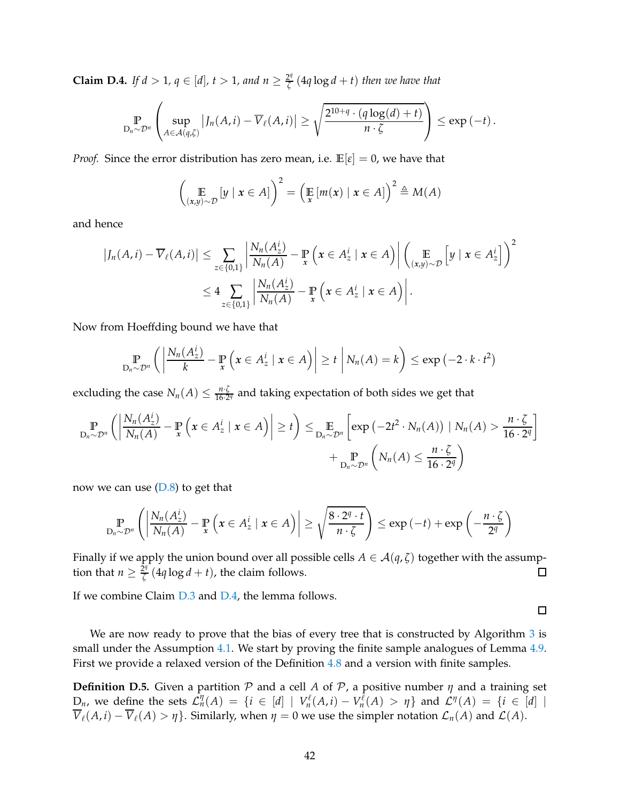<span id="page-41-0"></span>**Claim D.4.** *If*  $d > 1$ *,*  $q \in [d]$ *,*  $t > 1$ *, and*  $n \geq \frac{2^q}{\zeta}$ *ζ* (4*q* log *d* + *t*) *then we have that*

$$
\Pr_{D_n \sim \mathcal{D}^n} \left( \sup_{A \in \mathcal{A}(q,\zeta)} |J_n(A,i) - \overline{V}_{\ell}(A,i)| \geq \sqrt{\frac{2^{10+q} \cdot (q \log(d) + t)}{n \cdot \zeta}} \right) \leq \exp(-t).
$$

*Proof.* Since the error distribution has zero mean, i.e.  $\mathbb{E}[\varepsilon] = 0$ , we have that

$$
\left(\mathop{\mathbb{E}}_{(x,y)\sim\mathcal{D}}[y \mid x \in A]\right)^2 = \left(\mathop{\mathbb{E}}_{x}[m(x) \mid x \in A]\right)^2 \triangleq M(A)
$$

and hence

$$
\left|J_n(A,i) - \overline{V}_{\ell}(A,i)\right| \leq \sum_{z \in \{0,1\}} \left|\frac{N_n(A_z^i)}{N_n(A)} - \mathbb{P}\left(x \in A_z^i \mid x \in A\right)\right| \left(\mathbb{E}_{(x,y) \sim \mathcal{D}}\left[y \mid x \in A_z^i\right]\right)^2
$$
  

$$
\leq 4 \sum_{z \in \{0,1\}} \left|\frac{N_n(A_z^i)}{N_n(A)} - \mathbb{P}\left(x \in A_z^i \mid x \in A\right)\right|.
$$

Now from Hoeffding bound we have that

$$
\Pr_{D_n \sim \mathcal{D}^n} \left( \left| \frac{N_n(A_z^i)}{k} - \Pr_{\mathbf{x}} \left( \mathbf{x} \in A_z^i \mid \mathbf{x} \in A \right) \right| \geq t \mid N_n(A) = k \right) \leq \exp(-2 \cdot k \cdot t^2)
$$

excluding the case  $N_n(A) \leq \frac{n \cdot \zeta}{16 \cdot 2}$  $\frac{n \cdot \zeta}{16 \cdot 2^q}$  and taking expectation of both sides we get that

$$
\mathbb{P}_{D_n \sim \mathcal{D}^n} \left( \left| \frac{N_n(A_2^i)}{N_n(A)} - \mathbb{P}_{x} \left( x \in A_2^i \mid x \in A \right) \right| \geq t \right) \leq \mathbb{E}_{D_n \sim \mathcal{D}^n} \left[ \exp \left( -2t^2 \cdot N_n(A) \right) \mid N_n(A) > \frac{n \cdot \zeta}{16 \cdot 2^q} \right] + \mathbb{P}_{D_n \sim \mathcal{D}^n} \left( N_n(A) \leq \frac{n \cdot \zeta}{16 \cdot 2^q} \right)
$$

now we can use  $(D.8)$  to get that

$$
\mathop{\mathbb{P}}_{D_n \sim \mathcal{D}^n} \left( \left| \frac{N_n(A_z^i)}{N_n(A)} - \mathop{\mathbb{P}}_{x} \left( x \in A_z^i \mid x \in A \right) \right| \geq \sqrt{\frac{8 \cdot 2^q \cdot t}{n \cdot \zeta}} \right) \leq \exp(-t) + \exp\left(-\frac{n \cdot \zeta}{2^q}\right)
$$

Finally if we apply the union bound over all possible cells *A* ∈ *A*(*q*, *ζ*) together with the assumption that *n* >  $\frac{2^q}{7}$  (4*g* log *d* + *t*), the claim follows. tion that  $n \geq \frac{2^q}{\zeta}$  $\frac{Z_1}{\zeta}$  (4*q* log *d* + *t*), the claim follows.

If we combine Claim [D.3](#page-39-0) and [D.4,](#page-41-0) the lemma follows.

We are now ready to prove that the bias of every tree that is constructed by Algorithm [3](#page-11-0) is small under the Assumption [4.1.](#page-10-1) We start by proving the finite sample analogues of Lemma [4.9.](#page-14-1) First we provide a relaxed version of the Definition [4.8](#page-14-2) and a version with finite samples.

 $\Box$ 

<span id="page-41-1"></span>**Definition D.5.** Given a partition  $P$  and a cell  $A$  of  $P$ , a positive number  $\eta$  and a training set  $D_n$ , we define the sets  $\mathcal{L}_n^{\eta}(A) = \{i \in [d] \mid V_n^{\ell}$  $V_n^{\ell}(A,i) - V_n^{\overline{\ell}}$ *n*<sup> $\ell$ </sup><sub>*n*</sub>(*A*)  $>$  *η*} and  $\mathcal{L}^{\eta}(A) = \{i \in [d] \mid$  $\overline{V}_{\ell}(A, i) - \overline{V}_{\ell}(A) > \eta$ . Similarly, when  $\eta = 0$  we use the simpler notation  $\mathcal{L}_n(A)$  and  $\mathcal{L}(A)$ .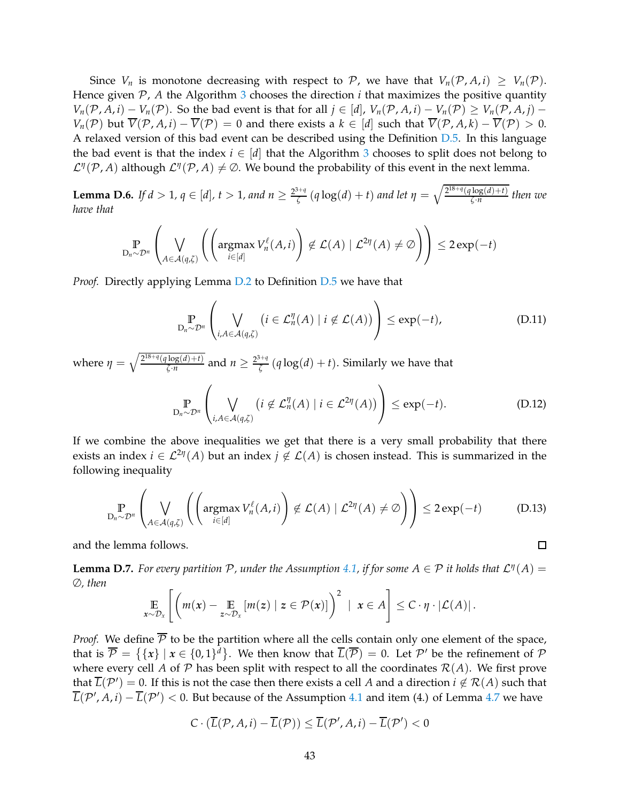Since  $V_n$  is monotone decreasing with respect to P, we have that  $V_n(\mathcal{P}, A, i) \geq V_n(\mathcal{P})$ . Hence given  $P$ ,  $A$  the Algorithm [3](#page-11-0) chooses the direction  $i$  that maximizes the positive quantity *V*<sup>n</sup>(P, *A*, *i*) − *V*<sub>n</sub>(P). So the bad event is that for all  $j \in [d]$ ,  $V_n(P, A, i) - V_n(P) \geq V_n(P, A, i) - V_n(P)$ *V<sub>n</sub>*( $\mathcal{P}$ ) but  $\overline{V}(\mathcal{P}, A, i) - \overline{V}(\mathcal{P}) = 0$  and there exists a  $k \in [d]$  such that  $\overline{V}(\mathcal{P}, A, k) - \overline{V}(\mathcal{P}) > 0$ . A relaxed version of this bad event can be described using the Definition [D.5.](#page-41-1) In this language the bad event is that the index  $i \in [d]$  that the Algorithm [3](#page-11-0) chooses to split does not belong to  $\mathcal{L}^{\eta}(\mathcal{P}, A)$  although  $\mathcal{L}^{\eta}(\mathcal{P}, A) \neq \emptyset$ . We bound the probability of this event in the next lemma.

<span id="page-42-0"></span>**Lemma D.6.** *If d* > 1,  $q \in [d]$ ,  $t > 1$ , and  $n \ge \frac{2^{3+q}}{\zeta}$ *ζ* (*q* log(*d*) + *t*) *and let*  $η = \sqrt{\frac{2^{18+q}(q\log(d)+t)}{\zeta \cdot n}}$  $\frac{\log(u)+i}{\zeta \cdot n}$  then we *have that*

$$
\mathop{\mathbb{P}}_{D_n \sim \mathcal{D}^n} \left( \bigvee_{A \in \mathcal{A}(q,\zeta)} \left( \left( \operatorname{argmax}_{i \in [d]} V_n^{\ell}(A,i) \right) \notin \mathcal{L}(A) \mid \mathcal{L}^{2\eta}(A) \neq \emptyset \right) \right) \leq 2 \exp(-t)
$$

*Proof.* Directly applying Lemma [D.2](#page-39-1) to Definition [D.5](#page-41-1) we have that

$$
\mathbb{P}_{D_n \sim \mathcal{D}^n} \left( \bigvee_{i, A \in \mathcal{A}(q, \zeta)} \left( i \in \mathcal{L}_n^{\eta}(A) \mid i \notin \mathcal{L}(A) \right) \right) \le \exp(-t), \tag{D.11}
$$

where  $\eta = \sqrt{\frac{2^{18+q}(q \log(d)+t)}{\zeta \cdot n}}$  $\frac{\log(d) + t}{\zeta \cdot n}$  and  $n \geq \frac{2^{3+q}}{\zeta}$  $\frac{f_{\tau,\eta}}{\zeta}(q \log(d) + t)$ . Similarly we have that

$$
\Pr_{D_n \sim \mathcal{D}^n} \left( \bigvee_{i, A \in \mathcal{A}(q, \zeta)} \left( i \notin \mathcal{L}_n^{\eta}(A) \mid i \in \mathcal{L}^{2\eta}(A) \right) \right) \le \exp(-t). \tag{D.12}
$$

If we combine the above inequalities we get that there is a very small probability that there exists an index  $i \in \mathcal{L}^{2\eta}(A)$  but an index  $j \notin \mathcal{L}(A)$  is chosen instead. This is summarized in the following inequality

$$
\mathbb{P}_{D_n \sim \mathcal{D}^n} \left( \bigvee_{A \in \mathcal{A}(q,\zeta)} \left( \left( \operatorname{argmax}_{i \in [d]} V_n^{\ell}(A,i) \right) \notin \mathcal{L}(A) \mid \mathcal{L}^{2\eta}(A) \neq \emptyset \right) \right) \leq 2 \exp(-t) \tag{D.13}
$$

and the lemma follows.

<span id="page-42-1"></span>**Lemma D.7.** For every partition  $P$ , under the Assumption [4.1,](#page-10-1) if for some  $A \in P$  it holds that  $\mathcal{L}^{\eta}(A) =$ ∅*, then*

$$
\mathop{\mathbb{E}}_{x \sim \mathcal{D}_x} \left[ \left( m(x) - \mathop{\mathbb{E}}_{z \sim \mathcal{D}_x} [m(z) \mid z \in \mathcal{P}(x)] \right)^2 \mid x \in A \right] \leq C \cdot \eta \cdot |\mathcal{L}(A)|.
$$

*Proof.* We define  $\overline{P}$  to be the partition where all the cells contain only one element of the space, that is  $\overline{\mathcal{P}} = \{\{x\} \mid x \in \{0,1\}^d\}$ . We then know that  $\overline{L}(\overline{\mathcal{P}}) = 0$ . Let  $\mathcal{P}'$  be the refinement of  $\mathcal P$ where every cell *A* of *P* has been split with respect to all the coordinates  $\mathcal{R}(A)$ . We first prove that  $\overline{L}(\mathcal{P}') = 0$ . If this is not the case then there exists a cell *A* and a direction  $i \notin \mathcal{R}(A)$  such that  $\overline{L}(\mathcal{P}', A, i) - \overline{L}(\mathcal{P}') < 0$ . But because of the Assumption [4.1](#page-10-1) and item (4.) of Lemma [4.7](#page-14-0) we have

$$
C \cdot (\overline{L}(\mathcal{P}, A, i) - \overline{L}(\mathcal{P})) \leq \overline{L}(\mathcal{P}', A, i) - \overline{L}(\mathcal{P}') < 0
$$

 $\Box$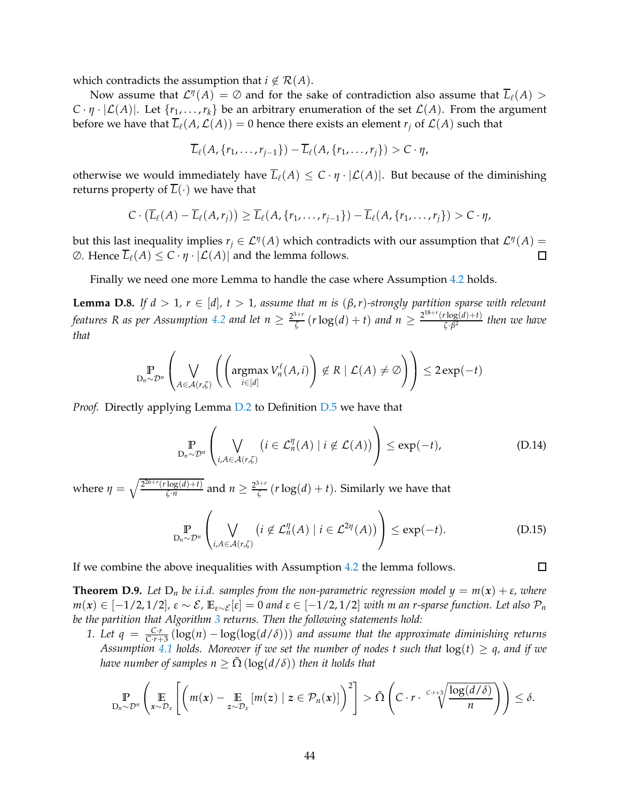which contradicts the assumption that  $i \notin \mathcal{R}(A)$ .

Now assume that  $\mathcal{L}^{\eta}(A) = \emptyset$  and for the sake of contradiction also assume that  $\overline{L}_{\ell}(A) >$  $C \cdot \eta \cdot |\mathcal{L}(A)|$ . Let  $\{r_1, \ldots, r_k\}$  be an arbitrary enumeration of the set  $\mathcal{L}(A)$ . From the argument before we have that  $\overline{L}_{\ell}(A,\mathcal{L}(A)) = 0$  hence there exists an element  $r_i$  of  $\mathcal{L}(A)$  such that

$$
\overline{L}_{\ell}(A, \{r_1, \ldots, r_{j-1}\}) - \overline{L}_{\ell}(A, \{r_1, \ldots, r_j\}) > C \cdot \eta,
$$

otherwise we would immediately have  $\overline{L}_{\ell}(A) \leq C \cdot \eta \cdot |\mathcal{L}(A)|$ . But because of the diminishing returns property of  $\overline{L}(\cdot)$  we have that

$$
C\cdot (\overline{L}_{\ell}(A)-\overline{L}_{\ell}(A,r_j))\geq \overline{L}_{\ell}(A,\{r_1,\ldots,r_{j-1}\})-\overline{L}_{\ell}(A,\{r_1,\ldots,r_j\})>C\cdot \eta,
$$

but this last inequality implies  $r_j \in \mathcal{L}^{\eta}(A)$  which contradicts with our assumption that  $\mathcal{L}^{\eta}(A)$  =  $\emptyset$ . Hence  $\overline{L}_{\ell}(A)$  ≤  $C \cdot η \cdot |C(A)|$  and the lemma follows.  $\Box$ 

Finally we need one more Lemma to handle the case where Assumption [4.2](#page-10-3) holds.

<span id="page-43-0"></span>**Lemma D.8.** *If d* > 1,  $r \in [d]$ ,  $t > 1$ , assume that m is  $(\beta, r)$ -strongly partition sparse with relevant features R as per Assumption [4.2](#page-10-3) and let  $n \geq \frac{2^{3+r}}{\zeta}$  $\frac{d^{3+r}}{\zeta}(r \log(d) + t)$  *and*  $n \geq \frac{2^{18+r}(r \log(d) + t)}{\zeta \cdot \beta^2}$ *ζ*·*β* 2 *then we have that*

$$
\mathop{\mathbb{P}}_{D_n \sim \mathcal{D}^n} \left( \bigvee_{A \in \mathcal{A}(r,\zeta)} \left( \left( \operatorname{argmax}_{i \in [d]} V_n^{\ell}(A,i) \right) \notin R \mid \mathcal{L}(A) \neq \emptyset \right) \right) \leq 2 \exp(-t)
$$

*Proof.* Directly applying Lemma [D.2](#page-39-1) to Definition [D.5](#page-41-1) we have that

$$
\mathbb{P}_{D_n \sim \mathcal{D}^n} \left( \bigvee_{i, A \in \mathcal{A}(r, \zeta)} \left( i \in \mathcal{L}_n^{\eta}(A) \mid i \notin \mathcal{L}(A) \right) \right) \le \exp(-t), \tag{D.14}
$$

where  $\eta = \sqrt{\frac{2^{26+r}(r \log(d)+t)}{r \cdot n}}$  $\frac{\log(d) + t}{\zeta \cdot n}$  and  $n \geq \frac{2^{3+r}}{\zeta}$  $\frac{d^{n-r}}{\zeta}(r \log(d) + t)$ . Similarly we have that

$$
\mathbb{P}_{D_n \sim \mathcal{D}^n} \left( \bigvee_{i, A \in \mathcal{A}(r,\zeta)} \left( i \notin \mathcal{L}_n^{\eta}(A) \mid i \in \mathcal{L}^{2\eta}(A) \right) \right) \le \exp(-t). \tag{D.15}
$$

 $\Box$ 

If we combine the above inequalities with Assumption [4.2](#page-10-3) the lemma follows.

<span id="page-43-1"></span>**Theorem D.9.** Let  $D_n$  be i.i.d. samples from the non-parametric regression model  $y = m(x) + \varepsilon$ , where  $m(x)$  ∈ [−1/2,1/2],  $\varepsilon \sim \mathcal{E}$ ,  $\mathbb{E}_{\varepsilon \sim \mathcal{E}}[\varepsilon] = 0$  and  $\varepsilon \in [-1/2, 1/2]$  *with m an r-sparse function. Let also*  $\mathcal{P}_n$ *be the partition that Algorithm [3](#page-11-0) returns. Then the following statements hold:*

*1. Let q* =  $\frac{Cr}{Cr+3}(\log(n) - \log(\log(d/\delta)))$  *and assume that the approximate diminishing returns Assumption* [4.1](#page-10-1) *holds.* Moreover if we set the number of nodes t such that  $log(t) \geq q$ , and if we *have number of samples n*  $\geq \Omega(\log(d/\delta))$  *then it holds that* 

$$
\mathbb{P}_{D_n \sim \mathcal{D}^n} \left( \mathop{\mathbb{E}}_{x \sim \mathcal{D}_x} \left[ \left( m(x) - \mathop{\mathbb{E}}_{z \sim \mathcal{D}_x} \left[ m(z) \mid z \in \mathcal{P}_n(x) \right] \right)^2 \right] > \tilde{\Omega} \left( C \cdot r \cdot \frac{C \cdot r + 3}{\sqrt{\frac{\log(d/\delta)}{n}}} \right) \right) \leq \delta.
$$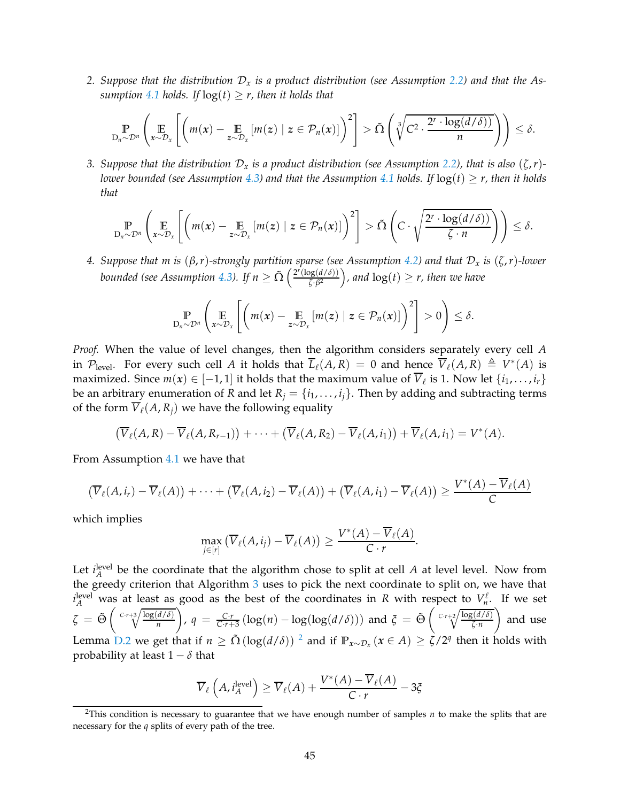*2. Suppose that the distribution* D*<sup>x</sup> is a product distribution (see Assumption [2.2\)](#page-3-1) and that the Assumption* [4.1](#page-10-1) *holds.* If  $log(t) \geq r$ , *then it holds that* 

$$
\mathbb{P}_{D_n \sim \mathcal{D}^n} \left( \mathop{\mathbb{E}}_{x \sim \mathcal{D}_x} \left[ \left( m(x) - \mathop{\mathbb{E}}_{z \sim \mathcal{D}_x} \left[ m(z) \mid z \in \mathcal{P}_n(x) \right] \right)^2 \right] > \tilde{\Omega} \left( \sqrt[3]{C^2 \cdot \frac{2^r \cdot \log(d/\delta)}{n}} \right) \right) \leq \delta.
$$

*3. Suppose that the distribution*  $D_x$  *is a product distribution (see Assumption [2.2\)](#page-3-1), that is also*  $(\zeta, r)$ -*lower bounded (see Assumption [4.3\)](#page-10-2)* and that the Assumption [4.1](#page-10-1) holds. If  $log(t) \ge r$ , then it holds *that*

$$
\mathbb{P}_{D_n \sim \mathcal{D}^n} \left( \mathop{\mathbb{E}}_{x \sim \mathcal{D}_x} \left[ \left( m(x) - \mathop{\mathbb{E}}_{z \sim \mathcal{D}_x} [m(z) \mid z \in \mathcal{P}_n(x)] \right)^2 \right] > \tilde{\Omega} \left( C \cdot \sqrt{\frac{2^r \cdot \log(d/\delta)}{\zeta \cdot n}} \right) \right) \leq \delta.
$$

*4. Suppose that m is* (*β*,*r*)*-strongly partition sparse (see Assumption [4.2\)](#page-10-3) and that* D*<sup>x</sup> is* (*ζ*,*r*)*-lower bounded (see Assumption [4.3\)](#page-10-2). If*  $n \ge \tilde{\Omega} \left( \frac{2^r (\log(d/\delta))}{\zeta \cdot \beta^2} \right)$  $\frac{\log(d/\delta)}{\zeta \cdot \beta^2}$ ), and  $\log(t) \geq r$ , then we have

$$
\mathop{\mathbb{P}}_{D_n \sim \mathcal{D}^n} \left( \mathop{\mathbb{E}}_{x \sim \mathcal{D}_x} \left[ \left( m(x) - \mathop{\mathbb{E}}_{z \sim \mathcal{D}_x} \left[ m(z) \mid z \in \mathcal{P}_n(x) \right] \right)^2 \right] > 0 \right) \le \delta.
$$

*Proof.* When the value of level changes, then the algorithm considers separately every cell *A* in  $\mathcal{P}_{\text{level}}$ . For every such cell *A* it holds that  $\overline{L}_{\ell}(A,R) = 0$  and hence  $\overline{V}_{\ell}(A,R) \triangleq V^*(A)$  is maximized. Since  $m(x) \in [-1, 1]$  it holds that the maximum value of  $V_{\ell}$  is 1. Now let  $\{i_1, \ldots, i_r\}$ be an arbitrary enumeration of *R* and let  $R_j = \{i_1, \ldots, i_j\}$ . Then by adding and subtracting terms of the form  $\overline{V}_{\ell}(A, R_i)$  we have the following equality

$$
(\overline{V}_{\ell}(A,R)-\overline{V}_{\ell}(A,R_{r-1}))+\cdots+(\overline{V}_{\ell}(A,R_2)-\overline{V}_{\ell}(A,i_1))+\overline{V}_{\ell}(A,i_1)=V^*(A).
$$

From Assumption [4.1](#page-10-1) we have that

$$
(\overline{V}_{\ell}(A,i_r)-\overline{V}_{\ell}(A))+\cdots+(\overline{V}_{\ell}(A,i_2)-\overline{V}_{\ell}(A))+(\overline{V}_{\ell}(A,i_1)-\overline{V}_{\ell}(A))\geq \frac{V^*(A)-\overline{V}_{\ell}(A)}{C}
$$

which implies

$$
\max_{j\in[r]} \left( \overline{V}_{\ell}(A,i_j) - \overline{V}_{\ell}(A) \right) \geq \frac{V^*(A) - \overline{V}_{\ell}(A)}{C \cdot r}.
$$

Let  $i_A^{\text{level}}$  be the coordinate that the algorithm chose to split at cell *A* at level level. Now from the greedy criterion that Algorithm [3](#page-11-0) uses to pick the next coordinate to split on, we have that  $i_A^{\text{level}}$  was at least as good as the best of the coordinates in *R* with respect to  $V_n^{\ell}$  $\int_{n}^{\ell}$ . If we set  $\zeta = \tilde{\Theta} \left( \sqrt{\frac{C \cdot r + 3}{n}} \frac{\log(d/\delta)}{n} \right)$ *n*  $\int$ ,  $q = \frac{C \cdot r}{C \cdot r + 3} \left( \log(n) - \log(\log(d/\delta)) \right)$  and  $\zeta = \tilde{\Theta} \left( \sqrt{\frac{C \cdot r + 2}{\zeta \cdot n}} \right)$ *ζ*·*n* and use Lemma [D.2](#page-39-1) we get that if  $n \geq \tilde{\Omega}(\log(d/\delta))^2$  $n \geq \tilde{\Omega}(\log(d/\delta))^2$  and if  $\mathbb{P}_{x \sim \mathcal{D}_x}(x \in A) \geq \zeta/2^q$  then it holds with probability at least  $1 - \delta$  that

$$
\overline{V}_{\ell}\left(A, i_A^{\text{level}}\right) \ge \overline{V}_{\ell}(A) + \frac{V^*(A) - \overline{V}_{\ell}(A)}{C \cdot r} - 3\xi
$$

<span id="page-44-0"></span><sup>2</sup>This condition is necessary to guarantee that we have enough number of samples *n* to make the splits that are necessary for the *q* splits of every path of the tree.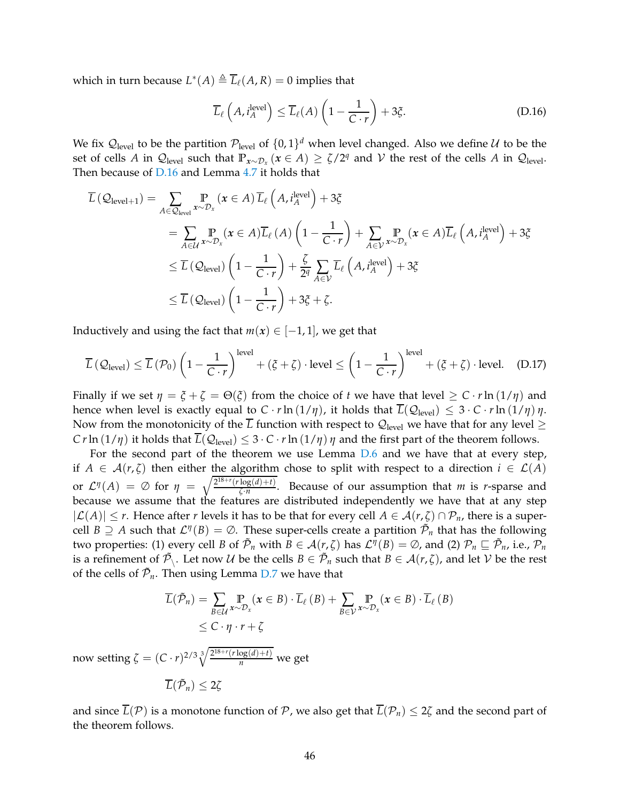which in turn because  $L^*(A) \triangleq \overline{L}_{\ell}(A,R) = 0$  implies that

<span id="page-45-0"></span>
$$
\overline{L}_{\ell}\left(A, i_A^{\text{level}}\right) \le \overline{L}_{\ell}(A)\left(1 - \frac{1}{C \cdot r}\right) + 3\xi. \tag{D.16}
$$

We fix  $\mathcal{Q}_{\text{level}}$  to be the partition  $\mathcal{P}_{\text{level}}$  of  $\{0,1\}^d$  when level changed. Also we define  $\mathcal U$  to be the set of cells *A* in  $Q_{\text{level}}$  such that  $\mathbb{P}_{x \sim \mathcal{D}_x}(x \in A) \ge \zeta/2^q$  and  $\mathcal V$  the rest of the cells *A* in  $Q_{\text{level}}$ . Then because of [D.16](#page-45-0) and Lemma [4.7](#page-14-0) it holds that

$$
\overline{L}(\mathcal{Q}_{\text{level}+1}) = \sum_{A \in \mathcal{Q}_{\text{level}}} \mathbb{P}_{x \sim \mathcal{D}_x}(\mathbf{x} \in A) \overline{L}_{\ell} (A, i_A^{\text{level}}) + 3\xi
$$
\n
$$
= \sum_{A \in \mathcal{U}} \mathbb{P}_{x \sim \mathcal{D}_x}(\mathbf{x} \in A) \overline{L}_{\ell} (A) \left(1 - \frac{1}{C \cdot r}\right) + \sum_{A \in \mathcal{V}} \mathbb{P}_{x \sim \mathcal{D}_x}(\mathbf{x} \in A) \overline{L}_{\ell} (A, i_A^{\text{level}}) + 3\xi
$$
\n
$$
\leq \overline{L}(\mathcal{Q}_{\text{level}}) \left(1 - \frac{1}{C \cdot r}\right) + \frac{\zeta}{2^q} \sum_{A \in \mathcal{V}} \overline{L}_{\ell} (A, i_A^{\text{level}}) + 3\xi
$$
\n
$$
\leq \overline{L}(\mathcal{Q}_{\text{level}}) \left(1 - \frac{1}{C \cdot r}\right) + 3\xi + \zeta.
$$

Inductively and using the fact that  $m(x) \in [-1,1]$ , we get that

$$
\overline{L}(\mathcal{Q}_{\text{level}}) \le \overline{L}(\mathcal{P}_0) \left(1 - \frac{1}{C \cdot r}\right)^{\text{level}} + (\xi + \zeta) \cdot \text{level} \le \left(1 - \frac{1}{C \cdot r}\right)^{\text{level}} + (\xi + \zeta) \cdot \text{level.} \quad (D.17)
$$

Finally if we set  $\eta = \xi + \zeta = \Theta(\xi)$  from the choice of *t* we have that level  $\geq C \cdot r \ln(1/\eta)$  and hence when level is exactly equal to  $C \cdot r \ln(1/\eta)$ , it holds that  $\overline{L}(\mathcal{Q}_{\text{level}}) \leq 3 \cdot C \cdot r \ln(1/\eta) \eta$ . Now from the monotonicity of the  $\overline{L}$  function with respect to  $\mathcal{Q}_{\text{level}}$  we have that for any level  $\geq$ *C r* ln  $(1/\eta)$  it holds that  $\overline{L}(\mathcal{Q}_{\text{level}}) \leq 3 \cdot C \cdot r \ln(1/\eta) \eta$  and the first part of the theorem follows.

For the second part of the theorem we use Lemma [D.6](#page-42-0) and we have that at every step, if  $A \in \mathcal{A}(r,\zeta)$  then either the algorithm chose to split with respect to a direction  $i \in \mathcal{L}(A)$ or  $\mathcal{L}^{\eta}(A) = \emptyset$  for  $\eta = \sqrt{\frac{2^{18+r}(r \log(d)+t)}{\zeta \cdot n}}$  $\frac{\log(u) + i}{\zeta \cdot n}$ . Because of our assumption that *m* is *r*-sparse and because we assume that the features are distributed independently we have that at any step  $|\mathcal{L}(A)| \leq r$ . Hence after *r* levels it has to be that for every cell  $A \in \mathcal{A}(r,\zeta) \cap \mathcal{P}_n$ , there is a supercell  $B \supseteq A$  such that  $\mathcal{L}^{\eta}(B) = \emptyset$ . These super-cells create a partition  $\tilde{\mathcal{P}}_n$  that has the following two properties: (1) every cell *B* of  $\tilde{\mathcal{P}}_n$  with  $B \in \mathcal{A}(r, \zeta)$  has  $\mathcal{L}^{\eta}(B) = \emptyset$ , and (2)  $\mathcal{P}_n \sqsubseteq \tilde{\mathcal{P}}_n$ , i.e.,  $\mathcal{P}_n$ is a refinement of  $\tilde{\mathcal{P}}_{\setminus}$ . Let now  $\mathcal{U}$  be the cells  $B \in \tilde{\mathcal{P}}_n$  such that  $B \in \mathcal{A}(r, \zeta)$ , and let  $\mathcal{V}$  be the rest of the cells of  $\tilde{\mathcal{P}}_n$ . Then using Lemma [D.7](#page-42-1) we have that

$$
\overline{L}(\tilde{\mathcal{P}}_n) = \sum_{B \in \mathcal{U}} \Pr_{x \sim \mathcal{D}_x} (x \in B) \cdot \overline{L}_{\ell} (B) + \sum_{B \in \mathcal{V}} \Pr_{x \sim \mathcal{D}_x} (x \in B) \cdot \overline{L}_{\ell} (B)
$$
\n
$$
\leq C \cdot \eta \cdot r + \zeta
$$

now setting  $\zeta = (C \cdot r)^{2/3} \sqrt[3]{\frac{2^{18+r}(r \log(d) + t)}{n}}$  we get

$$
\overline{L}(\tilde{\mathcal{P}}_n)\leq 2\zeta
$$

and since  $\overline{L}(\mathcal{P})$  is a monotone function of  $\mathcal{P}$ , we also get that  $\overline{L}(\mathcal{P}_n) \leq 2\zeta$  and the second part of the theorem follows.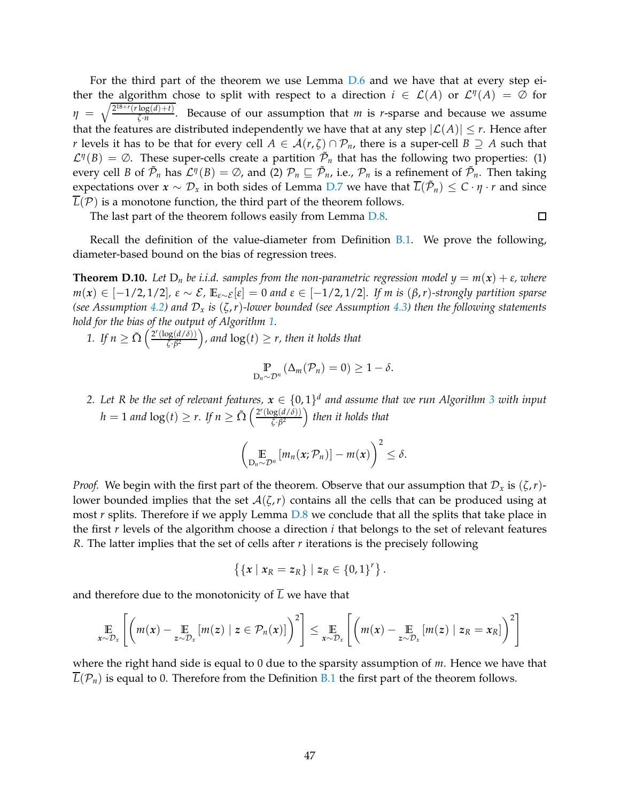For the third part of the theorem we use Lemma [D.6](#page-42-0) and we have that at every step either the algorithm chose to split with respect to a direction  $i \in \mathcal{L}(A)$  or  $\mathcal{L}^{\eta}(A) = \emptyset$  for  $\eta = \sqrt{\frac{2^{18+r}(r \log(d)+t)}{\zeta \cdot n}}$  $\frac{\log(u)+i}{\zeta \cdot n}$ . Because of our assumption that *m* is *r*-sparse and because we assume that the features are distributed independently we have that at any step  $|\mathcal{L}(A)| \leq r$ . Hence after *r* levels it has to be that for every cell  $A \in \mathcal{A}(r,\zeta) \cap \mathcal{P}_n$ , there is a super-cell  $B \supseteq A$  such that  $\mathcal{L}^{\eta}(B) = \emptyset$ . These super-cells create a partition  $\tilde{\mathcal{P}}_n$  that has the following two properties: (1) every cell *B* of  $\tilde{\mathcal{P}}_n$  has  $\mathcal{L}^{\eta}(B) = \emptyset$ , and (2)  $\mathcal{P}_n \sqsubseteq \tilde{\mathcal{P}}_n$ , i.e.,  $\mathcal{P}_n$  is a refinement of  $\tilde{\mathcal{P}}_n$ . Then taking expectations over  $x \sim \mathcal{D}_x$  in both sides of Lemma [D.7](#page-42-1) we have that  $\overline{L}(\tilde{\mathcal{P}}_n) \leq C \cdot \eta \cdot r$  and since  $\overline{L}(\mathcal{P})$  is a monotone function, the third part of the theorem follows.

The last part of the theorem follows easily from Lemma [D.8.](#page-43-0)

 $\Box$ 

Recall the definition of the value-diameter from Definition [B.1.](#page-25-1) We prove the following, diameter-based bound on the bias of regression trees.

<span id="page-46-0"></span>**Theorem D.10.** Let  $D_n$  be i.i.d. samples from the non-parametric regression model  $y = m(x) + \varepsilon$ , where *<sup>m</sup>*(*x*) <sup>∈</sup> [−1/2, 1/2]*, <sup>ε</sup>* ∼ E*,* **<sup>E</sup>***ε*∼E [*ε*] = <sup>0</sup> *and <sup>ε</sup>* <sup>∈</sup> [−1/2, 1/2]*. If m is* (*β*,*r*)*-strongly partition sparse (see Assumption [4.2\)](#page-10-3) and* D*<sup>x</sup> is* (*ζ*,*r*)*-lower bounded (see Assumption [4.3\)](#page-10-2) then the following statements hold for the bias of the output of Algorithm [1.](#page-5-0)*

*1. If*  $n \ge \tilde{\Omega} \left( \frac{2^r (\log(d/\delta))}{\zeta \cdot \beta^2} \right)$  $\frac{\log(d/\delta)}{\zeta \cdot \beta^2}$ , and  $\log(t) \geq r$ , then it holds that

$$
\Pr_{D_n \sim \mathcal{D}^n} (\Delta_m(\mathcal{P}_n) = 0) \geq 1 - \delta.
$$

2. Let R be the set of relevant features,  $x \in \{0,1\}^d$  and assume that we run Algorithm [3](#page-11-0) with input  $h = 1$  *and*  $\log(t) \ge r$ . If  $n \ge \tilde{\Omega} \left( \frac{2^r (\log(d/\delta))}{\zeta \cdot \beta^2} \right)$  $\left(\frac{dg(d/\delta)}{\zeta \cdot \beta^2}\right)$  then it holds that

$$
\left(\mathop{\mathbb{E}}_{D_n\sim\mathcal{D}^n}\left[m_n(x;\mathcal{P}_n)\right]-m(x)\right)^2\leq\delta.
$$

*Proof.* We begin with the first part of the theorem. Observe that our assumption that  $\mathcal{D}_x$  is  $(\zeta, r)$ lower bounded implies that the set  $A(\zeta,r)$  contains all the cells that can be produced using at most *r* splits. Therefore if we apply Lemma [D.8](#page-43-0) we conclude that all the splits that take place in the first *r* levels of the algorithm choose a direction *i* that belongs to the set of relevant features *R*. The latter implies that the set of cells after *r* iterations is the precisely following

$$
\left\{ \{x \mid x_R = z_R \} \mid z_R \in \{0,1\}^r \right\}.
$$

and therefore due to the monotonicity of  $\overline{L}$  we have that

$$
\mathop{\mathbb{E}}_{x \sim \mathcal{D}_x} \left[ \left( m(x) - \mathop{\mathbb{E}}_{z \sim \mathcal{D}_x} [m(z) \mid z \in \mathcal{P}_n(x)] \right)^2 \right] \leq \mathop{\mathbb{E}}_{x \sim \mathcal{D}_x} \left[ \left( m(x) - \mathop{\mathbb{E}}_{z \sim \mathcal{D}_x} [m(z) \mid z_R = x_R] \right)^2 \right]
$$

where the right hand side is equal to 0 due to the sparsity assumption of *m*. Hence we have that  $L(\mathcal{P}_n)$  is equal to 0. Therefore from the Definition [B.1](#page-25-1) the first part of the theorem follows.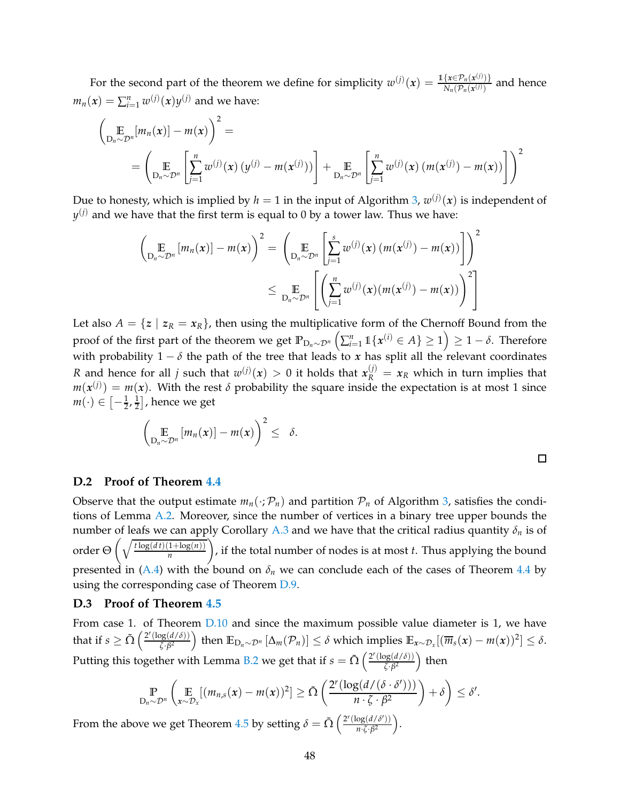For the second part of the theorem we define for simplicity  $w^{(j)}(x) = \frac{\mathbb{1}\{x \in \mathcal{P}_n(x^{(j)})\}}{N(\mathcal{P}_n(x^{(j)}))}$  $\frac{\{x \in P_n(x^{(j)})\}}{N_n(\mathcal{P}_n(x^{(j)}))}$  and hence  $m_n(x) = \sum_{i=1}^n w^{(j)}(x) y^{(j)}$  and we have:

$$
\left(\mathop{\mathbb{E}}_{D_n \sim \mathcal{D}^n} [m_n(x)] - m(x)\right)^2 =
$$
\n
$$
= \left(\mathop{\mathbb{E}}_{D_n \sim \mathcal{D}^n} \left[\mathop{\sum}_{j=1}^n w^{(j)}(x) (y^{(j)} - m(x^{(j)}))\right] + \mathop{\mathbb{E}}_{D_n \sim \mathcal{D}^n} \left[\mathop{\sum}_{j=1}^n w^{(j)}(x) (m(x^{(j)}) - m(x))\right]\right)^2
$$

Due to honesty, which is implied by  $h=1$  in the input of Algorithm [3,](#page-11-0)  $w^{(j)}(\pmb{x})$  is independent of  $y^{(j)}$  and we have that the first term is equal to 0 by a tower law. Thus we have:

$$
\left(\mathop{\mathbb{E}}_{D_n \sim \mathcal{D}^n} [m_n(x)] - m(x)\right)^2 = \left(\mathop{\mathbb{E}}_{D_n \sim \mathcal{D}^n} \left[\sum_{j=1}^s w^{(j)}(x) (m(x^{(j)}) - m(x))\right]\right)^2
$$
  

$$
\leq \mathop{\mathbb{E}}_{D_n \sim \mathcal{D}^n} \left[\left(\sum_{j=1}^n w^{(j)}(x) (m(x^{(j)}) - m(x))\right)^2\right]
$$

Let also  $A = \{z \mid z_R = x_R\}$ , then using the multiplicative form of the Chernoff Bound from the proof of the first part of the theorem we get  $\mathbb{P}_{\mathsf{D}_n \sim \mathcal{D}^n}\left( \sum_{i=1}^n \mathbb{1}\{ \pmb{x}^{(i)} \in A \} \geq 1 \right) \geq 1-\delta.$  Therefore with probability 1 − *δ* the path of the tree that leads to *x* has split all the relevant coordinates *R* and hence for all *j* such that  $w^{(j)}(x) > 0$  it holds that  $x_R^{(j)} = x_R$  which in turn implies that  $m(x^{(j)}) = m(x)$ . With the rest  $\delta$  probability the square inside the expectation is at most 1 since  $m(\cdot) \in \left[-\frac{1}{2},\frac{1}{2}\right]$  $\frac{1}{2}$ , hence we get

$$
\left(\mathop{\mathbb{E}}_{D_n\sim\mathcal{D}^n}\left[m_n(x)\right]-m(x)\right)^2\leq\delta.
$$

 $\Box$ 

#### **D.2 Proof of Theorem [4.4](#page-11-2)**

Observe that the output estimate  $m_n(\cdot;\mathcal{P}_n)$  and partition  $\mathcal{P}_n$  of Algorithm [3,](#page-11-0) satisfies the conditions of Lemma [A.2.](#page-20-0) Moreover, since the number of vertices in a binary tree upper bounds the number of leafs we can apply Corollary [A.3](#page-24-0) and we have that the critical radius quantity  $\delta_n$  is of order  $\Theta\left(\sqrt{\frac{t\log(dt)(1+\log(n))}{n}}\right)$ *n* , if the total number of nodes is at most *t*. Thus applying the bound presented in [\(A.4\)](#page-20-1) with the bound on  $\delta_n$  we can conclude each of the cases of Theorem [4.4](#page-11-2) by using the corresponding case of Theorem [D.9.](#page-43-1)

### <span id="page-47-0"></span>**D.3 Proof of Theorem [4.5](#page-12-0)**

From case 1. of Theorem  $D.10$  and since the maximum possible value diameter is 1, we have that if  $s \geq \tilde{\Omega} \left( \frac{2^r (\log(d/\delta))}{\zeta \cdot \beta^2} \right)$  $\frac{\log(d/\delta)}{\delta \zeta \cdot \beta^2}$  then  $\mathbb{E}_{D_n \sim \mathcal{D}^n} [\Delta_m(\mathcal{P}_n)] \le \delta$  which implies  $\mathbb{E}_{x \sim \mathcal{D}_x} [(\overline{m}_s(x) - m(x))^2] \le \delta$ . Putting this together with Lemma [B.2](#page-25-2) we get that if  $s = \tilde{\Omega} \left( \frac{2^r (\log(d/\delta))}{\zeta, \beta^2} \right)$  $\frac{\log(d/\delta))}{\zeta \cdot \beta^2}$ ) then

$$
\mathop{\mathbb{P}}_{D_n \sim \mathcal{D}^n} \left( \mathop{\mathbb{E}}_{x \sim \mathcal{D}_x} [(m_{n,s}(x) - m(x))^2] \ge \tilde{\Omega} \left( \frac{2^r (\log(d/(\delta \cdot \delta')))}{n \cdot \zeta \cdot \beta^2} \right) + \delta \right) \le \delta'.
$$

From the above we get Theorem [4.5](#page-12-0) by setting  $\delta = \tilde{\Omega} \left( \frac{2^r (\log(d/\delta'))}{n \sqrt{R}} \right)$  $\frac{\log(d/\delta')}{n \cdot \zeta \cdot \beta^2}$ .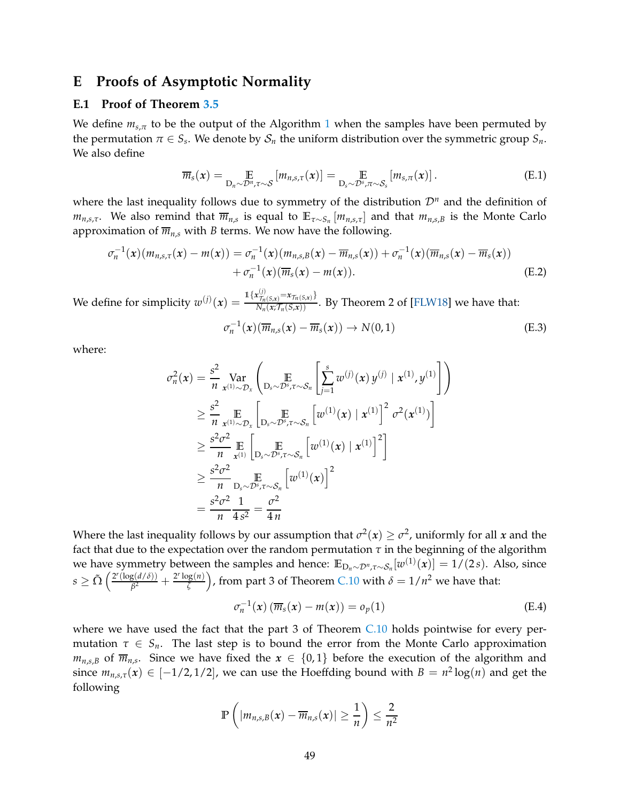# <span id="page-48-0"></span>**E Proofs of Asymptotic Normality**

#### **E.1 Proof of Theorem [3.5](#page-7-4)**

We define  $m_{s,\pi}$  to be the output of the Algorithm [1](#page-5-0) when the samples have been permuted by the permutation  $\pi \in S_s$ . We denote by  $\mathcal{S}_n$  the uniform distribution over the symmetric group  $S_n$ . We also define

$$
\overline{m}_s(x) = \underset{\mathcal{D}_n \sim \mathcal{D}^n, \tau \sim \mathcal{S}}{\mathbb{E}} \left[ m_{n,s,\tau}(x) \right] = \underset{\mathcal{D}_s \sim \mathcal{D}^s, \pi \sim \mathcal{S}_s}{\mathbb{E}} \left[ m_{s,\pi}(x) \right]. \tag{E.1}
$$

where the last inequality follows due to symmetry of the distribution  $\mathcal{D}^n$  and the definition of  $m_{n,s,\tau}$ . We also remind that  $\overline{m}_{n,s}$  is equal to  $\mathbb{E}_{\tau \sim S_n}[m_{n,s,\tau}]$  and that  $m_{n,s,B}$  is the Monte Carlo approximation of  $\overline{m}_{n,s}$  with *B* terms. We now have the following.

$$
\sigma_n^{-1}(x)(m_{n,s,\tau}(x) - m(x)) = \sigma_n^{-1}(x)(m_{n,s,B}(x) - \overline{m}_{n,s}(x)) + \sigma_n^{-1}(x)(\overline{m}_{n,s}(x) - \overline{m}_s(x)) + \sigma_n^{-1}(x)(\overline{m}_s(x) - m(x)).
$$
\n(E.2)

We define for simplicity  $w^{(j)}(x) = \frac{\mathbb{1}\{x_{\tau_n(S,x)}^{(j)} = x_{\tau_n(S,x)}\}}{N_n(x;\tau_n(S,x))}$ . By Theorem 2 of [\[FLW18\]](#page-18-5) we have that:

<span id="page-48-2"></span><span id="page-48-1"></span>
$$
\sigma_n^{-1}(x)(\overline{m}_{n,s}(x) - \overline{m}_s(x)) \to N(0,1)
$$
 (E.3)

where:

$$
\sigma_n^2(\mathbf{x}) = \frac{s^2}{n} \operatorname{Var}_{\mathbf{x}^{(1)} \sim \mathcal{D}_{\mathbf{x}}} \left( \operatorname*{E}_{\mathbf{D}_s \sim \mathcal{D}^s, \tau \sim \mathcal{S}_n} \left[ \sum_{j=1}^s w^{(j)}(\mathbf{x}) y^{(j)} \mid \mathbf{x}^{(1)}, y^{(1)} \right] \right)
$$
\n
$$
\geq \frac{s^2}{n} \operatorname*{E}_{\mathbf{x}^{(1)} \sim \mathcal{D}_{\mathbf{x}}} \left[ \operatorname*{E}_{\mathbf{D}_s \sim \mathcal{D}^s, \tau \sim \mathcal{S}_n} \left[ w^{(1)}(\mathbf{x}) \mid \mathbf{x}^{(1)} \right]^2 \sigma^2(\mathbf{x}^{(1)}) \right]
$$
\n
$$
\geq \frac{s^2 \sigma^2}{n} \operatorname*{E}_{\mathbf{x}^{(1)}} \left[ \operatorname*{E}_{\mathbf{D}_s \sim \mathcal{D}^s, \tau \sim \mathcal{S}_n} \left[ w^{(1)}(\mathbf{x}) \mid \mathbf{x}^{(1)} \right]^2 \right]
$$
\n
$$
\geq \frac{s^2 \sigma^2}{n} \operatorname*{E}_{\mathbf{D}_s \sim \mathcal{D}^s, \tau \sim \mathcal{S}_n} \left[ w^{(1)}(\mathbf{x}) \right]^2
$$
\n
$$
= \frac{s^2 \sigma^2}{n} \frac{1}{4 s^2} = \frac{\sigma^2}{4 n}
$$

Where the last inequality follows by our assumption that  $\sigma^2(x) \geq \sigma^2$ , uniformly for all *x* and the fact that due to the expectation over the random permutation  $\tau$  in the beginning of the algorithm we have symmetry between the samples and hence:  $\mathbb{E}_{D_n \sim \mathcal{D}^n, \tau \sim \mathcal{S}_n}[w^{(1)}(x)] = 1/(2s)$ . Also, since  $s \geq \tilde{\Omega} \left( \frac{2^r (\log(d/\delta))}{\beta^2} \right)$  $\frac{g(d/\delta)}{\beta^2} + \frac{2^r \log(n)}{\zeta}$  $\left(\frac{\log(n)}{\zeta}\right)$ , from part 3 of Theorem [C.10](#page-34-0) with  $\delta = 1/n^2$  we have that:

<span id="page-48-3"></span>
$$
\sigma_n^{-1}(x) \left( \overline{m}_s(x) - m(x) \right) = o_p(1) \tag{E.4}
$$

where we have used the fact that the part 3 of Theorem [C.10](#page-34-0) holds pointwise for every permutation  $\tau \in S_n$ . The last step is to bound the error from the Monte Carlo approximation  $m_{n,s,B}$  of  $\overline{m}_{n,s}$ . Since we have fixed the  $x \in \{0,1\}$  before the execution of the algorithm and since  $m_{n,s,\tau}(x) \in [-1/2,1/2]$ , we can use the Hoeffding bound with  $B = n^2 \log(n)$  and get the following

$$
\mathbb{P}\left(\left|m_{n,s,B}(x)-\overline{m}_{n,s}(x)\right|\geq \frac{1}{n}\right)\leq \frac{2}{n^2}
$$